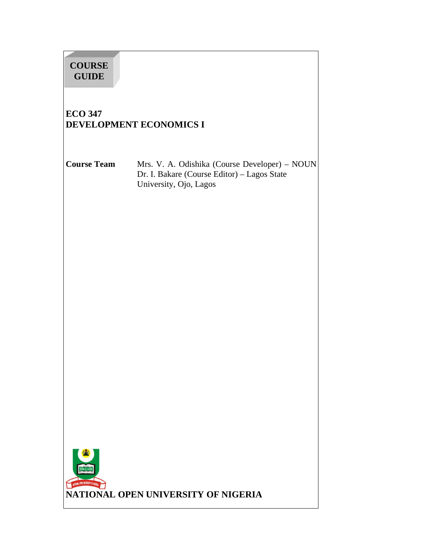# **COURSE GUIDE**

# **ECO 347 DEVELOPMENT ECONOMICS I**

**Course Team** Mrs. V. A. Odishika (Course Developer) – NOUN Dr. I. Bakare (Course Editor) – Lagos State University, Ojo, Lagos

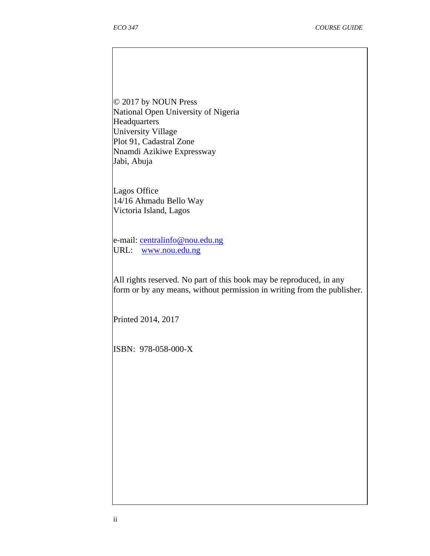© 2017 by NOUN Press National Open University of Nigeria Headquarters University Village Plot 91, Cadastral Zone Nnamdi Azikiwe Expressway Jabi, Abuja

Lagos Office 14/16 Ahmadu Bello Way Victoria Island, Lagos

e-mail: centralinfo@nou.edu.ng URL: www.nou.edu.ng

All rights reserved. No part of this book may be reproduced, in any form or by any means, without permission in writing from the publisher.

Printed 2014, 2017

ISBN: 978-058-000-X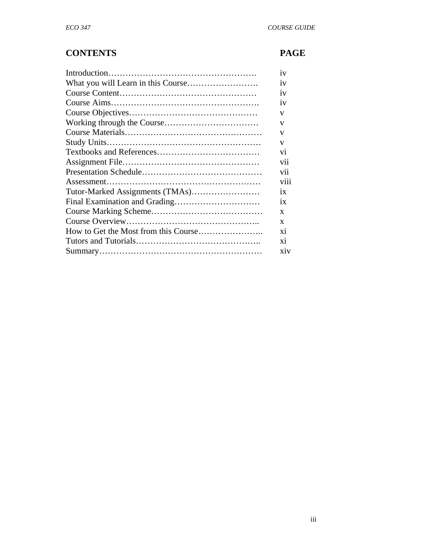# **CONTENTS PAGE**

|                                 | 1V              |
|---------------------------------|-----------------|
|                                 | 1V              |
|                                 | 1V              |
|                                 | 1V              |
|                                 | V               |
|                                 | V               |
|                                 | V               |
|                                 | V               |
|                                 | V <sub>1</sub>  |
|                                 | vii             |
|                                 | vii             |
|                                 | viii            |
| Tutor-Marked Assignments (TMAs) | 1X              |
|                                 | $\overline{1}X$ |
|                                 | X               |
|                                 | X               |
|                                 | Xİ.             |
|                                 | xi              |
|                                 | <b>XIV</b>      |
|                                 |                 |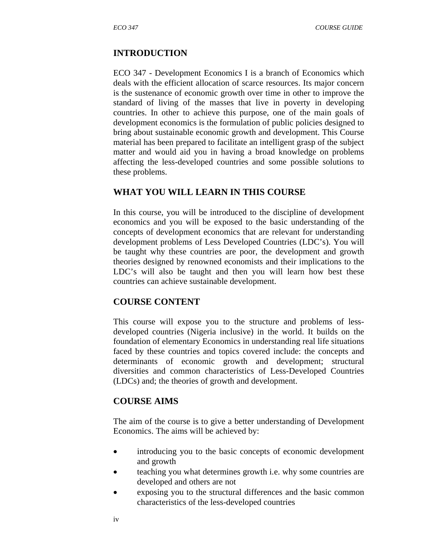#### **INTRODUCTION**

ECO 347 - Development Economics I is a branch of Economics which deals with the efficient allocation of scarce resources. Its major concern is the sustenance of economic growth over time in other to improve the standard of living of the masses that live in poverty in developing countries. In other to achieve this purpose, one of the main goals of development economics is the formulation of public policies designed to bring about sustainable economic growth and development. This Course material has been prepared to facilitate an intelligent grasp of the subject matter and would aid you in having a broad knowledge on problems affecting the less-developed countries and some possible solutions to these problems.

#### **WHAT YOU WILL LEARN IN THIS COURSE**

In this course, you will be introduced to the discipline of development economics and you will be exposed to the basic understanding of the concepts of development economics that are relevant for understanding development problems of Less Developed Countries (LDC's). You will be taught why these countries are poor, the development and growth theories designed by renowned economists and their implications to the LDC's will also be taught and then you will learn how best these countries can achieve sustainable development.

#### **COURSE CONTENT**

This course will expose you to the structure and problems of lessdeveloped countries (Nigeria inclusive) in the world. It builds on the foundation of elementary Economics in understanding real life situations faced by these countries and topics covered include: the concepts and determinants of economic growth and development; structural diversities and common characteristics of Less-Developed Countries (LDCs) and; the theories of growth and development.

#### **COURSE AIMS**

The aim of the course is to give a better understanding of Development Economics. The aims will be achieved by:

- introducing you to the basic concepts of economic development and growth
- teaching you what determines growth i.e. why some countries are developed and others are not
- exposing you to the structural differences and the basic common characteristics of the less-developed countries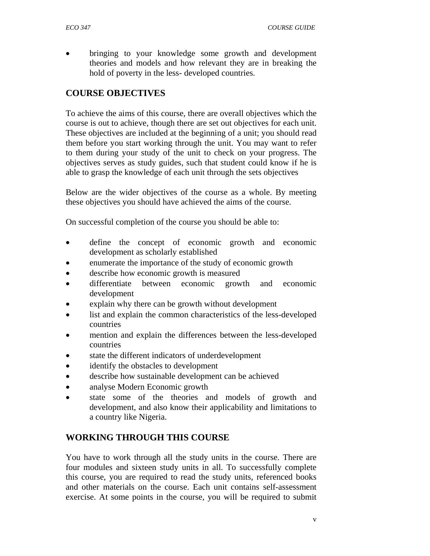• bringing to your knowledge some growth and development theories and models and how relevant they are in breaking the hold of poverty in the less- developed countries.

# **COURSE OBJECTIVES**

To achieve the aims of this course, there are overall objectives which the course is out to achieve, though there are set out objectives for each unit. These objectives are included at the beginning of a unit; you should read them before you start working through the unit. You may want to refer to them during your study of the unit to check on your progress. The objectives serves as study guides, such that student could know if he is able to grasp the knowledge of each unit through the sets objectives

Below are the wider objectives of the course as a whole. By meeting these objectives you should have achieved the aims of the course.

On successful completion of the course you should be able to:

- define the concept of economic growth and economic development as scholarly established
- enumerate the importance of the study of economic growth
- describe how economic growth is measured
- differentiate between economic growth and economic development
- explain why there can be growth without development
- list and explain the common characteristics of the less-developed countries
- mention and explain the differences between the less-developed countries
- state the different indicators of underdevelopment
- identify the obstacles to development
- describe how sustainable development can be achieved
- analyse Modern Economic growth
- state some of the theories and models of growth and development, and also know their applicability and limitations to a country like Nigeria.

# **WORKING THROUGH THIS COURSE**

You have to work through all the study units in the course. There are four modules and sixteen study units in all. To successfully complete this course, you are required to read the study units, referenced books and other materials on the course. Each unit contains self-assessment exercise. At some points in the course, you will be required to submit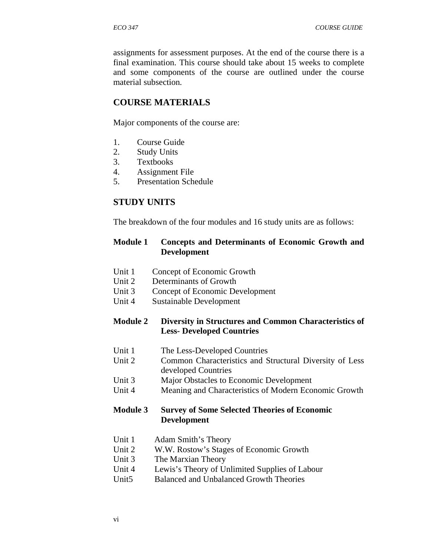assignments for assessment purposes. At the end of the course there is a final examination. This course should take about 15 weeks to complete and some components of the course are outlined under the course material subsection.

## **COURSE MATERIALS**

Major components of the course are:

- 1. Course Guide
- 2. Study Units
- 3. Textbooks
- 4. Assignment File
- 5. Presentation Schedule

## **STUDY UNITS**

The breakdown of the four modules and 16 study units are as follows:

#### **Module 1 Concepts and Determinants of Economic Growth and Development**

- Unit 1 Concept of Economic Growth
- Unit 2 Determinants of Growth
- Unit 3 Concept of Economic Development
- Unit 4 Sustainable Development

#### **Module 2 Diversity in Structures and Common Characteristics of Less- Developed Countries**

- Unit 1 The Less-Developed Countries
- Unit 2 Common Characteristics and Structural Diversity of Less developed Countries
- Unit 3 Major Obstacles to Economic Development
- Unit 4 Meaning and Characteristics of Modern Economic Growth

#### **Module 3 Survey of Some Selected Theories of Economic Development**

- Unit 1 Adam Smith's Theory
- Unit 2 W.W. Rostow's Stages of Economic Growth
- Unit 3 The Marxian Theory
- Unit 4 Lewis's Theory of Unlimited Supplies of Labour
- Unit5 Balanced and Unbalanced Growth Theories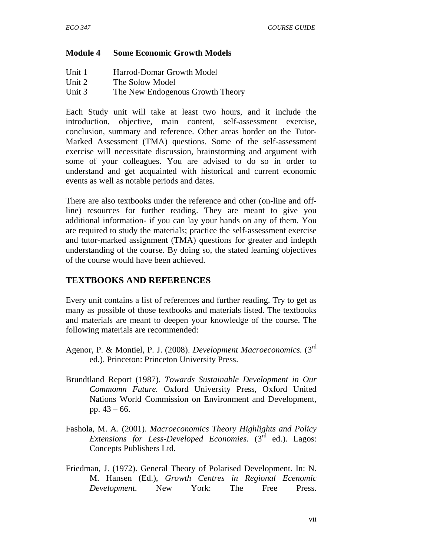#### **Module 4 Some Economic Growth Models**

| Unit 1 | Harrod-Domar Growth Model        |
|--------|----------------------------------|
| Unit 2 | The Solow Model                  |
| Unit 3 | The New Endogenous Growth Theory |

Each Study unit will take at least two hours, and it include the introduction, objective, main content, self-assessment exercise, conclusion, summary and reference. Other areas border on the Tutor-Marked Assessment (TMA) questions. Some of the self-assessment exercise will necessitate discussion, brainstorming and argument with some of your colleagues. You are advised to do so in order to understand and get acquainted with historical and current economic events as well as notable periods and dates.

There are also textbooks under the reference and other (on-line and offline) resources for further reading. They are meant to give you additional information- if you can lay your hands on any of them. You are required to study the materials; practice the self-assessment exercise and tutor-marked assignment (TMA) questions for greater and indepth understanding of the course. By doing so, the stated learning objectives of the course would have been achieved.

#### **TEXTBOOKS AND REFERENCES**

Every unit contains a list of references and further reading. Try to get as many as possible of those textbooks and materials listed. The textbooks and materials are meant to deepen your knowledge of the course. The following materials are recommended:

- Agenor, P. & Montiel, P. J. (2008). *Development Macroeconomics.* (3rd ed.). Princeton: Princeton University Press.
- Brundtland Report (1987). *Towards Sustainable Development in Our Commomn Future.* Oxford University Press, Oxford United Nations World Commission on Environment and Development, pp. 43 – 66.
- Fashola, M. A. (2001). *Macroeconomics Theory Highlights and Policy Extensions for Less-Developed Economies.* (3<sup>rd</sup> ed.). Lagos: Concepts Publishers Ltd.
- Friedman, J. (1972). General Theory of Polarised Development. In: N. M. Hansen (Ed.), *Growth Centres in Regional Ecenomic Development*. New York: The Free Press.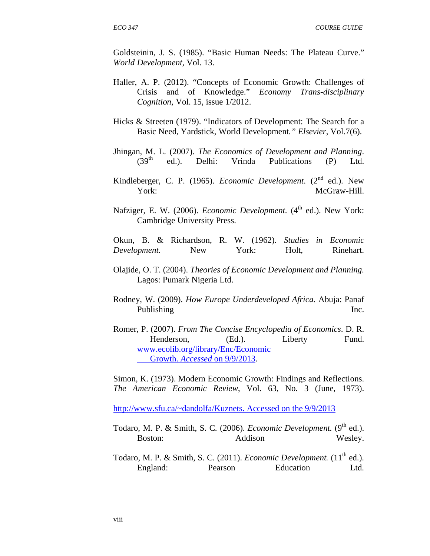Goldsteinin, J. S. (1985). "Basic Human Needs: The Plateau Curve." *World Development,* Vol. 13.

- Haller, A. P. (2012). "Concepts of Economic Growth: Challenges of Crisis and of Knowledge." *Economy Trans-disciplinary Cognition,* Vol. 15, issue 1/2012.
- Hicks & Streeten (1979). "Indicators of Development: The Search for a Basic Need, Yardstick, World Development*." Elsevier*, Vol.7(6).
- Jhingan, M. L. (2007). *The Economics of Development and Planning*.  $(39<sup>th</sup>$  ed.). Delhi: Vrinda Publications (P) Ltd.
- Kindleberger, C. P. (1965). *Economic Development*. (2<sup>nd</sup> ed.). New York: McGraw-Hill.
- Nafziger, E. W. (2006). *Economic Development.* (4<sup>th</sup> ed.). New York: Cambridge University Press.

Okun, B. & Richardson, R. W. (1962). *Studies in Economic Development.* New York: Holt, Rinehart.

- Olajide, O. T. (2004). *Theories of Economic Development and Planning.* Lagos: Pumark Nigeria Ltd.
- Rodney, W. (2009). *How Europe Underdeveloped Africa.* Abuja: Panaf Publishing Inc.
- Romer, P. (2007). *From The Concise Encyclopedia of Economics*. D. R. Henderson, (Ed.). Liberty Fund. www.ecolib.org/library/Enc/Economic Growth. *Accessed* on 9/9/2013.

Simon, K. (1973). Modern Economic Growth: Findings and Reflections. *The American Economic Review*, Vol. 63, No. 3 (June, 1973).

http://www.sfu.ca/~dandolfa/Kuznets. Accessed on the 9/9/2013

- Todaro, M. P. & Smith, S. C. (2006). *Economic Development*. (9<sup>th</sup> ed.). Boston: Addison Wesley.
- Todaro, M. P. & Smith, S. C. (2011). *Economic Development*. (11<sup>th</sup> ed.). England: Pearson Education Ltd.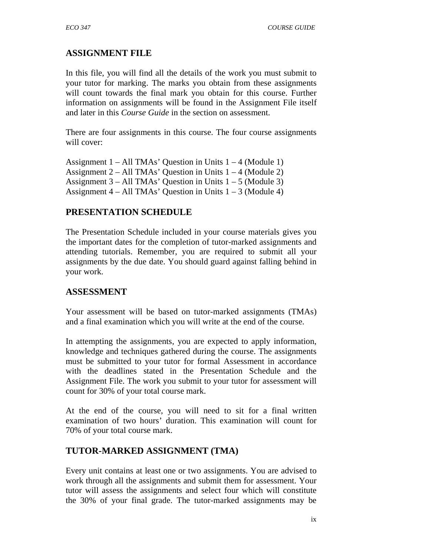# **ASSIGNMENT FILE**

In this file, you will find all the details of the work you must submit to your tutor for marking. The marks you obtain from these assignments will count towards the final mark you obtain for this course. Further information on assignments will be found in the Assignment File itself and later in this *Course Guide* in the section on assessment.

There are four assignments in this course. The four course assignments will cover:

Assignment  $1 - All TMAs' Question in Units  $1 - 4$  (Module 1)$ Assignment  $2 - All TMAs'$  Question in Units  $1 - 4$  (Module 2) Assignment  $3 - All TMAs' Question in Units  $1 - 5$  (Module 3)$ Assignment  $4 - All TMAs' Question in Units  $1 - 3$  (Module 4)$ 

# **PRESENTATION SCHEDULE**

The Presentation Schedule included in your course materials gives you the important dates for the completion of tutor-marked assignments and attending tutorials. Remember, you are required to submit all your assignments by the due date. You should guard against falling behind in your work.

## **ASSESSMENT**

Your assessment will be based on tutor-marked assignments (TMAs) and a final examination which you will write at the end of the course.

In attempting the assignments, you are expected to apply information, knowledge and techniques gathered during the course. The assignments must be submitted to your tutor for formal Assessment in accordance with the deadlines stated in the Presentation Schedule and the Assignment File. The work you submit to your tutor for assessment will count for 30% of your total course mark.

At the end of the course, you will need to sit for a final written examination of two hours' duration. This examination will count for 70% of your total course mark.

# **TUTOR-MARKED ASSIGNMENT (TMA)**

Every unit contains at least one or two assignments. You are advised to work through all the assignments and submit them for assessment. Your tutor will assess the assignments and select four which will constitute the 30% of your final grade. The tutor-marked assignments may be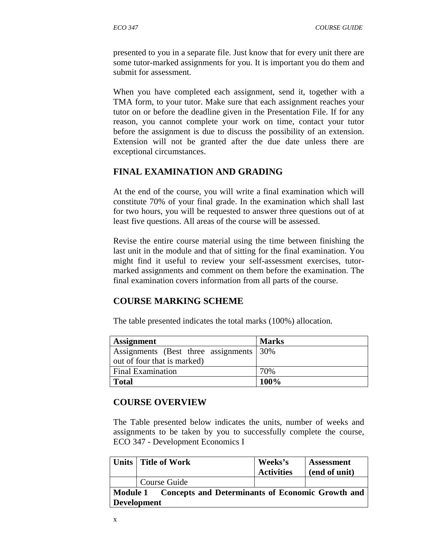presented to you in a separate file. Just know that for every unit there are some tutor-marked assignments for you. It is important you do them and submit for assessment.

When you have completed each assignment, send it, together with a TMA form, to your tutor. Make sure that each assignment reaches your tutor on or before the deadline given in the Presentation File. If for any reason, you cannot complete your work on time, contact your tutor before the assignment is due to discuss the possibility of an extension. Extension will not be granted after the due date unless there are exceptional circumstances.

## **FINAL EXAMINATION AND GRADING**

At the end of the course, you will write a final examination which will constitute 70% of your final grade. In the examination which shall last for two hours, you will be requested to answer three questions out of at least five questions. All areas of the course will be assessed.

Revise the entire course material using the time between finishing the last unit in the module and that of sitting for the final examination. You might find it useful to review your self-assessment exercises, tutormarked assignments and comment on them before the examination. The final examination covers information from all parts of the course.

#### **COURSE MARKING SCHEME**

The table presented indicates the total marks (100%) allocation.

| <b>Assignment</b>                        | <b>Marks</b> |
|------------------------------------------|--------------|
| Assignments (Best three assignments 30%) |              |
| out of four that is marked)              |              |
| <b>Final Examination</b>                 | 70%          |
| <b>Total</b>                             | 100%         |

#### **COURSE OVERVIEW**

The Table presented below indicates the units, number of weeks and assignments to be taken by you to successfully complete the course, ECO 347 - Development Economics I

|                                                                                 | Units   Title of Work | Weeks's<br><b>Activities</b> | <b>Assessment</b><br>(end of unit) |
|---------------------------------------------------------------------------------|-----------------------|------------------------------|------------------------------------|
|                                                                                 | Course Guide          |                              |                                    |
| Module 1 Concepts and Determinants of Economic Growth and<br><b>Development</b> |                       |                              |                                    |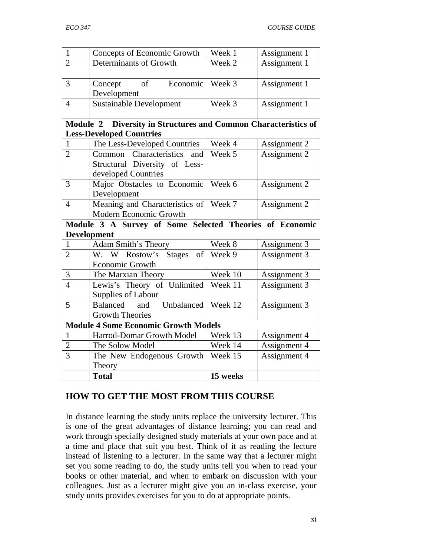| $\mathbf{1}$                                | Concepts of Economic Growth                             | Week 1   | Assignment 1 |
|---------------------------------------------|---------------------------------------------------------|----------|--------------|
| $\overline{2}$                              | Determinants of Growth                                  | Week 2   | Assignment 1 |
| 3                                           | of<br>Economic<br>Concept<br>Development                | Week 3   | Assignment 1 |
| $\overline{4}$                              | <b>Sustainable Development</b>                          | Week 3   | Assignment 1 |
| <b>Module 2</b>                             | Diversity in Structures and Common Characteristics of   |          |              |
|                                             | <b>Less-Developed Countries</b>                         |          |              |
| $\mathbf{1}$                                | The Less-Developed Countries                            | Week 4   | Assignment 2 |
| $\overline{2}$                              | Characteristics<br>Common<br>and                        | Week 5   | Assignment 2 |
|                                             | Structural Diversity of Less-                           |          |              |
|                                             | developed Countries                                     |          |              |
| 3                                           | Major Obstacles to Economic                             | Week 6   | Assignment 2 |
|                                             | Development                                             |          |              |
| $\overline{4}$                              | Meaning and Characteristics of                          | Week 7   | Assignment 2 |
|                                             | Modern Economic Growth                                  |          |              |
|                                             | Module 3 A Survey of Some Selected Theories of Economic |          |              |
|                                             | <b>Development</b>                                      |          |              |
| $\mathbf{1}$                                | <b>Adam Smith's Theory</b>                              | Week 8   | Assignment 3 |
| $\overline{2}$                              | W. W Rostow's<br><b>Stages</b><br>of                    | Week 9   | Assignment 3 |
|                                             | Economic Growth                                         |          |              |
| $\mathfrak{Z}$                              | The Marxian Theory                                      | Week 10  | Assignment 3 |
| $\overline{4}$                              | Lewis's Theory of Unlimited                             | Week 11  | Assignment 3 |
|                                             | Supplies of Labour                                      |          |              |
| 5                                           | and<br>Unbalanced<br>Balanced                           | Week 12  | Assignment 3 |
|                                             | <b>Growth Theories</b>                                  |          |              |
| <b>Module 4 Some Economic Growth Models</b> |                                                         |          |              |
| $\mathbf{1}$                                | Harrod-Domar Growth Model                               | Week 13  | Assignment 4 |
| $\overline{2}$                              | The Solow Model                                         | Week 14  | Assignment 4 |
| $\overline{3}$                              | The New Endogenous Growth                               | Week 15  | Assignment 4 |
|                                             | Theory                                                  |          |              |
|                                             | <b>Total</b>                                            | 15 weeks |              |

# **HOW TO GET THE MOST FROM THIS COURSE**

In distance learning the study units replace the university lecturer. This is one of the great advantages of distance learning; you can read and work through specially designed study materials at your own pace and at a time and place that suit you best. Think of it as reading the lecture instead of listening to a lecturer. In the same way that a lecturer might set you some reading to do, the study units tell you when to read your books or other material, and when to embark on discussion with your colleagues. Just as a lecturer might give you an in-class exercise, your study units provides exercises for you to do at appropriate points.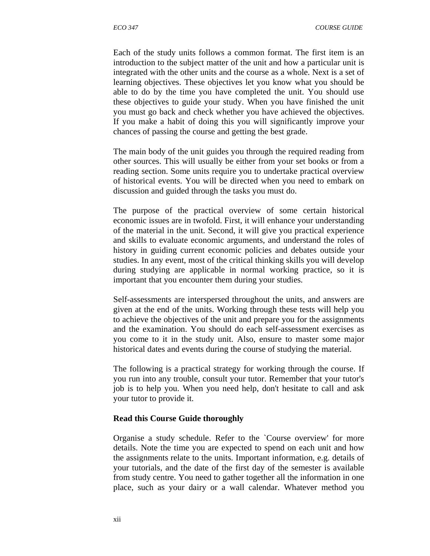Each of the study units follows a common format. The first item is an introduction to the subject matter of the unit and how a particular unit is integrated with the other units and the course as a whole. Next is a set of learning objectives. These objectives let you know what you should be able to do by the time you have completed the unit. You should use these objectives to guide your study. When you have finished the unit you must go back and check whether you have achieved the objectives. If you make a habit of doing this you will significantly improve your chances of passing the course and getting the best grade.

The main body of the unit guides you through the required reading from other sources. This will usually be either from your set books or from a reading section. Some units require you to undertake practical overview of historical events. You will be directed when you need to embark on discussion and guided through the tasks you must do.

The purpose of the practical overview of some certain historical economic issues are in twofold. First, it will enhance your understanding of the material in the unit. Second, it will give you practical experience and skills to evaluate economic arguments, and understand the roles of history in guiding current economic policies and debates outside your studies. In any event, most of the critical thinking skills you will develop during studying are applicable in normal working practice, so it is important that you encounter them during your studies.

Self-assessments are interspersed throughout the units, and answers are given at the end of the units. Working through these tests will help you to achieve the objectives of the unit and prepare you for the assignments and the examination. You should do each self-assessment exercises as you come to it in the study unit. Also, ensure to master some major historical dates and events during the course of studying the material.

The following is a practical strategy for working through the course. If you run into any trouble, consult your tutor. Remember that your tutor's job is to help you. When you need help, don't hesitate to call and ask your tutor to provide it.

#### **Read this Course Guide thoroughly**

Organise a study schedule. Refer to the `Course overview' for more details. Note the time you are expected to spend on each unit and how the assignments relate to the units. Important information, e.g. details of your tutorials, and the date of the first day of the semester is available from study centre. You need to gather together all the information in one place, such as your dairy or a wall calendar. Whatever method you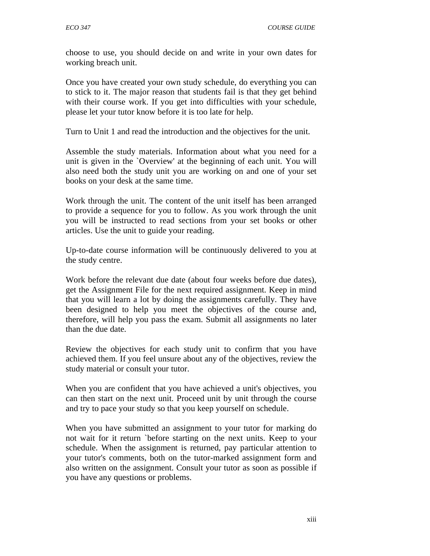choose to use, you should decide on and write in your own dates for working breach unit.

Once you have created your own study schedule, do everything you can to stick to it. The major reason that students fail is that they get behind with their course work. If you get into difficulties with your schedule, please let your tutor know before it is too late for help.

Turn to Unit 1 and read the introduction and the objectives for the unit.

Assemble the study materials. Information about what you need for a unit is given in the `Overview' at the beginning of each unit. You will also need both the study unit you are working on and one of your set books on your desk at the same time.

Work through the unit. The content of the unit itself has been arranged to provide a sequence for you to follow. As you work through the unit you will be instructed to read sections from your set books or other articles. Use the unit to guide your reading.

Up-to-date course information will be continuously delivered to you at the study centre.

Work before the relevant due date (about four weeks before due dates), get the Assignment File for the next required assignment. Keep in mind that you will learn a lot by doing the assignments carefully. They have been designed to help you meet the objectives of the course and, therefore, will help you pass the exam. Submit all assignments no later than the due date.

Review the objectives for each study unit to confirm that you have achieved them. If you feel unsure about any of the objectives, review the study material or consult your tutor.

When you are confident that you have achieved a unit's objectives, you can then start on the next unit. Proceed unit by unit through the course and try to pace your study so that you keep yourself on schedule.

When you have submitted an assignment to your tutor for marking do not wait for it return `before starting on the next units. Keep to your schedule. When the assignment is returned, pay particular attention to your tutor's comments, both on the tutor-marked assignment form and also written on the assignment. Consult your tutor as soon as possible if you have any questions or problems.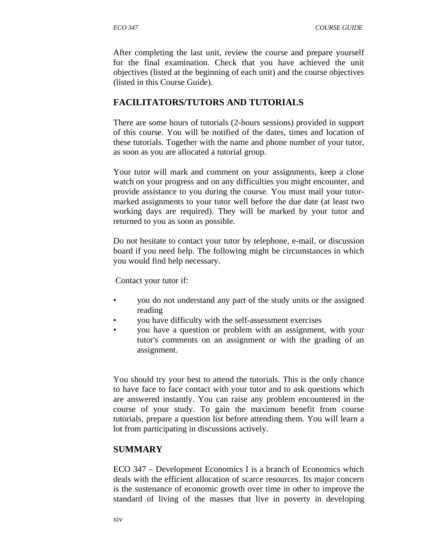After completing the last unit, review the course and prepare yourself for the final examination. Check that you have achieved the unit objectives (listed at the beginning of each unit) and the course objectives (listed in this Course Guide).

## **FACILITATORS/TUTORS AND TUTORIALS**

There are some hours of tutorials (2-hours sessions) provided in support of this course. You will be notified of the dates, times and location of these tutorials. Together with the name and phone number of your tutor, as soon as you are allocated a tutorial group.

Your tutor will mark and comment on your assignments, keep a close watch on your progress and on any difficulties you might encounter, and provide assistance to you during the course. You must mail your tutormarked assignments to your tutor well before the due date (at least two working days are required). They will be marked by your tutor and returned to you as soon as possible.

Do not hesitate to contact your tutor by telephone, e-mail, or discussion board if you need help. The following might be circumstances in which you would find help necessary.

Contact your tutor if:

- you do not understand any part of the study units or the assigned reading
- you have difficulty with the self-assessment exercises
- you have a question or problem with an assignment, with your tutor's comments on an assignment or with the grading of an assignment.

You should try your best to attend the tutorials. This is the only chance to have face to face contact with your tutor and to ask questions which are answered instantly. You can raise any problem encountered in the course of your study. To gain the maximum benefit from course tutorials, prepare a question list before attending them. You will learn a lot from participating in discussions actively.

#### **SUMMARY**

ECO 347 – Development Economics I is a branch of Economics which deals with the efficient allocation of scarce resources. Its major concern is the sustenance of economic growth over time in other to improve the standard of living of the masses that live in poverty in developing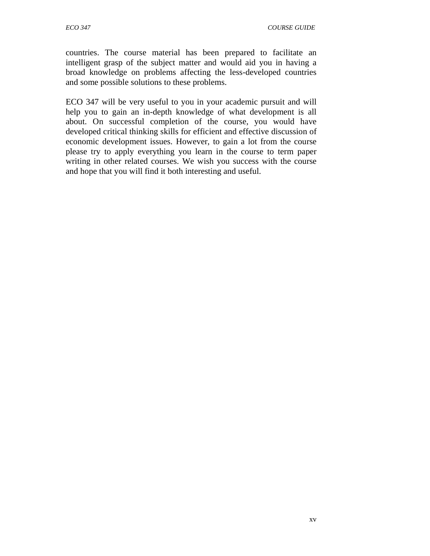countries. The course material has been prepared to facilitate an intelligent grasp of the subject matter and would aid you in having a broad knowledge on problems affecting the less-developed countries and some possible solutions to these problems.

ECO 347 will be very useful to you in your academic pursuit and will help you to gain an in-depth knowledge of what development is all about. On successful completion of the course, you would have developed critical thinking skills for efficient and effective discussion of economic development issues. However, to gain a lot from the course please try to apply everything you learn in the course to term paper writing in other related courses. We wish you success with the course and hope that you will find it both interesting and useful.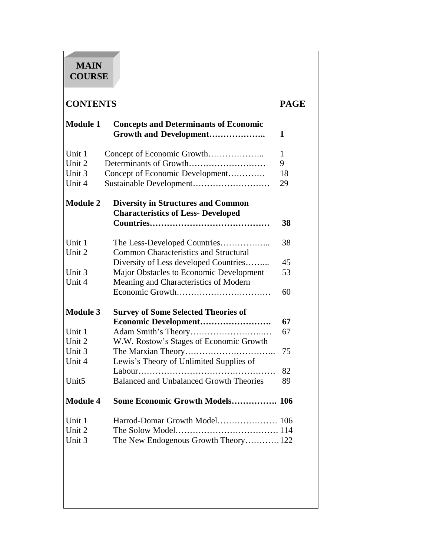# **MAIN COURSE**

# **CONTENTS PAGE**

| <b>Module 1</b>   | <b>Concepts and Determinants of Economic</b><br>Growth and Development                 | 1            |
|-------------------|----------------------------------------------------------------------------------------|--------------|
| Unit 1            | Concept of Economic Growth                                                             | $\mathbf{1}$ |
| Unit 2            | Determinants of Growth                                                                 | 9            |
| Unit 3            | Concept of Economic Development                                                        | 18           |
| Unit 4            | Sustainable Development                                                                | 29           |
| <b>Module 2</b>   | <b>Diversity in Structures and Common</b><br><b>Characteristics of Less- Developed</b> |              |
|                   |                                                                                        | 38           |
| Unit 1            |                                                                                        | 38           |
| Unit 2            | <b>Common Characteristics and Structural</b>                                           |              |
|                   | Diversity of Less developed Countries                                                  | 45           |
| Unit 3            | Major Obstacles to Economic Development                                                | 53           |
| Unit 4            | Meaning and Characteristics of Modern                                                  |              |
|                   |                                                                                        | 60           |
| <b>Module 3</b>   | <b>Survey of Some Selected Theories of</b>                                             |              |
|                   | Economic Development                                                                   | 67           |
| Unit 1            |                                                                                        | 67           |
| Unit 2            | W.W. Rostow's Stages of Economic Growth                                                |              |
| Unit 3            |                                                                                        | 75           |
| Unit 4            | Lewis's Theory of Unlimited Supplies of                                                |              |
|                   |                                                                                        | 82           |
| Unit <sub>5</sub> | <b>Balanced and Unbalanced Growth Theories</b>                                         | 89           |
| <b>Module 4</b>   | Some Economic Growth Models 106                                                        |              |
| Unit 1            |                                                                                        |              |
| Unit 2            |                                                                                        |              |
| Unit 3            | The New Endogenous Growth Theory 122                                                   |              |
|                   |                                                                                        |              |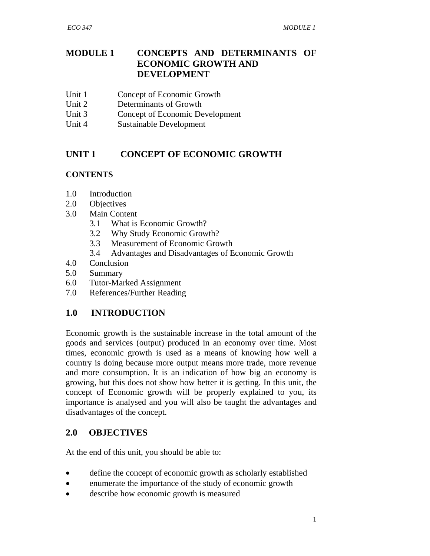## **MODULE 1 CONCEPTS AND DETERMINANTS OF ECONOMIC GROWTH AND DEVELOPMENT**

- Unit 1 Concept of Economic Growth
- Unit 2 Determinants of Growth
- Unit 3 Concept of Economic Development
- Unit 4 Sustainable Development

## **UNIT 1 CONCEPT OF ECONOMIC GROWTH**

#### **CONTENTS**

- 1.0 Introduction
- 2.0 Objectives
- 3.0 Main Content
	- 3.1 What is Economic Growth?
	- 3.2 Why Study Economic Growth?
	- 3.3 Measurement of Economic Growth
	- 3.4 Advantages and Disadvantages of Economic Growth
- 4.0 Conclusion
- 5.0 Summary
- 6.0 Tutor-Marked Assignment
- 7.0 References/Further Reading

## **1.0 INTRODUCTION**

Economic growth is the sustainable increase in the total amount of the goods and services (output) produced in an economy over time. Most times, economic growth is used as a means of knowing how well a country is doing because more output means more trade, more revenue and more consumption. It is an indication of how big an economy is growing, but this does not show how better it is getting. In this unit, the concept of Economic growth will be properly explained to you, its importance is analysed and you will also be taught the advantages and disadvantages of the concept.

## **2.0 OBJECTIVES**

At the end of this unit, you should be able to:

- define the concept of economic growth as scholarly established
- enumerate the importance of the study of economic growth
- describe how economic growth is measured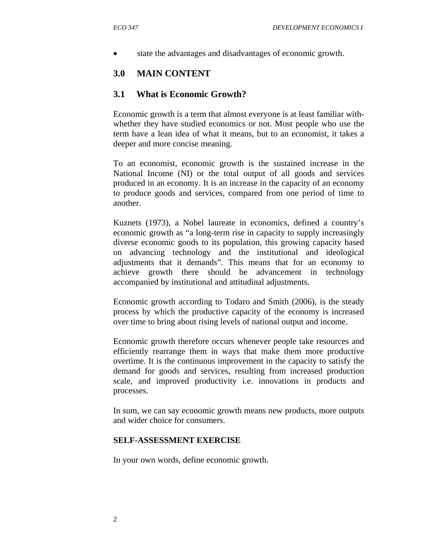state the advantages and disadvantages of economic growth.

#### **3.0 MAIN CONTENT**

#### **3.1 What is Economic Growth?**

Economic growth is a term that almost everyone is at least familiar withwhether they have studied economics or not. Most people who use the term have a lean idea of what it means, but to an economist, it takes a deeper and more concise meaning.

To an economist, economic growth is the sustained increase in the National Income (NI) or the total output of all goods and services produced in an economy. It is an increase in the capacity of an economy to produce goods and services, compared from one period of time to another.

Kuznets (1973), a Nobel laureate in economics, defined a country's economic growth as "a long-term rise in capacity to supply increasingly diverse economic goods to its population, this growing capacity based on advancing technology and the institutional and ideological adjustments that it demands". This means that for an economy to achieve growth there should be advancement in technology accompanied by institutional and attitudinal adjustments.

Economic growth according to Todaro and Smith (2006), is the steady process by which the productive capacity of the economy is increased over time to bring about rising levels of national output and income.

Economic growth therefore occurs whenever people take resources and efficiently rearrange them in ways that make them more productive overtime. It is the continuous improvement in the capacity to satisfy the demand for goods and services, resulting from increased production scale, and improved productivity i.e. innovations in products and processes.

In sum, we can say economic growth means new products, more outputs and wider choice for consumers.

#### **SELF-ASSESSMENT EXERCISE**

In your own words, define economic growth.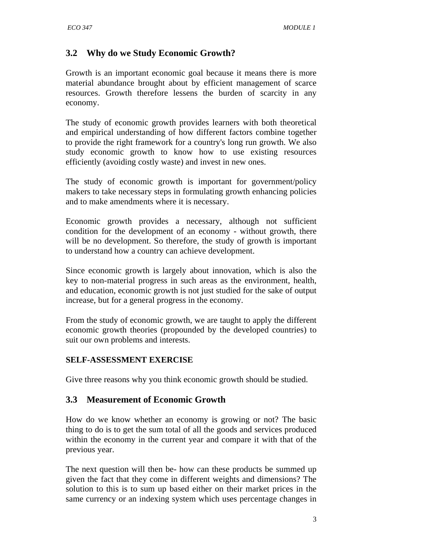# **3.2 Why do we Study Economic Growth?**

Growth is an important economic goal because it means there is more material abundance brought about by efficient management of scarce resources. Growth therefore lessens the burden of scarcity in any economy.

The study of economic growth provides learners with both theoretical and empirical understanding of how different factors combine together to provide the right framework for a country's long run growth. We also study economic growth to know how to use existing resources efficiently (avoiding costly waste) and invest in new ones.

The study of economic growth is important for government/policy makers to take necessary steps in formulating growth enhancing policies and to make amendments where it is necessary.

Economic growth provides a necessary, although not sufficient condition for the development of an economy - without growth, there will be no development. So therefore, the study of growth is important to understand how a country can achieve development.

Since economic growth is largely about innovation, which is also the key to non-material progress in such areas as the environment, health, and education, economic growth is not just studied for the sake of output increase, but for a general progress in the economy.

From the study of economic growth, we are taught to apply the different economic growth theories (propounded by the developed countries) to suit our own problems and interests.

#### **SELF-ASSESSMENT EXERCISE**

Give three reasons why you think economic growth should be studied.

## **3.3 Measurement of Economic Growth**

How do we know whether an economy is growing or not? The basic thing to do is to get the sum total of all the goods and services produced within the economy in the current year and compare it with that of the previous year.

The next question will then be- how can these products be summed up given the fact that they come in different weights and dimensions? The solution to this is to sum up based either on their market prices in the same currency or an indexing system which uses percentage changes in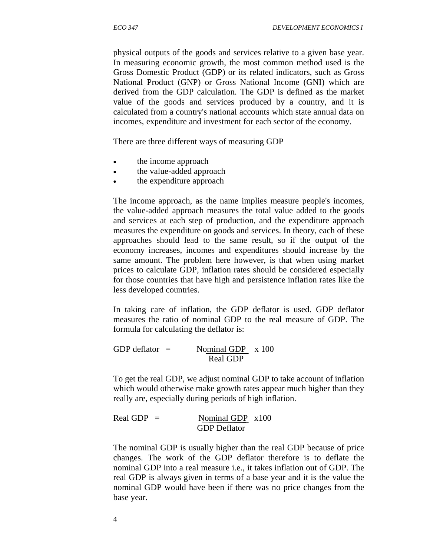physical outputs of the goods and services relative to a given base year. In measuring economic growth, the most common method used is the Gross Domestic Product (GDP) or its related indicators, such as Gross National Product (GNP) or Gross National Income (GNI) which are derived from the GDP calculation. The GDP is defined as the market value of the goods and services produced by a country, and it is calculated from a country's national accounts which state annual data on incomes, expenditure and investment for each sector of the economy.

There are three different ways of measuring GDP

- the income approach
- the value-added approach
- the expenditure approach

The income approach, as the name implies measure people's incomes, the value-added approach measures the total value added to the goods and services at each step of production, and the expenditure approach measures the expenditure on goods and services. In theory, each of these approaches should lead to the same result, so if the output of the economy increases, incomes and expenditures should increase by the same amount. The problem here however, is that when using market prices to calculate GDP, inflation rates should be considered especially for those countries that have high and persistence inflation rates like the less developed countries.

In taking care of inflation, the GDP deflator is used. GDP deflator measures the ratio of nominal GDP to the real measure of GDP. The formula for calculating the deflator is:

GDP deflator  $=$  Nominal GDP  $\times$  100 Real GDP

To get the real GDP, we adjust nominal GDP to take account of inflation which would otherwise make growth rates appear much higher than they really are, especially during periods of high inflation.

Real GDP =  $\frac{\text{Nominal GDP}}{\text{Mominal GDP}}$ GDP Deflator

The nominal GDP is usually higher than the real GDP because of price changes. The work of the GDP deflator therefore is to deflate the nominal GDP into a real measure i.e., it takes inflation out of GDP. The real GDP is always given in terms of a base year and it is the value the nominal GDP would have been if there was no price changes from the base year.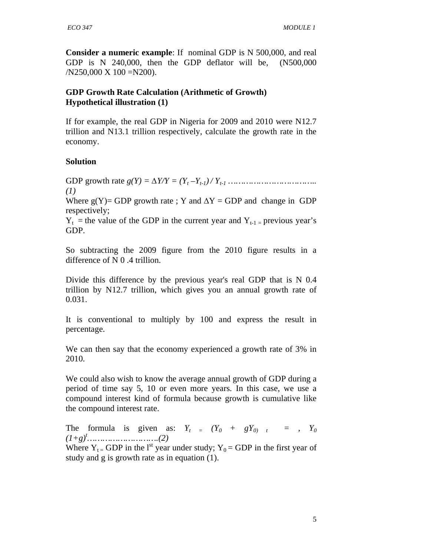**Consider a numeric example**: If nominal GDP is N 500,000, and real GDP is N 240,000, then the GDP deflator will be, (N500,000  $/N250,000 \text{ X } 100 = N200$ .

## **GDP Growth Rate Calculation (Arithmetic of Growth) Hypothetical illustration (1)**

If for example, the real GDP in Nigeria for 2009 and 2010 were N12.7 trillion and N13.1 trillion respectively, calculate the growth rate in the economy.

## **Solution**

GDP growth rate *g(Y) =* ∆*Y/Y = (Y<sup>t</sup> –Yt-1) / Yt-1 …………………………….. (1)* 

Where  $g(Y)$ = GDP growth rate ; Y and  $\Delta Y$  = GDP and change in GDP respectively;

 $Y_t$  = the value of the GDP in the current year and  $Y_{t-1}$  = previous year's GDP.

So subtracting the 2009 figure from the 2010 figure results in a difference of N 0 .4 trillion.

Divide this difference by the previous year's real GDP that is N 0.4 trillion by N12.7 trillion, which gives you an annual growth rate of 0.031.

It is conventional to multiply by 100 and express the result in percentage.

We can then say that the economy experienced a growth rate of 3% in 2010.

We could also wish to know the average annual growth of GDP during a period of time say 5, 10 or even more years. In this case, we use a compound interest kind of formula because growth is cumulative like the compound interest rate.

The formula is given as:  $Y_t = (Y_0 + gY_0)$   $t = I$ ,  $Y_0$ *(1+g)<sup>t</sup>……………………….(2)* 

Where  $Y_t$  = GDP in the l<sup>st</sup> year under study;  $Y_0$  = GDP in the first year of study and g is growth rate as in equation (1).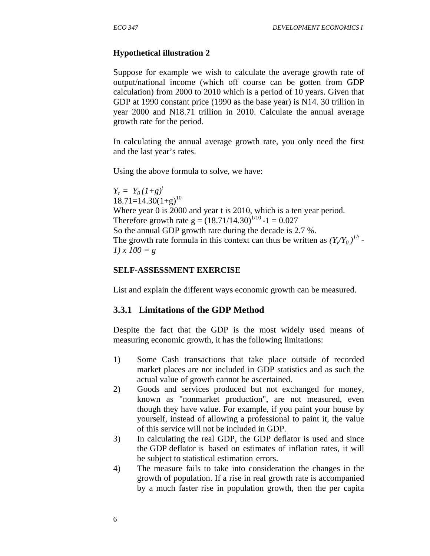#### **Hypothetical illustration 2**

Suppose for example we wish to calculate the average growth rate of output/national income (which off course can be gotten from GDP calculation) from 2000 to 2010 which is a period of 10 years. Given that GDP at 1990 constant price (1990 as the base year) is N14. 30 trillion in year 2000 and N18.71 trillion in 2010. Calculate the annual average growth rate for the period.

In calculating the annual average growth rate, you only need the first and the last year's rates.

Using the above formula to solve, we have:

 $Y_t = Y_0 (1+g)^t$  $18.71=14.30(1+g)^{10}$ Where year 0 is 2000 and year t is 2010, which is a ten year period. Therefore growth rate  $g = (18.71/14.30)^{1/10} - 1 = 0.027$ So the annual GDP growth rate during the decade is 2.7 %. The growth rate formula in this context can thus be written as  $(Y_t/Y_0)^{1/t}$ . *1) x 100 = g*

#### **SELF-ASSESSMENT EXERCISE**

List and explain the different ways economic growth can be measured.

#### **3.3.1 Limitations of the GDP Method**

Despite the fact that the GDP is the most widely used means of measuring economic growth, it has the following limitations:

- 1) Some Cash transactions that take place outside of recorded market places are not included in GDP statistics and as such the actual value of growth cannot be ascertained.
- 2) Goods and services produced but not exchanged for money, known as "nonmarket production", are not measured, even though they have value. For example, if you paint your house by yourself, instead of allowing a professional to paint it, the value of this service will not be included in GDP.
- 3) In calculating the real GDP, the GDP deflator is used and since the GDP deflator is based on estimates of inflation rates, it will be subject to statistical estimation errors.
- 4) The measure fails to take into consideration the changes in the growth of population. If a rise in real growth rate is accompanied by a much faster rise in population growth, then the per capita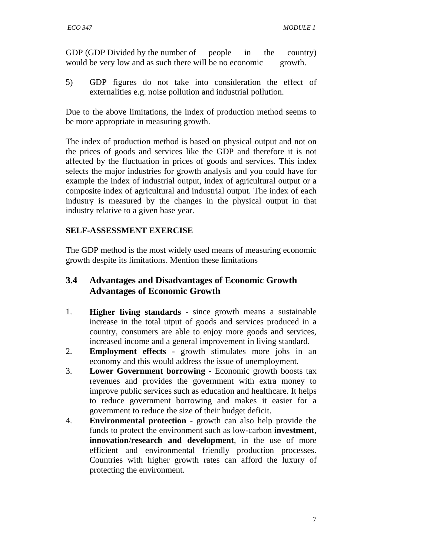GDP (GDP Divided by the number of people in the country) would be very low and as such there will be no economic growth.

5) GDP figures do not take into consideration the effect of externalities e.g. noise pollution and industrial pollution.

Due to the above limitations, the index of production method seems to be more appropriate in measuring growth.

The index of production method is based on physical output and not on the prices of goods and services like the GDP and therefore it is not affected by the fluctuation in prices of goods and services. This index selects the major industries for growth analysis and you could have for example the index of industrial output, index of agricultural output or a composite index of agricultural and industrial output. The index of each industry is measured by the changes in the physical output in that industry relative to a given base year.

## **SELF-ASSESSMENT EXERCISE**

The GDP method is the most widely used means of measuring economic growth despite its limitations. Mention these limitations

# **3.4 Advantages and Disadvantages of Economic Growth Advantages of Economic Growth**

- 1. **Higher living standards -** since growth means a sustainable increase in the total utput of goods and services produced in a country, consumers are able to enjoy more goods and services, increased income and a general improvement in living standard.
- 2. **Employment effects** growth stimulates more jobs in an economy and this would address the issue of unemployment.
- 3. **Lower Government borrowing** Economic growth boosts tax revenues and provides the government with extra money to improve public services such as education and healthcare. It helps to reduce government borrowing and makes it easier for a government to reduce the size of their budget deficit.
- 4. **Environmental protection**  growth can also help provide the funds to protect the environment such as low-carbon **investment**, **innovation**/**research and development**, in the use of more efficient and environmental friendly production processes. Countries with higher growth rates can afford the luxury of protecting the environment.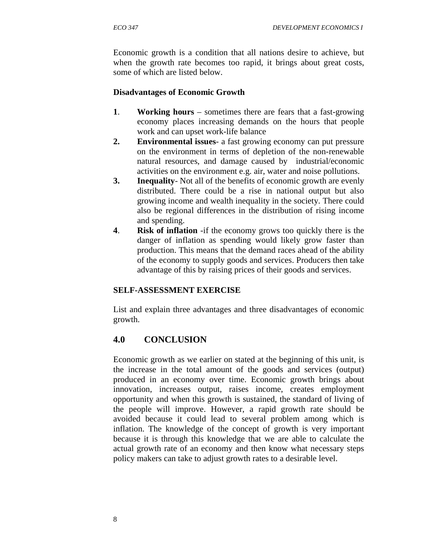Economic growth is a condition that all nations desire to achieve, but when the growth rate becomes too rapid, it brings about great costs, some of which are listed below.

## **Disadvantages of Economic Growth**

- **1**. **Working hours** sometimes there are fears that a fast-growing economy places increasing demands on the hours that people work and can upset work-life balance
- **2. Environmental issues** a fast growing economy can put pressure on the environment in terms of depletion of the non-renewable natural resources, and damage caused by industrial/economic activities on the environment e.g. air, water and noise pollutions.
- **3. Inequality** Not all of the benefits of economic growth are evenly distributed. There could be a rise in national output but also growing income and wealth inequality in the society. There could also be regional differences in the distribution of rising income and spending.
- **4**.**Risk of inflation** -if the economy grows too quickly there is the danger of inflation as spending would likely grow faster than production. This means that the demand races ahead of the ability of the economy to supply goods and services. Producers then take advantage of this by raising prices of their goods and services.

## **SELF-ASSESSMENT EXERCISE**

List and explain three advantages and three disadvantages of economic growth.

# **4.0 CONCLUSION**

Economic growth as we earlier on stated at the beginning of this unit, is the increase in the total amount of the goods and services (output) produced in an economy over time. Economic growth brings about innovation, increases output, raises income, creates employment opportunity and when this growth is sustained, the standard of living of the people will improve. However, a rapid growth rate should be avoided because it could lead to several problem among which is inflation. The knowledge of the concept of growth is very important because it is through this knowledge that we are able to calculate the actual growth rate of an economy and then know what necessary steps policy makers can take to adjust growth rates to a desirable level.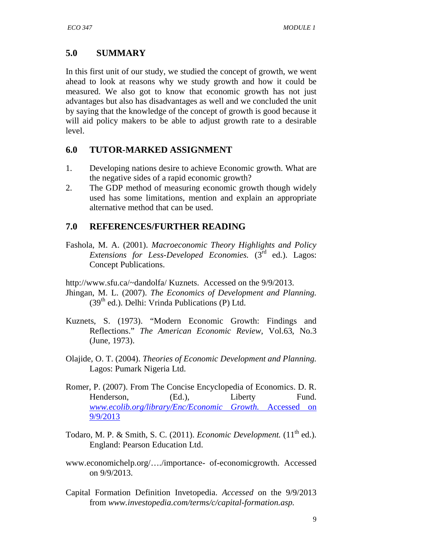# **5.0 SUMMARY**

In this first unit of our study, we studied the concept of growth, we went ahead to look at reasons why we study growth and how it could be measured. We also got to know that economic growth has not just advantages but also has disadvantages as well and we concluded the unit by saying that the knowledge of the concept of growth is good because it will aid policy makers to be able to adjust growth rate to a desirable level.

## **6.0 TUTOR-MARKED ASSIGNMENT**

- 1. Developing nations desire to achieve Economic growth. What are the negative sides of a rapid economic growth?
- 2. The GDP method of measuring economic growth though widely used has some limitations, mention and explain an appropriate alternative method that can be used.

## **7.0 REFERENCES/FURTHER READING**

Fashola, M. A. (2001). *Macroeconomic Theory Highlights and Policy Extensions for Less-Developed Economies.* (3<sup>rd</sup> ed.). Lagos: Concept Publications.

http://www.sfu.ca/~dandolfa/ Kuznets. Accessed on the 9/9/2013.

- Jhingan, M. L. (2007). *The Economics of Development and Planning.*  $(39<sup>th</sup>$  ed.). Delhi: Vrinda Publications (P) Ltd.
- Kuznets, S. (1973). "Modern Economic Growth: Findings and Reflections." *The American Economic Review*, Vol.63, No.3 (June, 1973).
- Olajide, O. T. (2004). *Theories of Economic Development and Planning.* Lagos: Pumark Nigeria Ltd.
- Romer, P. (2007). From The Concise Encyclopedia of Economics. D. R. Henderson, (Ed.), Liberty Fund. *www.ecolib.org/library/Enc/Economic Growth.* Accessed on 9/9/2013
- Todaro, M. P. & Smith, S. C. (2011). *Economic Development*.  $(11<sup>th</sup>$  ed.). England: Pearson Education Ltd.
- www.economichelp.org/…./importance- of-economicgrowth. Accessed on 9/9/2013.
- Capital Formation Definition Invetopedia. *Accessed* on the 9/9/2013 from *www.investopedia.com/terms/c/capital-formation.asp.*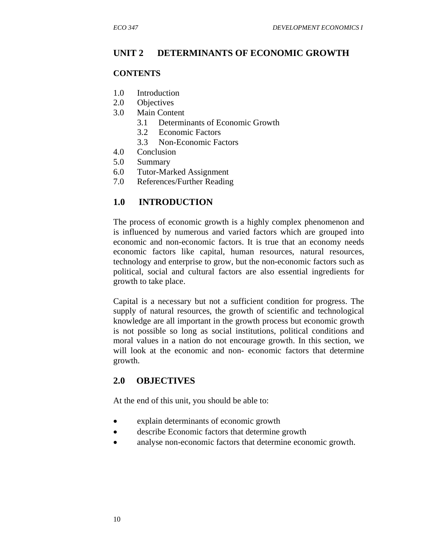## **UNIT 2 DETERMINANTS OF ECONOMIC GROWTH**

#### **CONTENTS**

- 1.0 Introduction
- 2.0 Objectives
- 3.0 Main Content
	- 3.1 Determinants of Economic Growth
	- 3.2 Economic Factors
	- 3.3 Non-Economic Factors
- 4.0 Conclusion
- 5.0 Summary
- 6.0 Tutor-Marked Assignment
- 7.0 References/Further Reading

## **1.0 INTRODUCTION**

The process of economic growth is a highly complex phenomenon and is influenced by numerous and varied factors which are grouped into economic and non-economic factors. It is true that an economy needs economic factors like capital, human resources, natural resources, technology and enterprise to grow, but the non-economic factors such as political, social and cultural factors are also essential ingredients for growth to take place.

Capital is a necessary but not a sufficient condition for progress. The supply of natural resources, the growth of scientific and technological knowledge are all important in the growth process but economic growth is not possible so long as social institutions, political conditions and moral values in a nation do not encourage growth. In this section, we will look at the economic and non- economic factors that determine growth.

## **2.0 OBJECTIVES**

At the end of this unit, you should be able to:

- explain determinants of economic growth
- describe Economic factors that determine growth
- analyse non-economic factors that determine economic growth.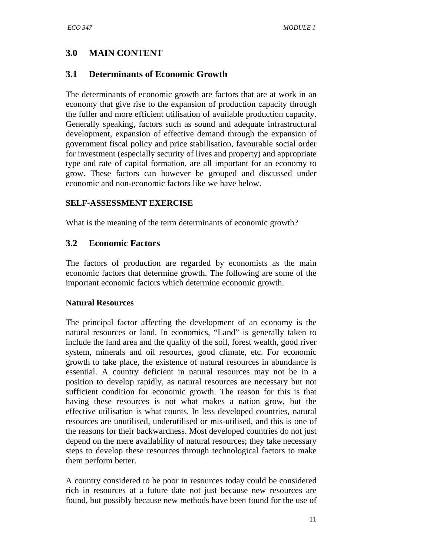# **3.0 MAIN CONTENT**

# **3.1 Determinants of Economic Growth**

The determinants of economic growth are factors that are at work in an economy that give rise to the expansion of production capacity through the fuller and more efficient utilisation of available production capacity. Generally speaking, factors such as sound and adequate infrastructural development, expansion of effective demand through the expansion of government fiscal policy and price stabilisation, favourable social order for investment (especially security of lives and property) and appropriate type and rate of capital formation, are all important for an economy to grow. These factors can however be grouped and discussed under economic and non-economic factors like we have below.

## **SELF-ASSESSMENT EXERCISE**

What is the meaning of the term determinants of economic growth?

## **3.2 Economic Factors**

The factors of production are regarded by economists as the main economic factors that determine growth. The following are some of the important economic factors which determine economic growth.

#### **Natural Resources**

The principal factor affecting the development of an economy is the natural resources or land. In economics, "Land" is generally taken to include the land area and the quality of the soil, forest wealth, good river system, minerals and oil resources, good climate, etc. For economic growth to take place, the existence of natural resources in abundance is essential. A country deficient in natural resources may not be in a position to develop rapidly, as natural resources are necessary but not sufficient condition for economic growth. The reason for this is that having these resources is not what makes a nation grow, but the effective utilisation is what counts. In less developed countries, natural resources are unutilised, underutilised or mis-utilised, and this is one of the reasons for their backwardness. Most developed countries do not just depend on the mere availability of natural resources; they take necessary steps to develop these resources through technological factors to make them perform better.

A country considered to be poor in resources today could be considered rich in resources at a future date not just because new resources are found, but possibly because new methods have been found for the use of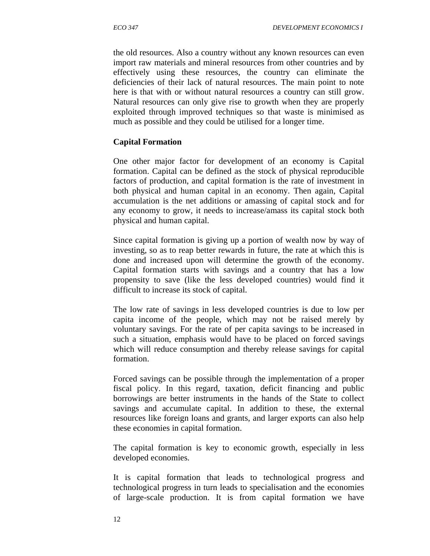the old resources. Also a country without any known resources can even import raw materials and mineral resources from other countries and by effectively using these resources, the country can eliminate the deficiencies of their lack of natural resources. The main point to note here is that with or without natural resources a country can still grow. Natural resources can only give rise to growth when they are properly exploited through improved techniques so that waste is minimised as much as possible and they could be utilised for a longer time.

#### **Capital Formation**

One other major factor for development of an economy is Capital formation. Capital can be defined as the stock of physical reproducible factors of production, and capital formation is the rate of investment in both physical and human capital in an economy. Then again, Capital accumulation is the net additions or amassing of capital stock and for any economy to grow, it needs to increase/amass its capital stock both physical and human capital.

Since capital formation is giving up a portion of wealth now by way of investing, so as to reap better rewards in future, the rate at which this is done and increased upon will determine the growth of the economy. Capital formation starts with savings and a country that has a low propensity to save (like the less developed countries) would find it difficult to increase its stock of capital.

The low rate of savings in less developed countries is due to low per capita income of the people, which may not be raised merely by voluntary savings. For the rate of per capita savings to be increased in such a situation, emphasis would have to be placed on forced savings which will reduce consumption and thereby release savings for capital formation.

Forced savings can be possible through the implementation of a proper fiscal policy. In this regard, taxation, deficit financing and public borrowings are better instruments in the hands of the State to collect savings and accumulate capital. In addition to these, the external resources like foreign loans and grants, and larger exports can also help these economies in capital formation.

The capital formation is key to economic growth, especially in less developed economies.

It is capital formation that leads to technological progress and technological progress in turn leads to specialisation and the economies of large-scale production. It is from capital formation we have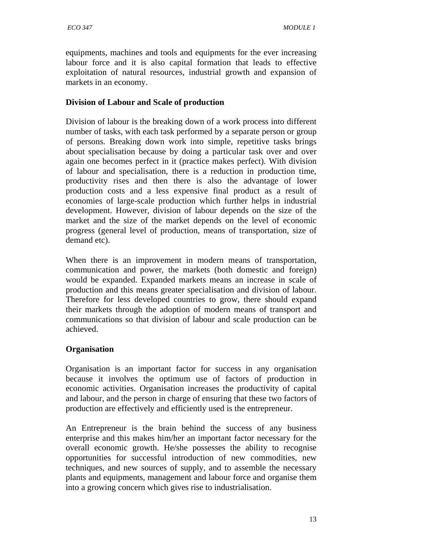equipments, machines and tools and equipments for the ever increasing labour force and it is also capital formation that leads to effective exploitation of natural resources, industrial growth and expansion of markets in an economy.

## **Division of Labour and Scale of production**

Division of labour is the breaking down of a work process into different number of tasks, with each task performed by a separate person or group of persons. Breaking down work into simple, repetitive tasks brings about specialisation because by doing a particular task over and over again one becomes perfect in it (practice makes perfect). With division of labour and specialisation, there is a reduction in production time, productivity rises and then there is also the advantage of lower production costs and a less expensive final product as a result of economies of large-scale production which further helps in industrial development. However, division of labour depends on the size of the market and the size of the market depends on the level of economic progress (general level of production, means of transportation, size of demand etc).

When there is an improvement in modern means of transportation, communication and power, the markets (both domestic and foreign) would be expanded. Expanded markets means an increase in scale of production and this means greater specialisation and division of labour. Therefore for less developed countries to grow, there should expand their markets through the adoption of modern means of transport and communications so that division of labour and scale production can be achieved.

## **Organisation**

Organisation is an important factor for success in any organisation because it involves the optimum use of factors of production in economic activities. Organisation increases the productivity of capital and labour, and the person in charge of ensuring that these two factors of production are effectively and efficiently used is the entrepreneur.

An Entrepreneur is the brain behind the success of any business enterprise and this makes him/her an important factor necessary for the overall economic growth. He/she possesses the ability to recognise opportunities for successful introduction of new commodities, new techniques, and new sources of supply, and to assemble the necessary plants and equipments, management and labour force and organise them into a growing concern which gives rise to industrialisation.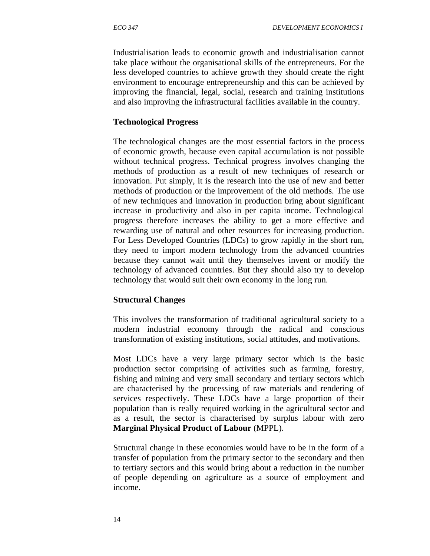Industrialisation leads to economic growth and industrialisation cannot take place without the organisational skills of the entrepreneurs. For the less developed countries to achieve growth they should create the right environment to encourage entrepreneurship and this can be achieved by improving the financial, legal, social, research and training institutions and also improving the infrastructural facilities available in the country.

#### **Technological Progress**

The technological changes are the most essential factors in the process of economic growth, because even capital accumulation is not possible without technical progress. Technical progress involves changing the methods of production as a result of new techniques of research or innovation. Put simply, it is the research into the use of new and better methods of production or the improvement of the old methods. The use of new techniques and innovation in production bring about significant increase in productivity and also in per capita income. Technological progress therefore increases the ability to get a more effective and rewarding use of natural and other resources for increasing production. For Less Developed Countries (LDCs) to grow rapidly in the short run, they need to import modern technology from the advanced countries because they cannot wait until they themselves invent or modify the technology of advanced countries. But they should also try to develop technology that would suit their own economy in the long run.

#### **Structural Changes**

This involves the transformation of traditional agricultural society to a modern industrial economy through the radical and conscious transformation of existing institutions, social attitudes, and motivations.

Most LDCs have a very large primary sector which is the basic production sector comprising of activities such as farming, forestry, fishing and mining and very small secondary and tertiary sectors which are characterised by the processing of raw materials and rendering of services respectively. These LDCs have a large proportion of their population than is really required working in the agricultural sector and as a result, the sector is characterised by surplus labour with zero **Marginal Physical Product of Labour** (MPPL).

Structural change in these economies would have to be in the form of a transfer of population from the primary sector to the secondary and then to tertiary sectors and this would bring about a reduction in the number of people depending on agriculture as a source of employment and income.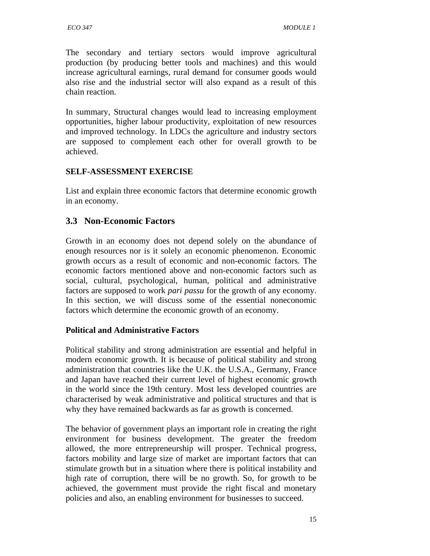The secondary and tertiary sectors would improve agricultural production (by producing better tools and machines) and this would increase agricultural earnings, rural demand for consumer goods would also rise and the industrial sector will also expand as a result of this chain reaction.

In summary, Structural changes would lead to increasing employment opportunities, higher labour productivity, exploitation of new resources and improved technology. In LDCs the agriculture and industry sectors are supposed to complement each other for overall growth to be achieved.

#### **SELF-ASSESSMENT EXERCISE**

List and explain three economic factors that determine economic growth in an economy.

## **3.3 Non-Economic Factors**

Growth in an economy does not depend solely on the abundance of enough resources nor is it solely an economic phenomenon. Economic growth occurs as a result of economic and non-economic factors. The economic factors mentioned above and non-economic factors such as social, cultural, psychological, human, political and administrative factors are supposed to work *pari passu* for the growth of any economy. In this section, we will discuss some of the essential noneconomic factors which determine the economic growth of an economy.

#### **Political and Administrative Factors**

Political stability and strong administration are essential and helpful in modern economic growth. It is because of political stability and strong administration that countries like the U.K. the U.S.A., Germany, France and Japan have reached their current level of highest economic growth in the world since the 19th century. Most less developed countries are characterised by weak administrative and political structures and that is why they have remained backwards as far as growth is concerned.

The behavior of government plays an important role in creating the right environment for business development. The greater the freedom allowed, the more entrepreneurship will prosper. Technical progress, factors mobility and large size of market are important factors that can stimulate growth but in a situation where there is political instability and high rate of corruption, there will be no growth. So, for growth to be achieved, the government must provide the right fiscal and monetary policies and also, an enabling environment for businesses to succeed.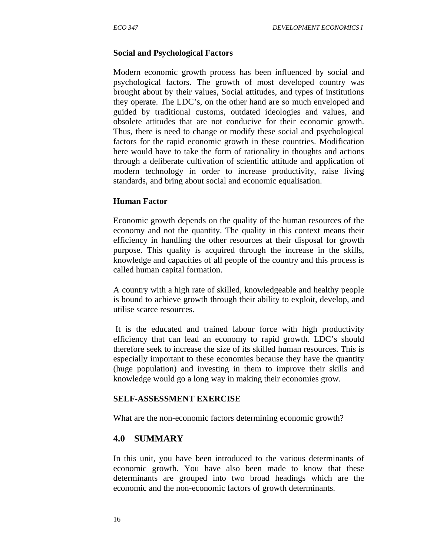#### **Social and Psychological Factors**

Modern economic growth process has been influenced by social and psychological factors. The growth of most developed country was brought about by their values, Social attitudes, and types of institutions they operate. The LDC's, on the other hand are so much enveloped and guided by traditional customs, outdated ideologies and values, and obsolete attitudes that are not conducive for their economic growth. Thus, there is need to change or modify these social and psychological factors for the rapid economic growth in these countries. Modification here would have to take the form of rationality in thoughts and actions through a deliberate cultivation of scientific attitude and application of modern technology in order to increase productivity, raise living standards, and bring about social and economic equalisation.

#### **Human Factor**

Economic growth depends on the quality of the human resources of the economy and not the quantity. The quality in this context means their efficiency in handling the other resources at their disposal for growth purpose. This quality is acquired through the increase in the skills, knowledge and capacities of all people of the country and this process is called human capital formation.

A country with a high rate of skilled, knowledgeable and healthy people is bound to achieve growth through their ability to exploit, develop, and utilise scarce resources.

 It is the educated and trained labour force with high productivity efficiency that can lead an economy to rapid growth. LDC's should therefore seek to increase the size of its skilled human resources. This is especially important to these economies because they have the quantity (huge population) and investing in them to improve their skills and knowledge would go a long way in making their economies grow.

#### **SELF-ASSESSMENT EXERCISE**

What are the non-economic factors determining economic growth?

#### **4.0 SUMMARY**

In this unit, you have been introduced to the various determinants of economic growth. You have also been made to know that these determinants are grouped into two broad headings which are the economic and the non-economic factors of growth determinants.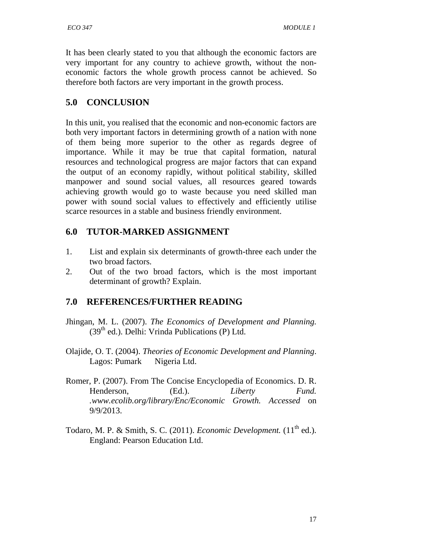It has been clearly stated to you that although the economic factors are very important for any country to achieve growth, without the noneconomic factors the whole growth process cannot be achieved. So therefore both factors are very important in the growth process.

## **5.0 CONCLUSION**

In this unit, you realised that the economic and non-economic factors are both very important factors in determining growth of a nation with none of them being more superior to the other as regards degree of importance. While it may be true that capital formation, natural resources and technological progress are major factors that can expand the output of an economy rapidly, without political stability, skilled manpower and sound social values, all resources geared towards achieving growth would go to waste because you need skilled man power with sound social values to effectively and efficiently utilise scarce resources in a stable and business friendly environment.

## **6.0 TUTOR-MARKED ASSIGNMENT**

- 1. List and explain six determinants of growth-three each under the two broad factors.
- 2. Out of the two broad factors, which is the most important determinant of growth? Explain.

# **7.0 REFERENCES/FURTHER READING**

- Jhingan, M. L. (2007). *The Economics of Development and Planning.* (39<sup>th</sup> ed.). Delhi: Vrinda Publications (P) Ltd.
- Olajide, O. T. (2004). *Theories of Economic Development and Planning*. Lagos: Pumark Nigeria Ltd.
- Romer, P. (2007). From The Concise Encyclopedia of Economics. D. R. Henderson, (Ed.). *Liberty Fund. .www.ecolib.org/library/Enc/Economic Growth. Accessed* on 9/9/2013.
- Todaro, M. P. & Smith, S. C. (2011). *Economic Development*. (11<sup>th</sup> ed.). England: Pearson Education Ltd.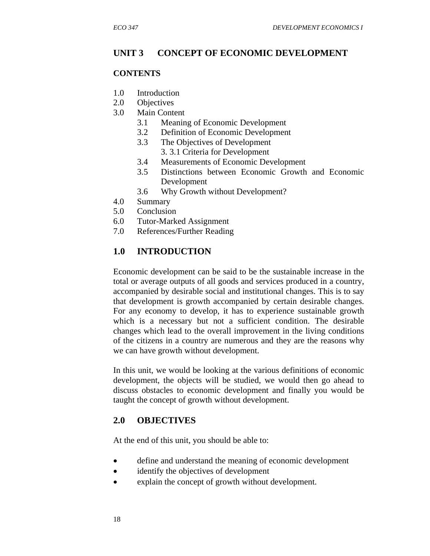#### **UNIT 3 CONCEPT OF ECONOMIC DEVELOPMENT**

#### **CONTENTS**

- 1.0 Introduction
- 2.0 Objectives
- 3.0 Main Content
	- 3.1 Meaning of Economic Development
	- 3.2 Definition of Economic Development
	- 3.3 The Objectives of Development 3. 3.1 Criteria for Development
	- 3.4 Measurements of Economic Development
	- 3.5 Distinctions between Economic Growth and Economic Development
	- 3.6 Why Growth without Development?
- 4.0 Summary
- 5.0 Conclusion
- 6.0 Tutor-Marked Assignment
- 7.0 References/Further Reading

#### **1.0 INTRODUCTION**

Economic development can be said to be the sustainable increase in the total or average outputs of all goods and services produced in a country, accompanied by desirable social and institutional changes. This is to say that development is growth accompanied by certain desirable changes. For any economy to develop, it has to experience sustainable growth which is a necessary but not a sufficient condition. The desirable changes which lead to the overall improvement in the living conditions of the citizens in a country are numerous and they are the reasons why we can have growth without development.

In this unit, we would be looking at the various definitions of economic development, the objects will be studied, we would then go ahead to discuss obstacles to economic development and finally you would be taught the concept of growth without development.

#### **2.0 OBJECTIVES**

At the end of this unit, you should be able to:

- define and understand the meaning of economic development
- identify the objectives of development
- explain the concept of growth without development.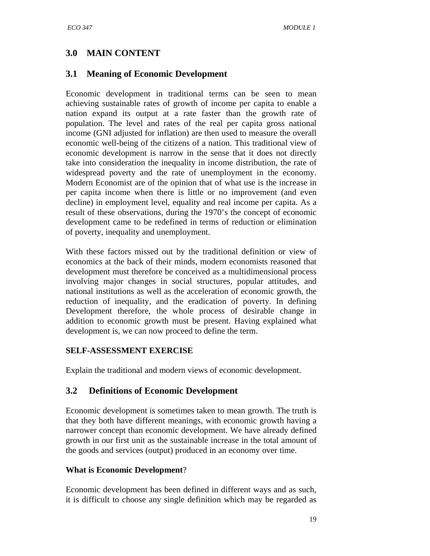# **3.0 MAIN CONTENT**

## **3.1 Meaning of Economic Development**

Economic development in traditional terms can be seen to mean achieving sustainable rates of growth of income per capita to enable a nation expand its output at a rate faster than the growth rate of population. The level and rates of the real per capita gross national income (GNI adjusted for inflation) are then used to measure the overall economic well-being of the citizens of a nation. This traditional view of economic development is narrow in the sense that it does not directly take into consideration the inequality in income distribution, the rate of widespread poverty and the rate of unemployment in the economy. Modern Economist are of the opinion that of what use is the increase in per capita income when there is little or no improvement (and even decline) in employment level, equality and real income per capita. As a result of these observations, during the 1970's the concept of economic development came to be redefined in terms of reduction or elimination of poverty, inequality and unemployment.

With these factors missed out by the traditional definition or view of economics at the back of their minds, modern economists reasoned that development must therefore be conceived as a multidimensional process involving major changes in social structures, popular attitudes, and national institutions as well as the acceleration of economic growth, the reduction of inequality, and the eradication of poverty. In defining Development therefore, the whole process of desirable change in addition to economic growth must be present. Having explained what development is, we can now proceed to define the term.

#### **SELF-ASSESSMENT EXERCISE**

Explain the traditional and modern views of economic development.

## **3.2 Definitions of Economic Development**

Economic development is sometimes taken to mean growth. The truth is that they both have different meanings, with economic growth having a narrower concept than economic development. We have already defined growth in our first unit as the sustainable increase in the total amount of the goods and services (output) produced in an economy over time.

#### **What is Economic Development**?

Economic development has been defined in different ways and as such, it is difficult to choose any single definition which may be regarded as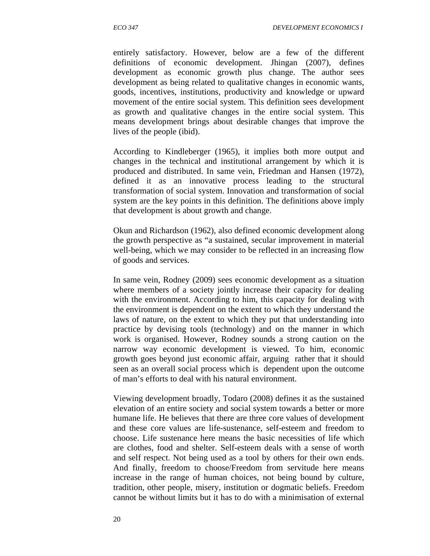entirely satisfactory. However, below are a few of the different definitions of economic development. Jhingan (2007), defines development as economic growth plus change. The author sees development as being related to qualitative changes in economic wants, goods, incentives, institutions, productivity and knowledge or upward movement of the entire social system. This definition sees development as growth and qualitative changes in the entire social system. This means development brings about desirable changes that improve the lives of the people (ibid).

According to Kindleberger (1965), it implies both more output and changes in the technical and institutional arrangement by which it is produced and distributed. In same vein, Friedman and Hansen (1972), defined it as an innovative process leading to the structural transformation of social system. Innovation and transformation of social system are the key points in this definition. The definitions above imply that development is about growth and change.

Okun and Richardson (1962), also defined economic development along the growth perspective as "a sustained, secular improvement in material well-being, which we may consider to be reflected in an increasing flow of goods and services.

In same vein, Rodney (2009) sees economic development as a situation where members of a society jointly increase their capacity for dealing with the environment. According to him, this capacity for dealing with the environment is dependent on the extent to which they understand the laws of nature, on the extent to which they put that understanding into practice by devising tools (technology) and on the manner in which work is organised. However, Rodney sounds a strong caution on the narrow way economic development is viewed. To him, economic growth goes beyond just economic affair, arguing rather that it should seen as an overall social process which is dependent upon the outcome of man's efforts to deal with his natural environment.

Viewing development broadly, Todaro (2008) defines it as the sustained elevation of an entire society and social system towards a better or more humane life. He believes that there are three core values of development and these core values are life-sustenance, self-esteem and freedom to choose. Life sustenance here means the basic necessities of life which are clothes, food and shelter. Self-esteem deals with a sense of worth and self respect. Not being used as a tool by others for their own ends. And finally, freedom to choose/Freedom from servitude here means increase in the range of human choices, not being bound by culture, tradition, other people, misery, institution or dogmatic beliefs. Freedom cannot be without limits but it has to do with a minimisation of external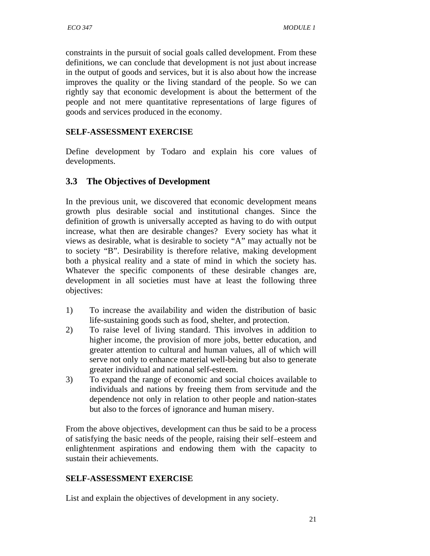constraints in the pursuit of social goals called development. From these definitions, we can conclude that development is not just about increase in the output of goods and services, but it is also about how the increase improves the quality or the living standard of the people. So we can rightly say that economic development is about the betterment of the people and not mere quantitative representations of large figures of goods and services produced in the economy.

## **SELF-ASSESSMENT EXERCISE**

Define development by Todaro and explain his core values of developments.

# **3.3 The Objectives of Development**

In the previous unit, we discovered that economic development means growth plus desirable social and institutional changes. Since the definition of growth is universally accepted as having to do with output increase, what then are desirable changes? Every society has what it views as desirable, what is desirable to society "A" may actually not be to society "B". Desirability is therefore relative, making development both a physical reality and a state of mind in which the society has. Whatever the specific components of these desirable changes are, development in all societies must have at least the following three objectives:

- 1) To increase the availability and widen the distribution of basic life-sustaining goods such as food, shelter, and protection.
- 2) To raise level of living standard. This involves in addition to higher income, the provision of more jobs, better education, and greater attention to cultural and human values, all of which will serve not only to enhance material well-being but also to generate greater individual and national self-esteem.
- 3) To expand the range of economic and social choices available to individuals and nations by freeing them from servitude and the dependence not only in relation to other people and nation-states but also to the forces of ignorance and human misery.

From the above objectives, development can thus be said to be a process of satisfying the basic needs of the people, raising their self–esteem and enlightenment aspirations and endowing them with the capacity to sustain their achievements.

## **SELF-ASSESSMENT EXERCISE**

List and explain the objectives of development in any society.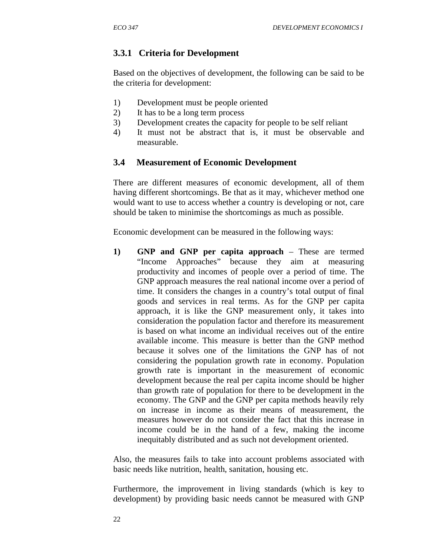# **3.3.1 Criteria for Development**

Based on the objectives of development, the following can be said to be the criteria for development:

- 1) Development must be people oriented
- 2) It has to be a long term process
- 3) Development creates the capacity for people to be self reliant
- 4) It must not be abstract that is, it must be observable and measurable.

#### **3.4 Measurement of Economic Development**

There are different measures of economic development, all of them having different shortcomings. Be that as it may, whichever method one would want to use to access whether a country is developing or not, care should be taken to minimise the shortcomings as much as possible.

Economic development can be measured in the following ways:

**1) GNP and GNP per capita approach** – These are termed "Income Approaches" because they aim at measuring productivity and incomes of people over a period of time. The GNP approach measures the real national income over a period of time. It considers the changes in a country's total output of final goods and services in real terms. As for the GNP per capita approach, it is like the GNP measurement only, it takes into consideration the population factor and therefore its measurement is based on what income an individual receives out of the entire available income. This measure is better than the GNP method because it solves one of the limitations the GNP has of not considering the population growth rate in economy. Population growth rate is important in the measurement of economic development because the real per capita income should be higher than growth rate of population for there to be development in the economy. The GNP and the GNP per capita methods heavily rely on increase in income as their means of measurement, the measures however do not consider the fact that this increase in income could be in the hand of a few, making the income inequitably distributed and as such not development oriented.

Also, the measures fails to take into account problems associated with basic needs like nutrition, health, sanitation, housing etc.

Furthermore, the improvement in living standards (which is key to development) by providing basic needs cannot be measured with GNP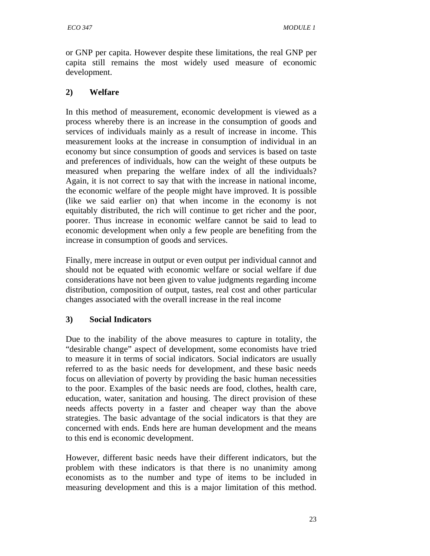or GNP per capita. However despite these limitations, the real GNP per capita still remains the most widely used measure of economic development.

# **2) Welfare**

In this method of measurement, economic development is viewed as a process whereby there is an increase in the consumption of goods and services of individuals mainly as a result of increase in income. This measurement looks at the increase in consumption of individual in an economy but since consumption of goods and services is based on taste and preferences of individuals, how can the weight of these outputs be measured when preparing the welfare index of all the individuals? Again, it is not correct to say that with the increase in national income, the economic welfare of the people might have improved. It is possible (like we said earlier on) that when income in the economy is not equitably distributed, the rich will continue to get richer and the poor, poorer. Thus increase in economic welfare cannot be said to lead to economic development when only a few people are benefiting from the increase in consumption of goods and services.

Finally, mere increase in output or even output per individual cannot and should not be equated with economic welfare or social welfare if due considerations have not been given to value judgments regarding income distribution, composition of output, tastes, real cost and other particular changes associated with the overall increase in the real income

# **3) Social Indicators**

Due to the inability of the above measures to capture in totality, the "desirable change" aspect of development, some economists have tried to measure it in terms of social indicators. Social indicators are usually referred to as the basic needs for development, and these basic needs focus on alleviation of poverty by providing the basic human necessities to the poor. Examples of the basic needs are food, clothes, health care, education, water, sanitation and housing. The direct provision of these needs affects poverty in a faster and cheaper way than the above strategies. The basic advantage of the social indicators is that they are concerned with ends. Ends here are human development and the means to this end is economic development.

However, different basic needs have their different indicators, but the problem with these indicators is that there is no unanimity among economists as to the number and type of items to be included in measuring development and this is a major limitation of this method.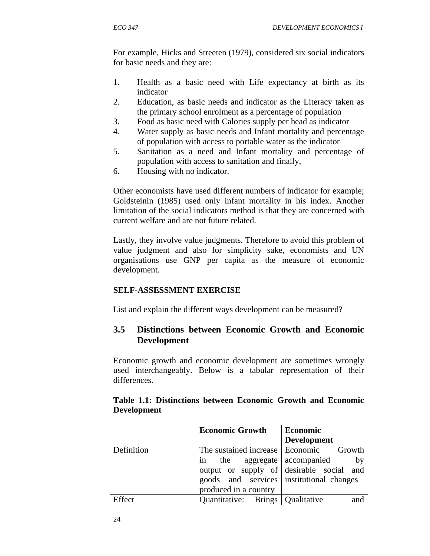For example, Hicks and Streeten (1979), considered six social indicators for basic needs and they are:

- 1. Health as a basic need with Life expectancy at birth as its indicator
- 2. Education, as basic needs and indicator as the Literacy taken as the primary school enrolment as a percentage of population
- 3. Food as basic need with Calories supply per head as indicator
- 4. Water supply as basic needs and Infant mortality and percentage of population with access to portable water as the indicator
- 5. Sanitation as a need and Infant mortality and percentage of population with access to sanitation and finally,
- 6. Housing with no indicator.

Other economists have used different numbers of indicator for example; Goldsteinin (1985) used only infant mortality in his index. Another limitation of the social indicators method is that they are concerned with current welfare and are not future related.

Lastly, they involve value judgments. Therefore to avoid this problem of value judgment and also for simplicity sake, economists and UN organisations use GNP per capita as the measure of economic development.

# **SELF-ASSESSMENT EXERCISE**

List and explain the different ways development can be measured?

# **3.5 Distinctions between Economic Growth and Economic Development**

Economic growth and economic development are sometimes wrongly used interchangeably. Below is a tabular representation of their differences.

|            | <b>Economic Growth</b>                   | <b>Economic</b>                          |
|------------|------------------------------------------|------------------------------------------|
|            |                                          | <b>Development</b>                       |
| Definition | The sustained increase                   | Economic Growth                          |
|            | in the aggregate accompanied             | by                                       |
|            |                                          | output or supply of desirable social and |
|            | goods and services institutional changes |                                          |
|            | produced in a country                    |                                          |
| Effect     | Quantitative: Brings   Qualitative       |                                          |

#### **Table 1.1: Distinctions between Economic Growth and Economic Development**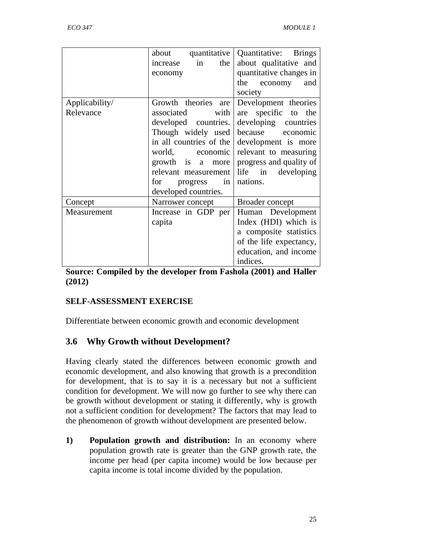|                | quantitative<br>about   | Quantitative: Brings                             |  |  |
|----------------|-------------------------|--------------------------------------------------|--|--|
|                | in<br>the<br>increase   | about qualitative and                            |  |  |
|                | economy                 | quantitative changes in<br>the<br>economy<br>and |  |  |
|                |                         |                                                  |  |  |
|                |                         | society                                          |  |  |
| Applicability/ | Growth theories are     | Development theories                             |  |  |
| Relevance      | with<br>associated      | are specific to the                              |  |  |
|                | developed countries.    | developing countries                             |  |  |
|                | Though widely used      | because economic                                 |  |  |
|                | in all countries of the | development is more                              |  |  |
|                | world, economic         | relevant to measuring                            |  |  |
|                | growth is a more        | progress and quality of                          |  |  |
|                | relevant measurement    | life in developing                               |  |  |
|                | in<br>for<br>progress   | nations.                                         |  |  |
|                | developed countries.    |                                                  |  |  |
| Concept        | Narrower concept        | Broader concept                                  |  |  |
| Measurement    | Increase in GDP per     | Human Development                                |  |  |
|                | capita                  | Index (HDI) which is                             |  |  |
|                |                         | a composite statistics                           |  |  |
|                |                         | of the life expectancy,                          |  |  |
|                |                         | education, and income                            |  |  |
|                |                         | indices.                                         |  |  |

**Source: Compiled by the developer from Fashola (2001) and Haller (2012)** 

## **SELF-ASSESSMENT EXERCISE**

Differentiate between economic growth and economic development

# **3.6 Why Growth without Development?**

Having clearly stated the differences between economic growth and economic development, and also knowing that growth is a precondition for development, that is to say it is a necessary but not a sufficient condition for development. We will now go further to see why there can be growth without development or stating it differently, why is growth not a sufficient condition for development? The factors that may lead to the phenomenon of growth without development are presented below.

**1) Population growth and distribution:** In an economy where population growth rate is greater than the GNP growth rate, the income per head (per capita income) would be low because per capita income is total income divided by the population.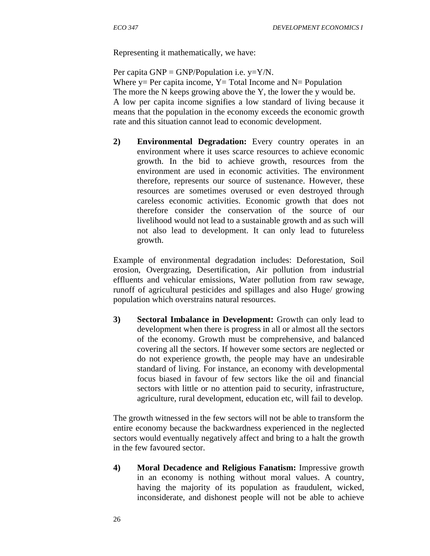Representing it mathematically, we have:

Per capita  $GNP = GNP/Population$  i.e.  $y=Y/N$ . Where  $y = Per$  capita income,  $Y = Total$  Income and  $N = Population$ The more the N keeps growing above the Y, the lower the y would be. A low per capita income signifies a low standard of living because it means that the population in the economy exceeds the economic growth rate and this situation cannot lead to economic development.

**2) Environmental Degradation:** Every country operates in an environment where it uses scarce resources to achieve economic growth. In the bid to achieve growth, resources from the environment are used in economic activities. The environment therefore, represents our source of sustenance. However, these resources are sometimes overused or even destroyed through careless economic activities. Economic growth that does not therefore consider the conservation of the source of our livelihood would not lead to a sustainable growth and as such will not also lead to development. It can only lead to futureless growth.

Example of environmental degradation includes: Deforestation, Soil erosion, Overgrazing, Desertification, Air pollution from industrial effluents and vehicular emissions, Water pollution from raw sewage, runoff of agricultural pesticides and spillages and also Huge/ growing population which overstrains natural resources.

**3) Sectoral Imbalance in Development:** Growth can only lead to development when there is progress in all or almost all the sectors of the economy. Growth must be comprehensive, and balanced covering all the sectors. If however some sectors are neglected or do not experience growth, the people may have an undesirable standard of living. For instance, an economy with developmental focus biased in favour of few sectors like the oil and financial sectors with little or no attention paid to security, infrastructure, agriculture, rural development, education etc, will fail to develop.

The growth witnessed in the few sectors will not be able to transform the entire economy because the backwardness experienced in the neglected sectors would eventually negatively affect and bring to a halt the growth in the few favoured sector.

**4) Moral Decadence and Religious Fanatism:** Impressive growth in an economy is nothing without moral values. A country, having the majority of its population as fraudulent, wicked, inconsiderate, and dishonest people will not be able to achieve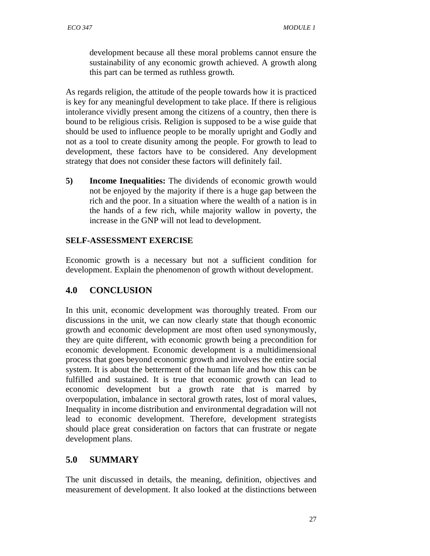development because all these moral problems cannot ensure the sustainability of any economic growth achieved. A growth along this part can be termed as ruthless growth.

As regards religion, the attitude of the people towards how it is practiced is key for any meaningful development to take place. If there is religious intolerance vividly present among the citizens of a country, then there is bound to be religious crisis. Religion is supposed to be a wise guide that should be used to influence people to be morally upright and Godly and not as a tool to create disunity among the people. For growth to lead to development, these factors have to be considered. Any development strategy that does not consider these factors will definitely fail.

**5) Income Inequalities:** The dividends of economic growth would not be enjoyed by the majority if there is a huge gap between the rich and the poor. In a situation where the wealth of a nation is in the hands of a few rich, while majority wallow in poverty, the increase in the GNP will not lead to development.

# **SELF-ASSESSMENT EXERCISE**

Economic growth is a necessary but not a sufficient condition for development. Explain the phenomenon of growth without development.

# **4.0 CONCLUSION**

In this unit, economic development was thoroughly treated. From our discussions in the unit, we can now clearly state that though economic growth and economic development are most often used synonymously, they are quite different, with economic growth being a precondition for economic development. Economic development is a multidimensional process that goes beyond economic growth and involves the entire social system. It is about the betterment of the human life and how this can be fulfilled and sustained. It is true that economic growth can lead to economic development but a growth rate that is marred by overpopulation, imbalance in sectoral growth rates, lost of moral values, Inequality in income distribution and environmental degradation will not lead to economic development. Therefore, development strategists should place great consideration on factors that can frustrate or negate development plans.

# **5.0 SUMMARY**

The unit discussed in details, the meaning, definition, objectives and measurement of development. It also looked at the distinctions between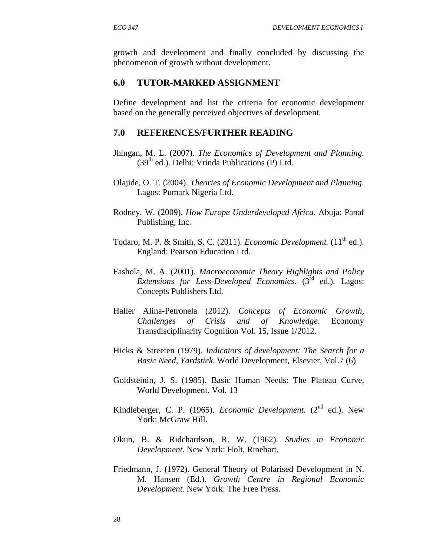growth and development and finally concluded by discussing the phenomenon of growth without development.

#### **6.0 TUTOR-MARKED ASSIGNMENT**

Define development and list the criteria for economic development based on the generally perceived objectives of development.

#### **7.0 REFERENCES/FURTHER READING**

- Jhingan, M. L. (2007). *The Economics of Development and Planning.*  $(39<sup>th</sup>$  ed.). Delhi: Vrinda Publications (P) Ltd.
- Olajide, O. T. (2004). *Theories of Economic Development and Planning.* Lagos: Pumark Nigeria Ltd.
- Rodney, W. (2009). *How Europe Underdeveloped Africa.* Abuja: Panaf Publishing, Inc.
- Todaro, M. P. & Smith, S. C. (2011). *Economic Development*. (11<sup>th</sup> ed.). England: Pearson Education Ltd.
- Fashola, M. A. (2001). *Macroeconomic Theory Highlights and Policy Extensions for Less-Developed Economies*. (3rd ed.). Lagos: Concepts Publishers Ltd.
- Haller Alina-Petronela (2012). *Concepts of Economic Growth, Challenges of Crisis and of Knowledge*. Economy Transdisciplinarity Cognition Vol. 15, Issue 1/2012.
- Hicks & Streeten (1979). *Indicators of development: The Search for a Basic Need, Yardstick*. World Development, Elsevier, Vol.7 (6)
- Goldsteinin, J. S. (1985). Basic Human Needs: The Plateau Curve, World Development. Vol. 13
- Kindleberger, C. P. (1965). *Economic Development*. (2<sup>nd</sup> ed.). New York: McGraw Hill.
- Okun, B. & Ridchardson, R. W. (1962). *Studies in Economic Development.* New York: Holt, Rinehart.
- Friedmann, J. (1972). General Theory of Polarised Development in N. M. Hansen (Ed.). *Growth Centre in Regional Economic Development.* New York: The Free Press.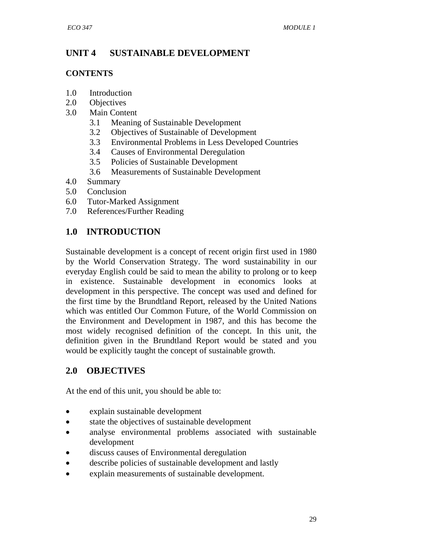# **UNIT 4 SUSTAINABLE DEVELOPMENT**

### **CONTENTS**

- 1.0 Introduction
- 2.0 Objectives
- 3.0 Main Content
	- 3.1 Meaning of Sustainable Development
	- 3.2 Objectives of Sustainable of Development
	- 3.3 Environmental Problems in Less Developed Countries
	- 3.4 Causes of Environmental Deregulation
	- 3.5 Policies of Sustainable Development
	- 3.6 Measurements of Sustainable Development
- 4.0 Summary
- 5.0 Conclusion
- 6.0 Tutor-Marked Assignment
- 7.0 References/Further Reading

# **1.0 INTRODUCTION**

Sustainable development is a concept of recent origin first used in 1980 by the World Conservation Strategy. The word sustainability in our everyday English could be said to mean the ability to prolong or to keep in existence. Sustainable development in economics looks at development in this perspective. The concept was used and defined for the first time by the Brundtland Report, released by the United Nations which was entitled Our Common Future, of the World Commission on the Environment and Development in 1987, and this has become the most widely recognised definition of the concept. In this unit, the definition given in the Brundtland Report would be stated and you would be explicitly taught the concept of sustainable growth.

# **2.0 OBJECTIVES**

At the end of this unit, you should be able to:

- explain sustainable development
- state the objectives of sustainable development
- analyse environmental problems associated with sustainable development
- discuss causes of Environmental deregulation
- describe policies of sustainable development and lastly
- explain measurements of sustainable development.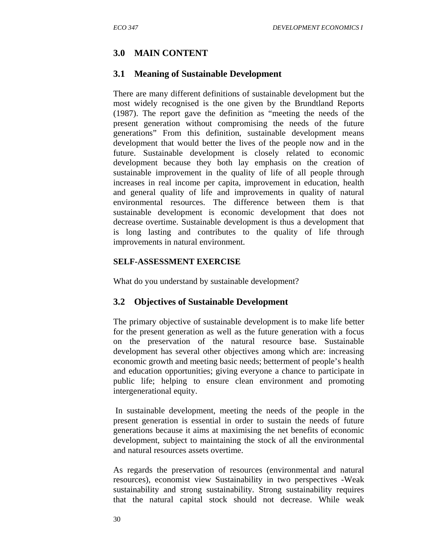# **3.0 MAIN CONTENT**

### **3.1 Meaning of Sustainable Development**

There are many different definitions of sustainable development but the most widely recognised is the one given by the Brundtland Reports (1987). The report gave the definition as "meeting the needs of the present generation without compromising the needs of the future generations" From this definition, sustainable development means development that would better the lives of the people now and in the future. Sustainable development is closely related to economic development because they both lay emphasis on the creation of sustainable improvement in the quality of life of all people through increases in real income per capita, improvement in education, health and general quality of life and improvements in quality of natural environmental resources. The difference between them is that sustainable development is economic development that does not decrease overtime. Sustainable development is thus a development that is long lasting and contributes to the quality of life through improvements in natural environment.

#### **SELF-ASSESSMENT EXERCISE**

What do you understand by sustainable development?

## **3.2 Objectives of Sustainable Development**

The primary objective of sustainable development is to make life better for the present generation as well as the future generation with a focus on the preservation of the natural resource base. Sustainable development has several other objectives among which are: increasing economic growth and meeting basic needs; betterment of people's health and education opportunities; giving everyone a chance to participate in public life; helping to ensure clean environment and promoting intergenerational equity.

 In sustainable development, meeting the needs of the people in the present generation is essential in order to sustain the needs of future generations because it aims at maximising the net benefits of economic development, subject to maintaining the stock of all the environmental and natural resources assets overtime.

As regards the preservation of resources (environmental and natural resources), economist view Sustainability in two perspectives -Weak sustainability and strong sustainability. Strong sustainability requires that the natural capital stock should not decrease. While weak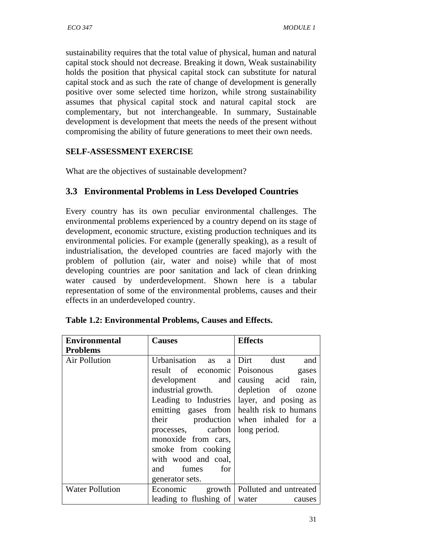sustainability requires that the total value of physical, human and natural capital stock should not decrease. Breaking it down, Weak sustainability holds the position that physical capital stock can substitute for natural capital stock and as such the rate of change of development is generally positive over some selected time horizon, while strong sustainability assumes that physical capital stock and natural capital stock are complementary, but not interchangeable. In summary, Sustainable development is development that meets the needs of the present without compromising the ability of future generations to meet their own needs.

## **SELF-ASSESSMENT EXERCISE**

What are the objectives of sustainable development?

# **3.3 Environmental Problems in Less Developed Countries**

Every country has its own peculiar environmental challenges. The environmental problems experienced by a country depend on its stage of development, economic structure, existing production techniques and its environmental policies. For example (generally speaking), as a result of industrialisation, the developed countries are faced majorly with the problem of pollution (air, water and noise) while that of most developing countries are poor sanitation and lack of clean drinking water caused by underdevelopment. Shown here is a tabular representation of some of the environmental problems, causes and their effects in an underdeveloped country.

| <b>Environmental</b>   | <b>Causes</b>                                | <b>Effects</b>                           |  |  |
|------------------------|----------------------------------------------|------------------------------------------|--|--|
| <b>Problems</b>        |                                              |                                          |  |  |
| Air Pollution          | Urbanisation<br>as<br>a                      | Dirt<br>dust<br>and                      |  |  |
|                        | result of economic Poisonous                 | gases                                    |  |  |
|                        | development and causing acid rain,           |                                          |  |  |
|                        | industrial growth.                           | depletion of ozone                       |  |  |
|                        | Leading to Industries   layer, and posing as |                                          |  |  |
|                        | emitting gases from health risk to humans    |                                          |  |  |
|                        | their                                        | production when inhaled for a            |  |  |
|                        | processes, carbon   long period.             |                                          |  |  |
|                        | monoxide from cars,                          |                                          |  |  |
|                        | smoke from cooking                           |                                          |  |  |
|                        | with wood and coal,                          |                                          |  |  |
|                        | for<br>and<br>fumes                          |                                          |  |  |
|                        | generator sets.                              |                                          |  |  |
| <b>Water Pollution</b> |                                              | Economic growth   Polluted and untreated |  |  |
|                        | leading to flushing of water                 | causes                                   |  |  |

| Table 1.2: Environmental Problems, Causes and Effects. |
|--------------------------------------------------------|
|                                                        |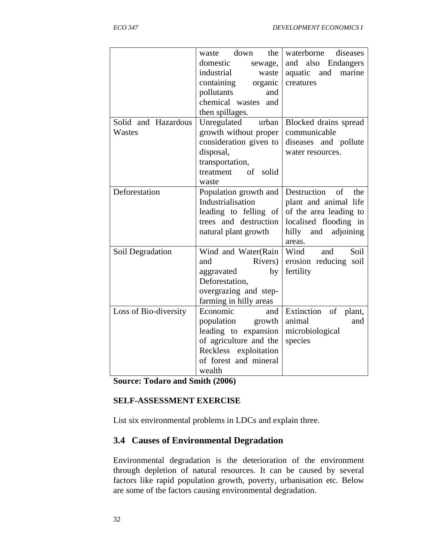**Source: Todaro and Smith (2006)** 

#### **SELF-ASSESSMENT EXERCISE**

List six environmental problems in LDCs and explain three.

## **3.4 Causes of Environmental Degradation**

Environmental degradation is the deterioration of the environment through depletion of natural resources. It can be caused by several factors like rapid population growth, poverty, urbanisation etc. Below are some of the factors causing environmental degradation.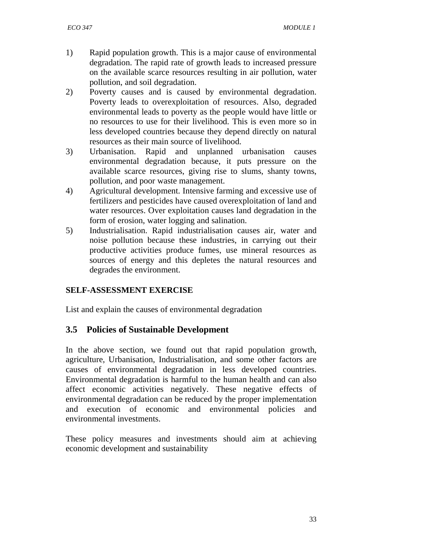- 1) Rapid population growth. This is a major cause of environmental degradation. The rapid rate of growth leads to increased pressure on the available scarce resources resulting in air pollution, water pollution, and soil degradation.
- 2) Poverty causes and is caused by environmental degradation. Poverty leads to overexploitation of resources. Also, degraded environmental leads to poverty as the people would have little or no resources to use for their livelihood. This is even more so in less developed countries because they depend directly on natural resources as their main source of livelihood.
- 3) Urbanisation. Rapid and unplanned urbanisation causes environmental degradation because, it puts pressure on the available scarce resources, giving rise to slums, shanty towns, pollution, and poor waste management.
- 4) Agricultural development. Intensive farming and excessive use of fertilizers and pesticides have caused overexploitation of land and water resources. Over exploitation causes land degradation in the form of erosion, water logging and salination.
- 5) Industrialisation. Rapid industrialisation causes air, water and noise pollution because these industries, in carrying out their productive activities produce fumes, use mineral resources as sources of energy and this depletes the natural resources and degrades the environment.

## **SELF-ASSESSMENT EXERCISE**

List and explain the causes of environmental degradation

## **3.5 Policies of Sustainable Development**

In the above section, we found out that rapid population growth, agriculture, Urbanisation, Industrialisation, and some other factors are causes of environmental degradation in less developed countries. Environmental degradation is harmful to the human health and can also affect economic activities negatively. These negative effects of environmental degradation can be reduced by the proper implementation and execution of economic and environmental policies and environmental investments.

These policy measures and investments should aim at achieving economic development and sustainability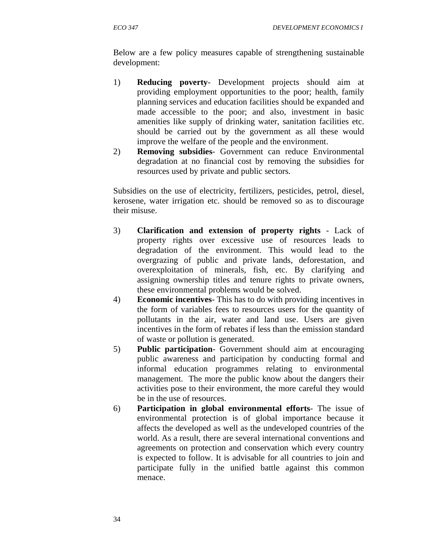Below are a few policy measures capable of strengthening sustainable development:

- 1) **Reducing poverty** Development projects should aim at providing employment opportunities to the poor; health, family planning services and education facilities should be expanded and made accessible to the poor; and also, investment in basic amenities like supply of drinking water, sanitation facilities etc. should be carried out by the government as all these would improve the welfare of the people and the environment.
- 2) **Removing subsidies** Government can reduce Environmental degradation at no financial cost by removing the subsidies for resources used by private and public sectors.

Subsidies on the use of electricity, fertilizers, pesticides, petrol, diesel, kerosene, water irrigation etc. should be removed so as to discourage their misuse.

- 3) **Clarification and extension of property rights** Lack of property rights over excessive use of resources leads to degradation of the environment. This would lead to the overgrazing of public and private lands, deforestation, and overexploitation of minerals, fish, etc. By clarifying and assigning ownership titles and tenure rights to private owners, these environmental problems would be solved.
- 4) **Economic incentives** This has to do with providing incentives in the form of variables fees to resources users for the quantity of pollutants in the air, water and land use. Users are given incentives in the form of rebates if less than the emission standard of waste or pollution is generated.
- 5) **Public participation** Government should aim at encouraging public awareness and participation by conducting formal and informal education programmes relating to environmental management. The more the public know about the dangers their activities pose to their environment, the more careful they would be in the use of resources.
- 6) **Participation in global environmental efforts** The issue of environmental protection is of global importance because it affects the developed as well as the undeveloped countries of the world. As a result, there are several international conventions and agreements on protection and conservation which every country is expected to follow. It is advisable for all countries to join and participate fully in the unified battle against this common menace.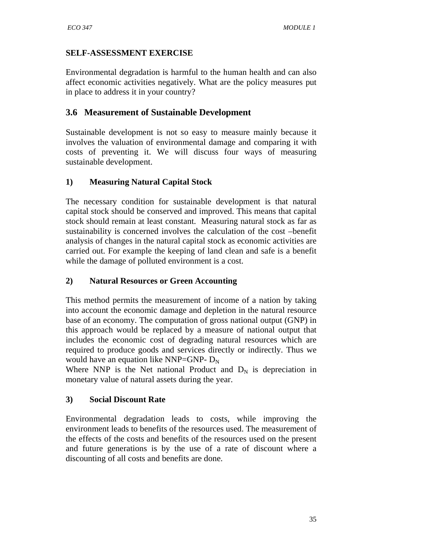#### **SELF-ASSESSMENT EXERCISE**

Environmental degradation is harmful to the human health and can also affect economic activities negatively. What are the policy measures put in place to address it in your country?

### **3.6 Measurement of Sustainable Development**

Sustainable development is not so easy to measure mainly because it involves the valuation of environmental damage and comparing it with costs of preventing it. We will discuss four ways of measuring sustainable development.

#### **1) Measuring Natural Capital Stock**

The necessary condition for sustainable development is that natural capital stock should be conserved and improved. This means that capital stock should remain at least constant. Measuring natural stock as far as sustainability is concerned involves the calculation of the cost –benefit analysis of changes in the natural capital stock as economic activities are carried out. For example the keeping of land clean and safe is a benefit while the damage of polluted environment is a cost.

#### **2) Natural Resources or Green Accounting**

This method permits the measurement of income of a nation by taking into account the economic damage and depletion in the natural resource base of an economy. The computation of gross national output (GNP) in this approach would be replaced by a measure of national output that includes the economic cost of degrading natural resources which are required to produce goods and services directly or indirectly. Thus we would have an equation like NNP=GNP-  $D_N$ 

Where NNP is the Net national Product and  $D<sub>N</sub>$  is depreciation in monetary value of natural assets during the year.

## **3) Social Discount Rate**

Environmental degradation leads to costs, while improving the environment leads to benefits of the resources used. The measurement of the effects of the costs and benefits of the resources used on the present and future generations is by the use of a rate of discount where a discounting of all costs and benefits are done.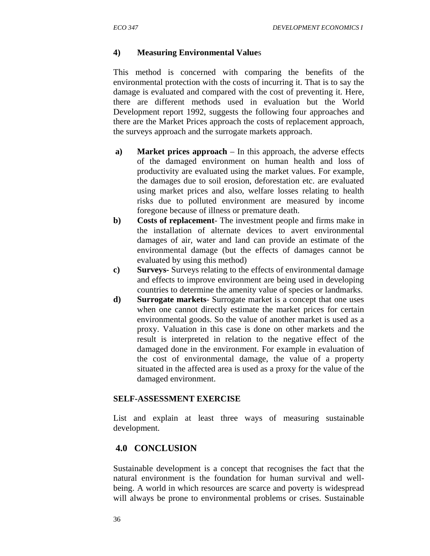#### **4) Measuring Environmental Value**s

This method is concerned with comparing the benefits of the environmental protection with the costs of incurring it. That is to say the damage is evaluated and compared with the cost of preventing it. Here, there are different methods used in evaluation but the World Development report 1992, suggests the following four approaches and there are the Market Prices approach the costs of replacement approach, the surveys approach and the surrogate markets approach.

- **a) Market prices approach** In this approach, the adverse effects of the damaged environment on human health and loss of productivity are evaluated using the market values. For example, the damages due to soil erosion, deforestation etc. are evaluated using market prices and also, welfare losses relating to health risks due to polluted environment are measured by income foregone because of illness or premature death.
- **b) Costs of replacement** The investment people and firms make in the installation of alternate devices to avert environmental damages of air, water and land can provide an estimate of the environmental damage (but the effects of damages cannot be evaluated by using this method)
- **c) Surveys-** Surveys relating to the effects of environmental damage and effects to improve environment are being used in developing countries to determine the amenity value of species or landmarks.
- **d) Surrogate markets** Surrogate market is a concept that one uses when one cannot directly estimate the market prices for certain environmental goods. So the value of another market is used as a proxy. Valuation in this case is done on other markets and the result is interpreted in relation to the negative effect of the damaged done in the environment. For example in evaluation of the cost of environmental damage, the value of a property situated in the affected area is used as a proxy for the value of the damaged environment.

#### **SELF-ASSESSMENT EXERCISE**

List and explain at least three ways of measuring sustainable development.

#### **4.0 CONCLUSION**

Sustainable development is a concept that recognises the fact that the natural environment is the foundation for human survival and wellbeing. A world in which resources are scarce and poverty is widespread will always be prone to environmental problems or crises. Sustainable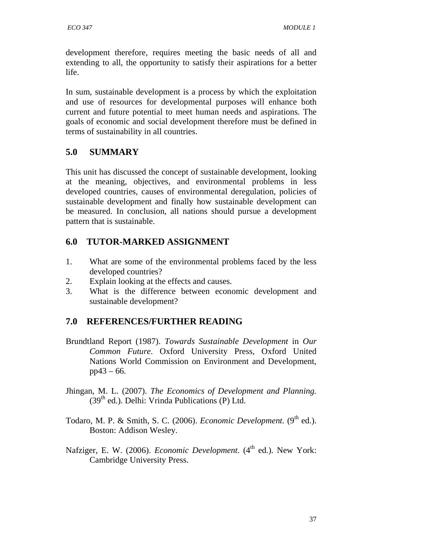development therefore, requires meeting the basic needs of all and extending to all, the opportunity to satisfy their aspirations for a better life.

In sum, sustainable development is a process by which the exploitation and use of resources for developmental purposes will enhance both current and future potential to meet human needs and aspirations. The goals of economic and social development therefore must be defined in terms of sustainability in all countries.

# **5.0 SUMMARY**

This unit has discussed the concept of sustainable development, looking at the meaning, objectives, and environmental problems in less developed countries, causes of environmental deregulation, policies of sustainable development and finally how sustainable development can be measured. In conclusion, all nations should pursue a development pattern that is sustainable.

# **6.0 TUTOR-MARKED ASSIGNMENT**

- 1. What are some of the environmental problems faced by the less developed countries?
- 2. Explain looking at the effects and causes.
- 3. What is the difference between economic development and sustainable development?

# **7.0 REFERENCES/FURTHER READING**

- Brundtland Report (1987). *Towards Sustainable Development* in *Our Common Future*. Oxford University Press, Oxford United Nations World Commission on Environment and Development,  $pp43 - 66.$
- Jhingan, M. L. (2007). *The Economics of Development and Planning.*  $(39<sup>th</sup>$  ed.). Delhi: Vrinda Publications (P) Ltd.
- Todaro, M. P. & Smith, S. C. (2006). *Economic Development*. (9<sup>th</sup> ed.). Boston: Addison Wesley.
- Nafziger, E. W. (2006). *Economic Development*. (4<sup>th</sup> ed.). New York: Cambridge University Press.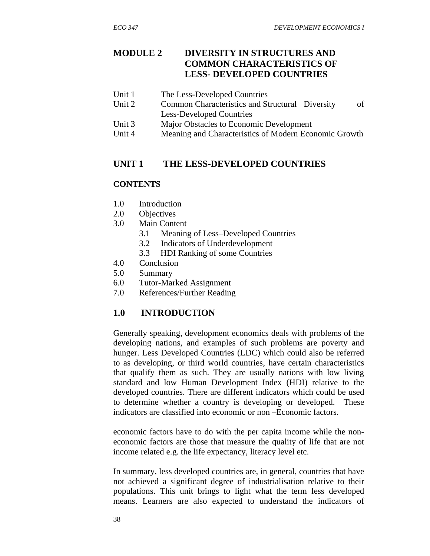## **MODULE 2 DIVERSITY IN STRUCTURES AND COMMON CHARACTERISTICS OF LESS- DEVELOPED COUNTRIES**

- Unit 1 The Less-Developed Countries
- Unit 2 Common Characteristics and Structural Diversity of Less-Developed Countries
- Unit 3 Major Obstacles to Economic Development
- Unit 4 Meaning and Characteristics of Modern Economic Growth

## **UNIT 1 THE LESS-DEVELOPED COUNTRIES**

#### **CONTENTS**

- 1.0 Introduction
- 2.0 Objectives
- 3.0 Main Content
	- 3.1 Meaning of Less–Developed Countries
	- 3.2 Indicators of Underdevelopment
	- 3.3 HDI Ranking of some Countries
- 4.0 Conclusion
- 5.0 Summary
- 6.0 Tutor-Marked Assignment
- 7.0 References/Further Reading

## **1.0 INTRODUCTION**

Generally speaking, development economics deals with problems of the developing nations, and examples of such problems are poverty and hunger. Less Developed Countries (LDC) which could also be referred to as developing, or third world countries, have certain characteristics that qualify them as such. They are usually nations with low living standard and low Human Development Index (HDI) relative to the developed countries. There are different indicators which could be used to determine whether a country is developing or developed. These indicators are classified into economic or non –Economic factors.

economic factors have to do with the per capita income while the noneconomic factors are those that measure the quality of life that are not income related e.g. the life expectancy, literacy level etc.

In summary, less developed countries are, in general, countries that have not achieved a significant degree of industrialisation relative to their populations. This unit brings to light what the term less developed means. Learners are also expected to understand the indicators of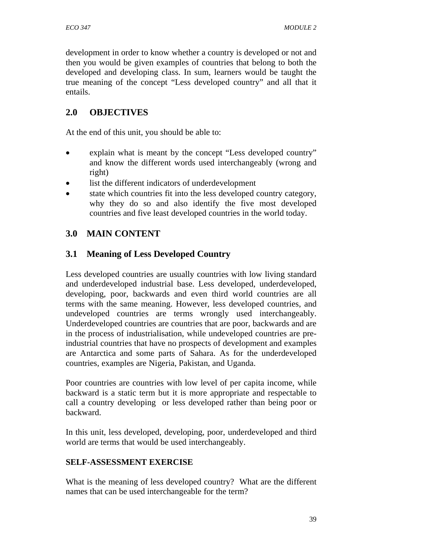development in order to know whether a country is developed or not and then you would be given examples of countries that belong to both the developed and developing class. In sum, learners would be taught the true meaning of the concept "Less developed country" and all that it entails.

# **2.0 OBJECTIVES**

At the end of this unit, you should be able to:

- explain what is meant by the concept "Less developed country" and know the different words used interchangeably (wrong and right)
- list the different indicators of underdevelopment
- state which countries fit into the less developed country category, why they do so and also identify the five most developed countries and five least developed countries in the world today.

# **3.0 MAIN CONTENT**

# **3.1 Meaning of Less Developed Country**

Less developed countries are usually countries with low living standard and underdeveloped industrial base. Less developed, underdeveloped, developing, poor, backwards and even third world countries are all terms with the same meaning. However, less developed countries, and undeveloped countries are terms wrongly used interchangeably. Underdeveloped countries are countries that are poor, backwards and are in the process of industrialisation, while undeveloped countries are preindustrial countries that have no prospects of development and examples are Antarctica and some parts of Sahara. As for the underdeveloped countries, examples are Nigeria, Pakistan, and Uganda.

Poor countries are countries with low level of per capita income, while backward is a static term but it is more appropriate and respectable to call a country developing or less developed rather than being poor or backward.

In this unit, less developed, developing, poor, underdeveloped and third world are terms that would be used interchangeably.

#### **SELF-ASSESSMENT EXERCISE**

What is the meaning of less developed country? What are the different names that can be used interchangeable for the term?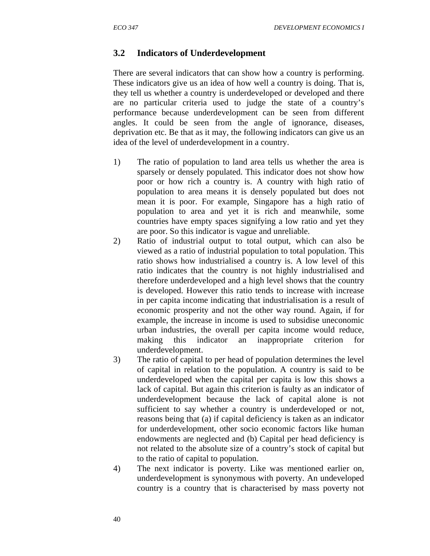#### **3.2 Indicators of Underdevelopment**

There are several indicators that can show how a country is performing. These indicators give us an idea of how well a country is doing. That is, they tell us whether a country is underdeveloped or developed and there are no particular criteria used to judge the state of a country's performance because underdevelopment can be seen from different angles. It could be seen from the angle of ignorance, diseases, deprivation etc. Be that as it may, the following indicators can give us an idea of the level of underdevelopment in a country.

- 1) The ratio of population to land area tells us whether the area is sparsely or densely populated. This indicator does not show how poor or how rich a country is. A country with high ratio of population to area means it is densely populated but does not mean it is poor. For example, Singapore has a high ratio of population to area and yet it is rich and meanwhile, some countries have empty spaces signifying a low ratio and yet they are poor. So this indicator is vague and unreliable.
- 2) Ratio of industrial output to total output, which can also be viewed as a ratio of industrial population to total population. This ratio shows how industrialised a country is. A low level of this ratio indicates that the country is not highly industrialised and therefore underdeveloped and a high level shows that the country is developed. However this ratio tends to increase with increase in per capita income indicating that industrialisation is a result of economic prosperity and not the other way round. Again, if for example, the increase in income is used to subsidise uneconomic urban industries, the overall per capita income would reduce, making this indicator an inappropriate criterion for underdevelopment.
- 3) The ratio of capital to per head of population determines the level of capital in relation to the population. A country is said to be underdeveloped when the capital per capita is low this shows a lack of capital. But again this criterion is faulty as an indicator of underdevelopment because the lack of capital alone is not sufficient to say whether a country is underdeveloped or not, reasons being that (a) if capital deficiency is taken as an indicator for underdevelopment, other socio economic factors like human endowments are neglected and (b) Capital per head deficiency is not related to the absolute size of a country's stock of capital but to the ratio of capital to population.
- 4) The next indicator is poverty. Like was mentioned earlier on, underdevelopment is synonymous with poverty. An undeveloped country is a country that is characterised by mass poverty not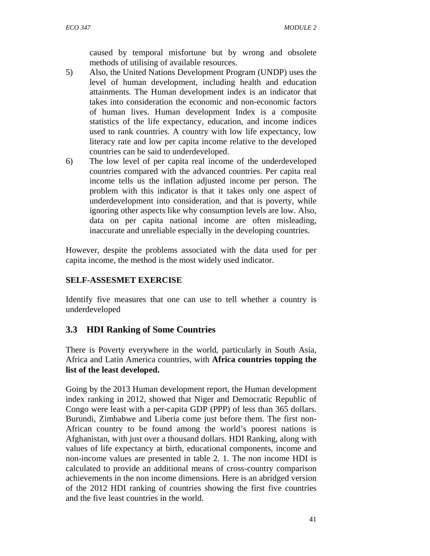caused by temporal misfortune but by wrong and obsolete methods of utilising of available resources.

- 5) Also, the United Nations Development Program (UNDP) uses the level of human development, including health and education attainments. The Human development index is an indicator that takes into consideration the economic and non-economic factors of human lives. Human development Index is a composite statistics of the life expectancy, education, and income indices used to rank countries. A country with low life expectancy, low literacy rate and low per capita income relative to the developed countries can be said to underdeveloped.
- 6) The low level of per capita real income of the underdeveloped countries compared with the advanced countries. Per capita real income tells us the inflation adjusted income per person. The problem with this indicator is that it takes only one aspect of underdevelopment into consideration, and that is poverty, while ignoring other aspects like why consumption levels are low. Also, data on per capita national income are often misleading, inaccurate and unreliable especially in the developing countries.

However, despite the problems associated with the data used for per capita income, the method is the most widely used indicator.

## **SELF-ASSESMET EXERCISE**

Identify five measures that one can use to tell whether a country is underdeveloped

# **3.3 HDI Ranking of Some Countries**

There is Poverty everywhere in the world, particularly in South Asia, Africa and Latin America countries, with **Africa countries topping the list of the least developed.** 

Going by the 2013 Human development report, the Human development index ranking in 2012, showed that Niger and Democratic Republic of Congo were least with a per-capita GDP (PPP) of less than 365 dollars. Burundi, Zimbabwe and Liberia come just before them. The first non-African country to be found among the world's poorest nations is Afghanistan, with just over a thousand dollars. HDI Ranking, along with values of life expectancy at birth, educational components, income and non-income values are presented in table 2. 1. The non income HDI is calculated to provide an additional means of cross-country comparison achievements in the non income dimensions. Here is an abridged version of the 2012 HDI ranking of countries showing the first five countries and the five least countries in the world.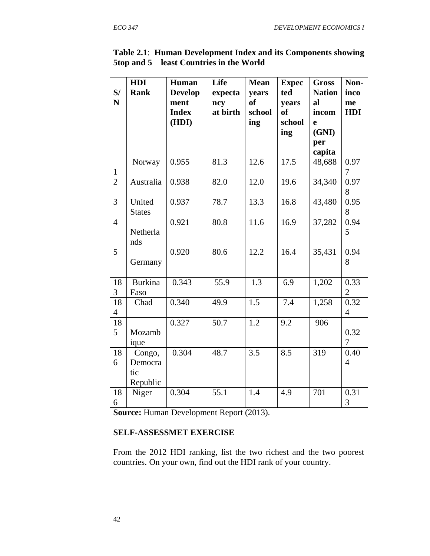|                | HDI            | Human          | Life     | <b>Mean</b> | <b>Expec</b> | <b>Gross</b>  | Non-           |
|----------------|----------------|----------------|----------|-------------|--------------|---------------|----------------|
| S/             | <b>Rank</b>    | <b>Develop</b> | expecta  | years       | ted          | <b>Nation</b> | inco           |
| N              |                | ment           | ncy      | <b>of</b>   | years        | al            | me             |
|                |                | <b>Index</b>   | at birth | school      | <b>of</b>    | incom         | <b>HDI</b>     |
|                |                | (HDI)          |          | ing         | school       | e             |                |
|                |                |                |          |             | ing          | (GNI)         |                |
|                |                |                |          |             |              | per           |                |
|                |                |                |          |             |              | capita        |                |
|                | Norway         | 0.955          | 81.3     | 12.6        | 17.5         | 48,688        | 0.97           |
| $\mathbf{1}$   |                |                |          |             |              |               | 7              |
| $\overline{2}$ | Australia      | 0.938          | 82.0     | 12.0        | 19.6         | 34,340        | 0.97           |
|                |                |                |          |             |              |               | 8              |
| 3              | United         | 0.937          | 78.7     | 13.3        | 16.8         | 43,480        | 0.95           |
|                | <b>States</b>  |                |          |             |              |               | 8              |
| $\overline{4}$ |                | 0.921          | 80.8     | 11.6        | 16.9         | 37,282        | 0.94           |
|                | Netherla       |                |          |             |              |               | 5              |
|                | nds            |                |          |             |              |               |                |
| 5              |                | 0.920          | 80.6     | 12.2        | 16.4         | 35,431        | 0.94           |
|                | Germany        |                |          |             |              |               | 8              |
|                |                |                |          |             |              |               |                |
| 18             | <b>Burkina</b> | 0.343          | 55.9     | 1.3         | 6.9          | 1,202         | 0.33           |
| 3              | Faso           |                |          |             |              |               | $\overline{2}$ |
| 18             | Chad           | 0.340          | 49.9     | 1.5         | 7.4          | 1,258         | 0.32           |
| $\overline{4}$ |                |                |          |             |              |               | $\overline{4}$ |
| 18             |                | 0.327          | 50.7     | 1.2         | 9.2          | 906           |                |
| 5              | Mozamb         |                |          |             |              |               | 0.32           |
|                | ique           |                |          |             |              |               | $\overline{7}$ |
| 18             | Congo,         | 0.304          | 48.7     | 3.5         | 8.5          | 319           | 0.40           |
| 6              | Democra        |                |          |             |              |               | $\overline{4}$ |
|                | tic            |                |          |             |              |               |                |
|                | Republic       |                |          |             |              |               |                |
| 18             | Niger          | 0.304          | 55.1     | 1.4         | 4.9          | 701           | 0.31           |
| 6              |                |                |          |             |              |               | 3              |

**Table 2.1**: **Human Development Index and its Components showing 5top and 5 least Countries in the World** 

**Source:** Human Development Report (2013).

#### **SELF-ASSESSMET EXERCISE**

From the 2012 HDI ranking, list the two richest and the two poorest countries. On your own, find out the HDI rank of your country.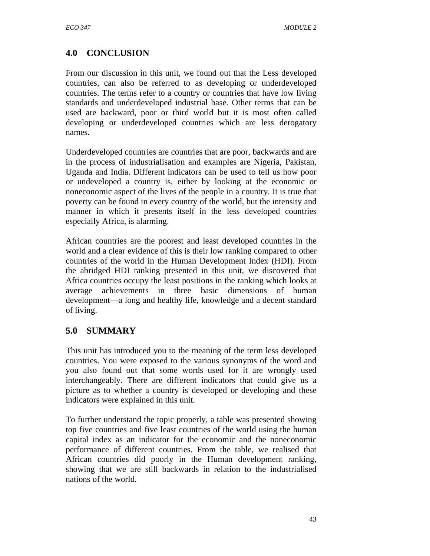# **4.0 CONCLUSION**

From our discussion in this unit, we found out that the Less developed countries, can also be referred to as developing or underdeveloped countries. The terms refer to a country or countries that have low living standards and underdeveloped industrial base. Other terms that can be used are backward, poor or third world but it is most often called developing or underdeveloped countries which are less derogatory names.

Underdeveloped countries are countries that are poor, backwards and are in the process of industrialisation and examples are Nigeria, Pakistan, Uganda and India. Different indicators can be used to tell us how poor or undeveloped a country is, either by looking at the economic or noneconomic aspect of the lives of the people in a country. It is true that poverty can be found in every country of the world, but the intensity and manner in which it presents itself in the less developed countries especially Africa, is alarming.

African countries are the poorest and least developed countries in the world and a clear evidence of this is their low ranking compared to other countries of the world in the Human Development Index (HDI). From the abridged HDI ranking presented in this unit, we discovered that Africa countries occupy the least positions in the ranking which looks at average achievements in three basic dimensions of human development—a long and healthy life, knowledge and a decent standard of living.

# **5.0 SUMMARY**

This unit has introduced you to the meaning of the term less developed countries. You were exposed to the various synonyms of the word and you also found out that some words used for it are wrongly used interchangeably. There are different indicators that could give us a picture as to whether a country is developed or developing and these indicators were explained in this unit.

To further understand the topic properly, a table was presented showing top five countries and five least countries of the world using the human capital index as an indicator for the economic and the noneconomic performance of different countries. From the table, we realised that African countries did poorly in the Human development ranking, showing that we are still backwards in relation to the industrialised nations of the world.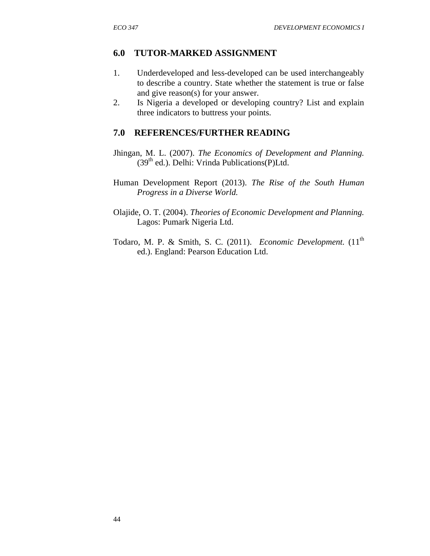#### **6.0 TUTOR-MARKED ASSIGNMENT**

- 1. Underdeveloped and less-developed can be used interchangeably to describe a country. State whether the statement is true or false and give reason(s) for your answer.
- 2. Is Nigeria a developed or developing country? List and explain three indicators to buttress your points.

#### **7.0 REFERENCES/FURTHER READING**

- Jhingan, M. L. (2007). *The Economics of Development and Planning.*  $(39<sup>th</sup>$  ed.). Delhi: Vrinda Publications $(P)$ Ltd.
- Human Development Report (2013). *The Rise of the South Human Progress in a Diverse World.*
- Olajide, O. T. (2004). *Theories of Economic Development and Planning.* Lagos: Pumark Nigeria Ltd.
- Todaro, M. P. & Smith, S. C. (2011). *Economic Development*. (11<sup>th</sup> ed.). England: Pearson Education Ltd.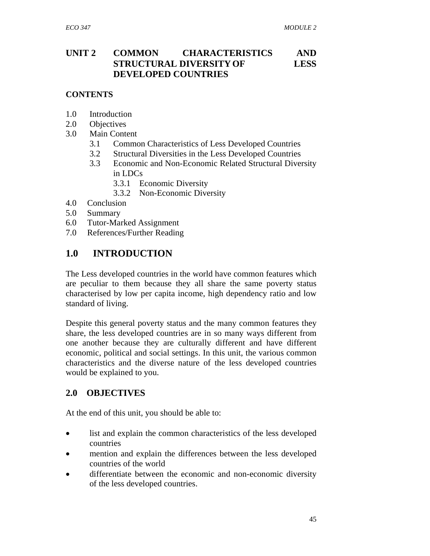# **UNIT 2 COMMON CHARACTERISTICS AND STRUCTURAL DIVERSITY OF LESS DEVELOPED COUNTRIES**

#### **CONTENTS**

- 1.0 Introduction
- 2.0 Objectives
- 3.0 Main Content
	- 3.1 Common Characteristics of Less Developed Countries
	- 3.2 Structural Diversities in the Less Developed Countries
	- 3.3 Economic and Non-Economic Related Structural Diversity in LDCs
		- 3.3.1 Economic Diversity
		- 3.3.2 Non-Economic Diversity
- 4.0 Conclusion
- 5.0 Summary
- 6.0 Tutor-Marked Assignment
- 7.0 References/Further Reading

# **1.0 INTRODUCTION**

The Less developed countries in the world have common features which are peculiar to them because they all share the same poverty status characterised by low per capita income, high dependency ratio and low standard of living.

Despite this general poverty status and the many common features they share, the less developed countries are in so many ways different from one another because they are culturally different and have different economic, political and social settings. In this unit, the various common characteristics and the diverse nature of the less developed countries would be explained to you.

# **2.0 OBJECTIVES**

At the end of this unit, you should be able to:

- list and explain the common characteristics of the less developed countries
- mention and explain the differences between the less developed countries of the world
- differentiate between the economic and non-economic diversity of the less developed countries.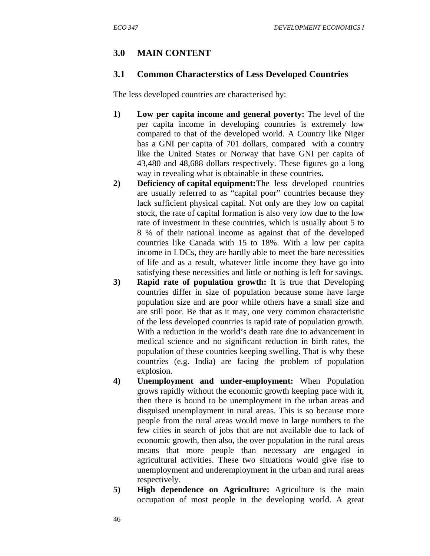# **3.0 MAIN CONTENT**

#### **3.1 Common Characterstics of Less Developed Countries**

The less developed countries are characterised by:

- **1) Low per capita income and general poverty:** The level of the per capita income in developing countries is extremely low compared to that of the developed world. A Country like Niger has a GNI per capita of 701 dollars, compared with a country like the United States or Norway that have GNI per capita of 43,480 and 48,688 dollars respectively. These figures go a long way in revealing what is obtainable in these countries**.**
- **2) Deficiency of capital equipment:** The less developed countries are usually referred to as "capital poor" countries because they lack sufficient physical capital. Not only are they low on capital stock, the rate of capital formation is also very low due to the low rate of investment in these countries, which is usually about 5 to 8 % of their national income as against that of the developed countries like Canada with 15 to 18%. With a low per capita income in LDCs, they are hardly able to meet the bare necessities of life and as a result, whatever little income they have go into satisfying these necessities and little or nothing is left for savings.
- **3) Rapid rate of population growth:** It is true that Developing countries differ in size of population because some have large population size and are poor while others have a small size and are still poor. Be that as it may, one very common characteristic of the less developed countries is rapid rate of population growth. With a reduction in the world's death rate due to advancement in medical science and no significant reduction in birth rates, the population of these countries keeping swelling. That is why these countries (e.g. India) are facing the problem of population explosion.
- **4) Unemployment and under-employment:** When Population grows rapidly without the economic growth keeping pace with it, then there is bound to be unemployment in the urban areas and disguised unemployment in rural areas. This is so because more people from the rural areas would move in large numbers to the few cities in search of jobs that are not available due to lack of economic growth, then also, the over population in the rural areas means that more people than necessary are engaged in agricultural activities. These two situations would give rise to unemployment and underemployment in the urban and rural areas respectively.
- **5) High dependence on Agriculture:** Agriculture is the main occupation of most people in the developing world. A great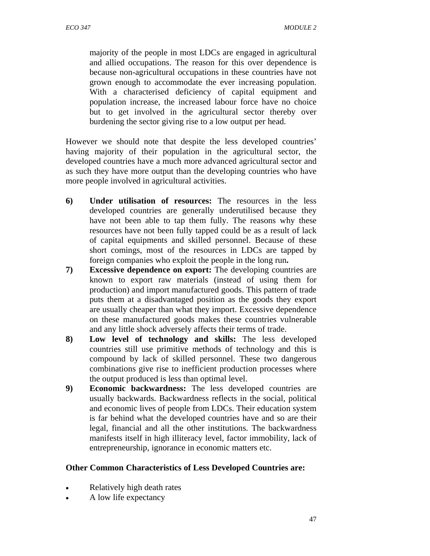majority of the people in most LDCs are engaged in agricultural and allied occupations. The reason for this over dependence is because non-agricultural occupations in these countries have not grown enough to accommodate the ever increasing population. With a characterised deficiency of capital equipment and population increase, the increased labour force have no choice but to get involved in the agricultural sector thereby over burdening the sector giving rise to a low output per head.

However we should note that despite the less developed countries' having majority of their population in the agricultural sector, the developed countries have a much more advanced agricultural sector and as such they have more output than the developing countries who have more people involved in agricultural activities.

- **6) Under utilisation of resources:** The resources in the less developed countries are generally underutilised because they have not been able to tap them fully. The reasons why these resources have not been fully tapped could be as a result of lack of capital equipments and skilled personnel. Because of these short comings, most of the resources in LDCs are tapped by foreign companies who exploit the people in the long run**.**
- **7) Excessive dependence on export:** The developing countries are known to export raw materials (instead of using them for production) and import manufactured goods. This pattern of trade puts them at a disadvantaged position as the goods they export are usually cheaper than what they import. Excessive dependence on these manufactured goods makes these countries vulnerable and any little shock adversely affects their terms of trade.
- **8) Low level of technology and skills:** The less developed countries still use primitive methods of technology and this is compound by lack of skilled personnel. These two dangerous combinations give rise to inefficient production processes where the output produced is less than optimal level.
- **9) Economic backwardness:** The less developed countries are usually backwards. Backwardness reflects in the social, political and economic lives of people from LDCs. Their education system is far behind what the developed countries have and so are their legal, financial and all the other institutions. The backwardness manifests itself in high illiteracy level, factor immobility, lack of entrepreneurship, ignorance in economic matters etc.

## **Other Common Characteristics of Less Developed Countries are:**

- Relatively high death rates
- A low life expectancy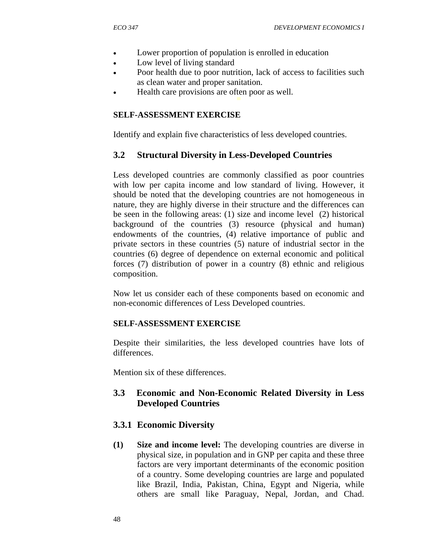- Lower proportion of population is enrolled in education
- Low level of living standard
- Poor health due to poor nutrition, lack of access to facilities such as clean water and proper sanitation.
- Health care provisions are often poor as well.

#### **SELF-ASSESSMENT EXERCISE**

Identify and explain five characteristics of less developed countries.

#### **3.2 Structural Diversity in Less-Developed Countries**

Less developed countries are commonly classified as poor countries with low per capita income and low standard of living. However, it should be noted that the developing countries are not homogeneous in nature, they are highly diverse in their structure and the differences can be seen in the following areas: (1) size and income level (2) historical background of the countries (3) resource (physical and human) endowments of the countries, (4) relative importance of public and private sectors in these countries (5) nature of industrial sector in the countries (6) degree of dependence on external economic and political forces (7) distribution of power in a country (8) ethnic and religious composition.

Now let us consider each of these components based on economic and non-economic differences of Less Developed countries.

#### **SELF-ASSESSMENT EXERCISE**

Despite their similarities, the less developed countries have lots of differences.

Mention six of these differences.

## **3.3 Economic and Non-Economic Related Diversity in Less Developed Countries**

#### **3.3.1 Economic Diversity**

**(1) Size and income level:** The developing countries are diverse in physical size, in population and in GNP per capita and these three factors are very important determinants of the economic position of a country. Some developing countries are large and populated like Brazil, India, Pakistan, China, Egypt and Nigeria, while others are small like Paraguay, Nepal, Jordan, and Chad.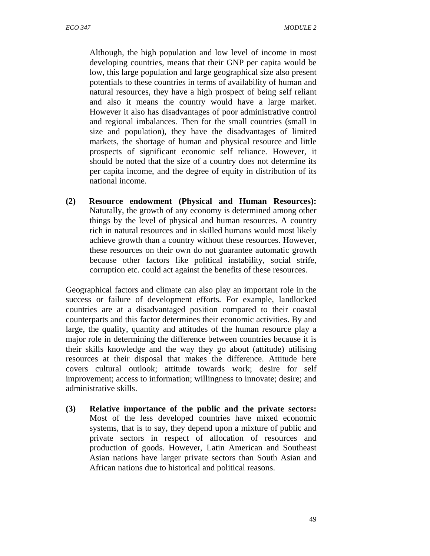Although, the high population and low level of income in most developing countries, means that their GNP per capita would be low, this large population and large geographical size also present potentials to these countries in terms of availability of human and natural resources, they have a high prospect of being self reliant and also it means the country would have a large market. However it also has disadvantages of poor administrative control and regional imbalances. Then for the small countries (small in size and population), they have the disadvantages of limited markets, the shortage of human and physical resource and little prospects of significant economic self reliance. However, it should be noted that the size of a country does not determine its per capita income, and the degree of equity in distribution of its national income.

**(2) Resource endowment (Physical and Human Resources):** Naturally, the growth of any economy is determined among other things by the level of physical and human resources. A country rich in natural resources and in skilled humans would most likely achieve growth than a country without these resources. However, these resources on their own do not guarantee automatic growth because other factors like political instability, social strife, corruption etc. could act against the benefits of these resources.

Geographical factors and climate can also play an important role in the success or failure of development efforts. For example, landlocked countries are at a disadvantaged position compared to their coastal counterparts and this factor determines their economic activities. By and large, the quality, quantity and attitudes of the human resource play a major role in determining the difference between countries because it is their skills knowledge and the way they go about (attitude) utilising resources at their disposal that makes the difference. Attitude here covers cultural outlook; attitude towards work; desire for self improvement; access to information; willingness to innovate; desire; and administrative skills.

**(3) Relative importance of the public and the private sectors:** Most of the less developed countries have mixed economic systems, that is to say, they depend upon a mixture of public and private sectors in respect of allocation of resources and production of goods. However, Latin American and Southeast Asian nations have larger private sectors than South Asian and African nations due to historical and political reasons.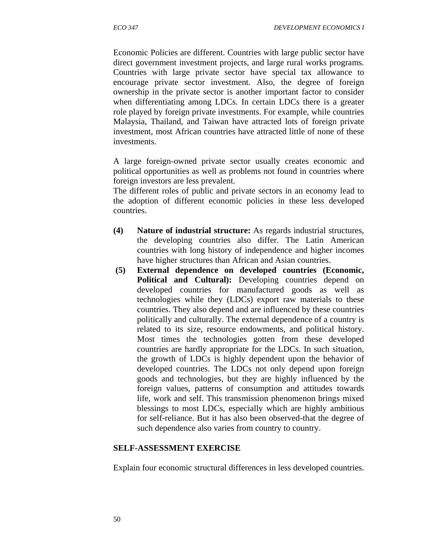Economic Policies are different. Countries with large public sector have direct government investment projects, and large rural works programs. Countries with large private sector have special tax allowance to encourage private sector investment. Also, the degree of foreign ownership in the private sector is another important factor to consider when differentiating among LDCs. In certain LDCs there is a greater role played by foreign private investments. For example, while countries Malaysia, Thailand, and Taiwan have attracted lots of foreign private investment, most African countries have attracted little of none of these investments.

A large foreign-owned private sector usually creates economic and political opportunities as well as problems not found in countries where foreign investors are less prevalent.

The different roles of public and private sectors in an economy lead to the adoption of different economic policies in these less developed countries.

- **(4) Nature of industrial structure:** As regards industrial structures, the developing countries also differ. The Latin American countries with long history of independence and higher incomes have higher structures than African and Asian countries.
- **(5) External dependence on developed countries (Economic, Political and Cultural):** Developing countries depend on developed countries for manufactured goods as well as technologies while they (LDCs) export raw materials to these countries. They also depend and are influenced by these countries politically and culturally. The external dependence of a country is related to its size, resource endowments, and political history. Most times the technologies gotten from these developed countries are hardly appropriate for the LDCs. In such situation, the growth of LDCs is highly dependent upon the behavior of developed countries. The LDCs not only depend upon foreign goods and technologies, but they are highly influenced by the foreign values, patterns of consumption and attitudes towards life, work and self. This transmission phenomenon brings mixed blessings to most LDCs, especially which are highly ambitious for self-reliance. But it has also been observed-that the degree of such dependence also varies from country to country.

#### **SELF-ASSESSMENT EXERCISE**

Explain four economic structural differences in less developed countries.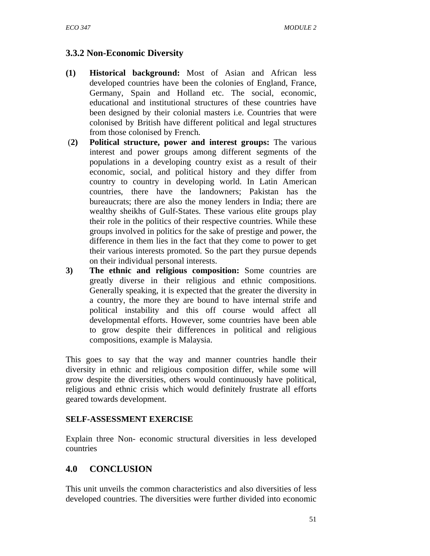# **3.3.2 Non-Economic Diversity**

- **(1) Historical background:** Most of Asian and African less developed countries have been the colonies of England, France, Germany, Spain and Holland etc. The social, economic, educational and institutional structures of these countries have been designed by their colonial masters i.e. Countries that were colonised by British have different political and legal structures from those colonised by French.
- (**2) Political structure, power and interest groups:** The various interest and power groups among different segments of the populations in a developing country exist as a result of their economic, social, and political history and they differ from country to country in developing world. In Latin American countries, there have the landowners; Pakistan has the bureaucrats; there are also the money lenders in India; there are wealthy sheikhs of Gulf-States. These various elite groups play their role in the politics of their respective countries. While these groups involved in politics for the sake of prestige and power, the difference in them lies in the fact that they come to power to get their various interests promoted. So the part they pursue depends on their individual personal interests.
- **3) The ethnic and religious composition:** Some countries are greatly diverse in their religious and ethnic compositions. Generally speaking, it is expected that the greater the diversity in a country, the more they are bound to have internal strife and political instability and this off course would affect all developmental efforts. However, some countries have been able to grow despite their differences in political and religious compositions, example is Malaysia.

This goes to say that the way and manner countries handle their diversity in ethnic and religious composition differ, while some will grow despite the diversities, others would continuously have political, religious and ethnic crisis which would definitely frustrate all efforts geared towards development.

#### **SELF-ASSESSMENT EXERCISE**

Explain three Non- economic structural diversities in less developed countries

# **4.0 CONCLUSION**

This unit unveils the common characteristics and also diversities of less developed countries. The diversities were further divided into economic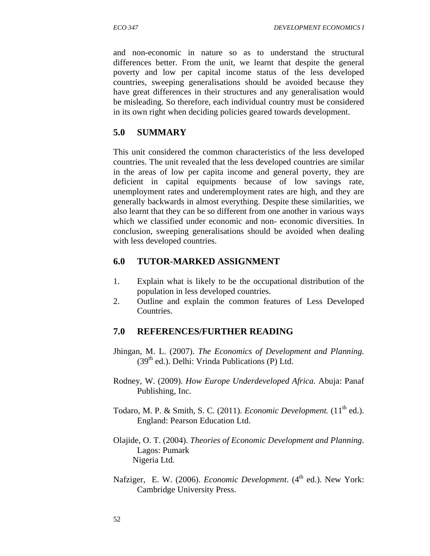and non-economic in nature so as to understand the structural differences better. From the unit, we learnt that despite the general poverty and low per capital income status of the less developed countries, sweeping generalisations should be avoided because they have great differences in their structures and any generalisation would be misleading. So therefore, each individual country must be considered in its own right when deciding policies geared towards development.

# **5.0 SUMMARY**

This unit considered the common characteristics of the less developed countries. The unit revealed that the less developed countries are similar in the areas of low per capita income and general poverty, they are deficient in capital equipments because of low savings rate, unemployment rates and underemployment rates are high, and they are generally backwards in almost everything. Despite these similarities, we also learnt that they can be so different from one another in various ways which we classified under economic and non- economic diversities. In conclusion, sweeping generalisations should be avoided when dealing with less developed countries.

## **6.0 TUTOR-MARKED ASSIGNMENT**

- 1. Explain what is likely to be the occupational distribution of the population in less developed countries.
- 2. Outline and explain the common features of Less Developed Countries.

## **7.0 REFERENCES/FURTHER READING**

- Jhingan, M. L. (2007). *The Economics of Development and Planning.*  $(39<sup>th</sup>$  ed.). Delhi: Vrinda Publications (P) Ltd.
- Rodney, W. (2009). *How Europe Underdeveloped Africa.* Abuja: Panaf Publishing, Inc.
- Todaro, M. P. & Smith, S. C. (2011). *Economic Development*. (11<sup>th</sup> ed.). England: Pearson Education Ltd.
- Olajide, O. T. (2004). *Theories of Economic Development and Planning*. Lagos: Pumark Nigeria Ltd.
- Nafziger, E. W. (2006). *Economic Development*. (4<sup>th</sup> ed.). New York: Cambridge University Press.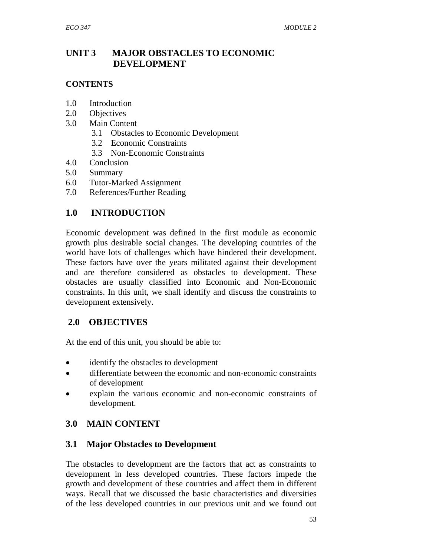# **UNIT 3 MAJOR OBSTACLES TO ECONOMIC DEVELOPMENT**

### **CONTENTS**

- 1.0 Introduction
- 2.0 Objectives
- 3.0 Main Content
	- 3.1 Obstacles to Economic Development
	- 3.2 Economic Constraints
	- 3.3 Non-Economic Constraints
- 4.0 Conclusion
- 5.0 Summary
- 6.0 Tutor-Marked Assignment
- 7.0 References/Further Reading

# **1.0 INTRODUCTION**

Economic development was defined in the first module as economic growth plus desirable social changes. The developing countries of the world have lots of challenges which have hindered their development. These factors have over the years militated against their development and are therefore considered as obstacles to development. These obstacles are usually classified into Economic and Non-Economic constraints. In this unit, we shall identify and discuss the constraints to development extensively.

## **2.0 OBJECTIVES**

At the end of this unit, you should be able to:

- identify the obstacles to development
- differentiate between the economic and non-economic constraints of development
- explain the various economic and non-economic constraints of development.

# **3.0 MAIN CONTENT**

## **3.1 Major Obstacles to Development**

The obstacles to development are the factors that act as constraints to development in less developed countries. These factors impede the growth and development of these countries and affect them in different ways. Recall that we discussed the basic characteristics and diversities of the less developed countries in our previous unit and we found out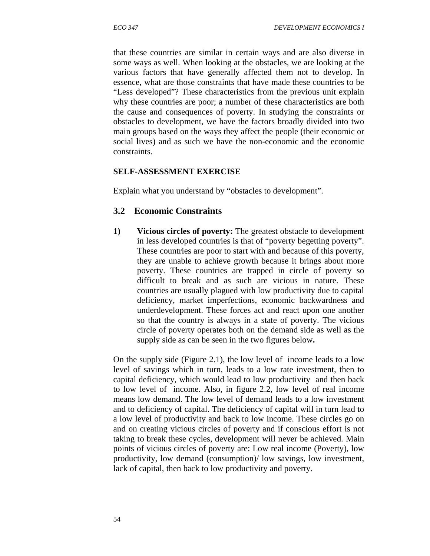that these countries are similar in certain ways and are also diverse in some ways as well. When looking at the obstacles, we are looking at the various factors that have generally affected them not to develop. In essence, what are those constraints that have made these countries to be "Less developed"? These characteristics from the previous unit explain why these countries are poor; a number of these characteristics are both the cause and consequences of poverty. In studying the constraints or obstacles to development, we have the factors broadly divided into two main groups based on the ways they affect the people (their economic or social lives) and as such we have the non-economic and the economic constraints.

#### **SELF-ASSESSMENT EXERCISE**

Explain what you understand by "obstacles to development".

#### **3.2 Economic Constraints**

**1) Vicious circles of poverty:** The greatest obstacle to development in less developed countries is that of "poverty begetting poverty". These countries are poor to start with and because of this poverty, they are unable to achieve growth because it brings about more poverty. These countries are trapped in circle of poverty so difficult to break and as such are vicious in nature. These countries are usually plagued with low productivity due to capital deficiency, market imperfections, economic backwardness and underdevelopment. These forces act and react upon one another so that the country is always in a state of poverty. The vicious circle of poverty operates both on the demand side as well as the supply side as can be seen in the two figures below**.** 

On the supply side (Figure 2.1), the low level of income leads to a low level of savings which in turn, leads to a low rate investment, then to capital deficiency, which would lead to low productivity and then back to low level of income. Also, in figure 2.2, low level of real income means low demand. The low level of demand leads to a low investment and to deficiency of capital. The deficiency of capital will in turn lead to a low level of productivity and back to low income. These circles go on and on creating vicious circles of poverty and if conscious effort is not taking to break these cycles, development will never be achieved. Main points of vicious circles of poverty are: Low real income (Poverty), low productivity, low demand (consumption)/ low savings, low investment, lack of capital, then back to low productivity and poverty.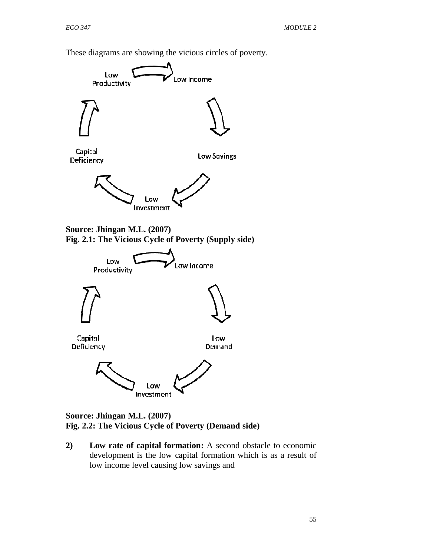These diagrams are showing the vicious circles of poverty.



#### **Source: Jhingan M.L. (2007) Fig. 2.2: The Vicious Cycle of Poverty (Demand side)**

**2) Low rate of capital formation:** A second obstacle to economic development is the low capital formation which is as a result of low income level causing low savings and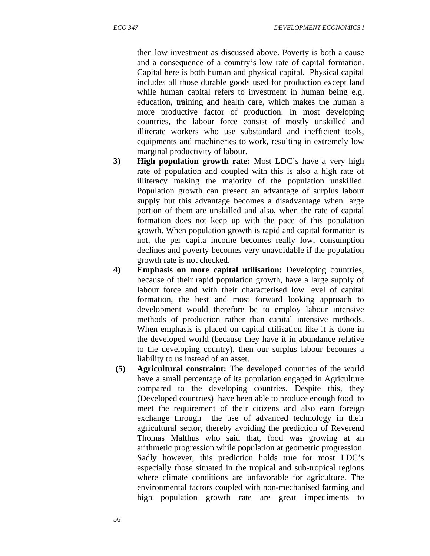then low investment as discussed above. Poverty is both a cause and a consequence of a country's low rate of capital formation. Capital here is both human and physical capital. Physical capital includes all those durable goods used for production except land while human capital refers to investment in human being e.g. education, training and health care, which makes the human a more productive factor of production. In most developing countries, the labour force consist of mostly unskilled and illiterate workers who use substandard and inefficient tools, equipments and machineries to work, resulting in extremely low marginal productivity of labour.

- **3) High population growth rate:** Most LDC's have a very high rate of population and coupled with this is also a high rate of illiteracy making the majority of the population unskilled. Population growth can present an advantage of surplus labour supply but this advantage becomes a disadvantage when large portion of them are unskilled and also, when the rate of capital formation does not keep up with the pace of this population growth. When population growth is rapid and capital formation is not, the per capita income becomes really low, consumption declines and poverty becomes very unavoidable if the population growth rate is not checked.
- **4) Emphasis on more capital utilisation:** Developing countries, because of their rapid population growth, have a large supply of labour force and with their characterised low level of capital formation, the best and most forward looking approach to development would therefore be to employ labour intensive methods of production rather than capital intensive methods. When emphasis is placed on capital utilisation like it is done in the developed world (because they have it in abundance relative to the developing country), then our surplus labour becomes a liability to us instead of an asset.
- **(5) Agricultural constraint:** The developed countries of the world have a small percentage of its population engaged in Agriculture compared to the developing countries. Despite this, they (Developed countries) have been able to produce enough food to meet the requirement of their citizens and also earn foreign exchange through the use of advanced technology in their agricultural sector, thereby avoiding the prediction of Reverend Thomas Malthus who said that, food was growing at an arithmetic progression while population at geometric progression. Sadly however, this prediction holds true for most LDC's especially those situated in the tropical and sub-tropical regions where climate conditions are unfavorable for agriculture. The environmental factors coupled with non-mechanised farming and high population growth rate are great impediments to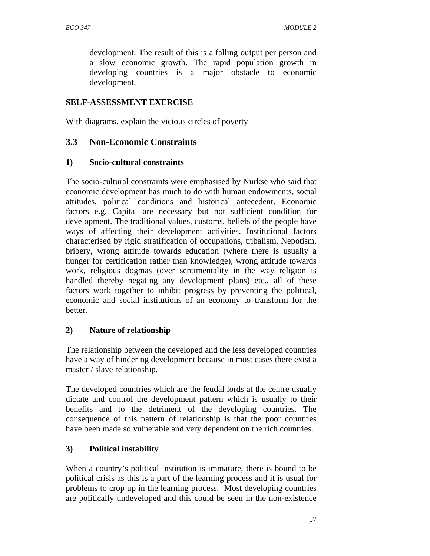development. The result of this is a falling output per person and a slow economic growth. The rapid population growth in developing countries is a major obstacle to economic development.

### **SELF-ASSESSMENT EXERCISE**

With diagrams, explain the vicious circles of poverty

### **3.3 Non-Economic Constraints**

#### **1) Socio-cultural constraints**

The socio-cultural constraints were emphasised by Nurkse who said that economic development has much to do with human endowments, social attitudes, political conditions and historical antecedent. Economic factors e.g. Capital are necessary but not sufficient condition for development. The traditional values, customs, beliefs of the people have ways of affecting their development activities. Institutional factors characterised by rigid stratification of occupations, tribalism, Nepotism, bribery, wrong attitude towards education (where there is usually a hunger for certification rather than knowledge), wrong attitude towards work, religious dogmas (over sentimentality in the way religion is handled thereby negating any development plans) etc., all of these factors work together to inhibit progress by preventing the political, economic and social institutions of an economy to transform for the better.

#### **2) Nature of relationship**

The relationship between the developed and the less developed countries have a way of hindering development because in most cases there exist a master / slave relationship.

The developed countries which are the feudal lords at the centre usually dictate and control the development pattern which is usually to their benefits and to the detriment of the developing countries. The consequence of this pattern of relationship is that the poor countries have been made so vulnerable and very dependent on the rich countries.

#### **3) Political instability**

When a country's political institution is immature, there is bound to be political crisis as this is a part of the learning process and it is usual for problems to crop up in the learning process. Most developing countries are politically undeveloped and this could be seen in the non-existence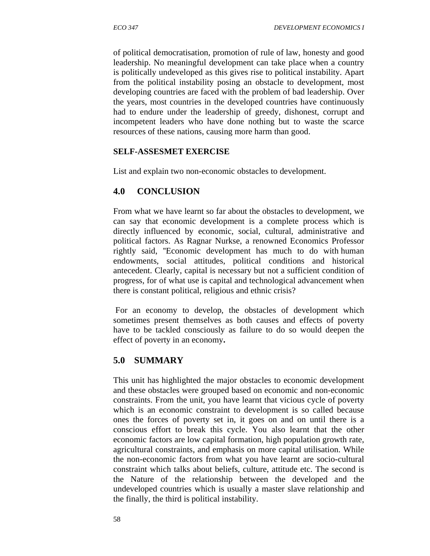of political democratisation, promotion of rule of law, honesty and good leadership. No meaningful development can take place when a country is politically undeveloped as this gives rise to political instability. Apart from the political instability posing an obstacle to development, most developing countries are faced with the problem of bad leadership. Over the years, most countries in the developed countries have continuously had to endure under the leadership of greedy, dishonest, corrupt and incompetent leaders who have done nothing but to waste the scarce resources of these nations, causing more harm than good.

#### **SELF-ASSESMET EXERCISE**

List and explain two non-economic obstacles to development.

## **4.0 CONCLUSION**

From what we have learnt so far about the obstacles to development, we can say that economic development is a complete process which is directly influenced by economic, social, cultural, administrative and political factors. As Ragnar Nurkse, a renowned Economics Professor rightly said, ''Economic development has much to do with human endowments, social attitudes, political conditions and historical antecedent. Clearly, capital is necessary but not a sufficient condition of progress, for of what use is capital and technological advancement when there is constant political, religious and ethnic crisis?

 For an economy to develop, the obstacles of development which sometimes present themselves as both causes and effects of poverty have to be tackled consciously as failure to do so would deepen the effect of poverty in an economy**.**

## **5.0 SUMMARY**

This unit has highlighted the major obstacles to economic development and these obstacles were grouped based on economic and non-economic constraints. From the unit, you have learnt that vicious cycle of poverty which is an economic constraint to development is so called because ones the forces of poverty set in, it goes on and on until there is a conscious effort to break this cycle. You also learnt that the other economic factors are low capital formation, high population growth rate, agricultural constraints, and emphasis on more capital utilisation. While the non-economic factors from what you have learnt are socio-cultural constraint which talks about beliefs, culture, attitude etc. The second is the Nature of the relationship between the developed and the undeveloped countries which is usually a master slave relationship and the finally, the third is political instability.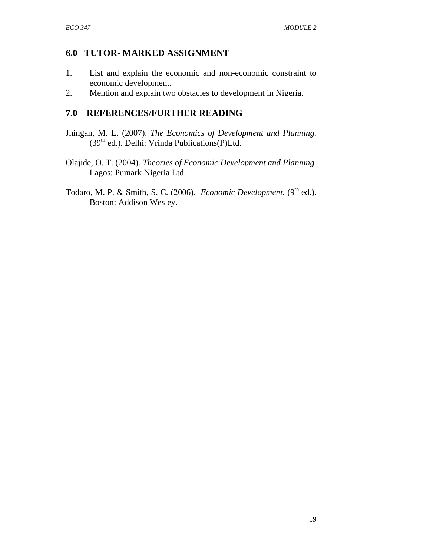## **6.0 TUTOR- MARKED ASSIGNMENT**

- 1. List and explain the economic and non-economic constraint to economic development.
- 2. Mention and explain two obstacles to development in Nigeria.

## **7.0 REFERENCES/FURTHER READING**

- Jhingan, M. L. (2007). *The Economics of Development and Planning.* (39<sup>th</sup> ed.). Delhi: Vrinda Publications(P)Ltd.
- Olajide, O. T. (2004). *Theories of Economic Development and Planning.* Lagos: Pumark Nigeria Ltd.
- Todaro, M. P. & Smith, S. C. (2006). *Economic Development*. (9<sup>th</sup> ed.). Boston: Addison Wesley.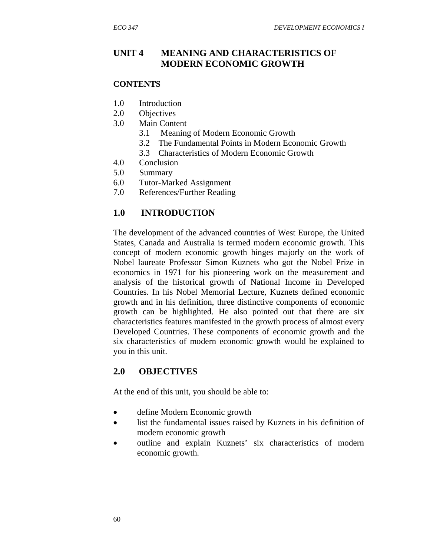## **UNIT 4 MEANING AND CHARACTERISTICS OF MODERN ECONOMIC GROWTH**

#### **CONTENTS**

- 1.0 Introduction
- 2.0 Objectives
- 3.0 Main Content
	- 3.1 Meaning of Modern Economic Growth
	- 3.2 The Fundamental Points in Modern Economic Growth
	- 3.3 Characteristics of Modern Economic Growth
- 4.0 Conclusion
- 5.0 Summary
- 6.0 Tutor-Marked Assignment
- 7.0 References/Further Reading

## **1.0 INTRODUCTION**

The development of the advanced countries of West Europe, the United States, Canada and Australia is termed modern economic growth. This concept of modern economic growth hinges majorly on the work of Nobel laureate Professor Simon Kuznets who got the Nobel Prize in economics in 1971 for his pioneering work on the measurement and analysis of the historical growth of National Income in Developed Countries. In his Nobel Memorial Lecture, Kuznets defined economic growth and in his definition, three distinctive components of economic growth can be highlighted. He also pointed out that there are six characteristics features manifested in the growth process of almost every Developed Countries. These components of economic growth and the six characteristics of modern economic growth would be explained to you in this unit.

## **2.0 OBJECTIVES**

At the end of this unit, you should be able to:

- define Modern Economic growth
- list the fundamental issues raised by Kuznets in his definition of modern economic growth
- outline and explain Kuznets' six characteristics of modern economic growth.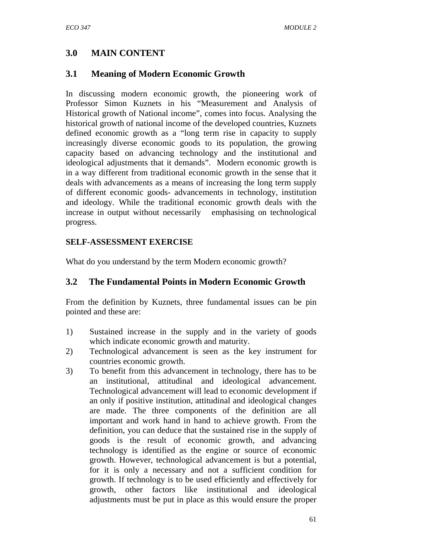## **3.0 MAIN CONTENT**

### **3.1 Meaning of Modern Economic Growth**

In discussing modern economic growth, the pioneering work of Professor Simon Kuznets in his "Measurement and Analysis of Historical growth of National income", comes into focus. Analysing the historical growth of national income of the developed countries, Kuznets defined economic growth as a "long term rise in capacity to supply increasingly diverse economic goods to its population, the growing capacity based on advancing technology and the institutional and ideological adjustments that it demands". Modern economic growth is in a way different from traditional economic growth in the sense that it deals with advancements as a means of increasing the long term supply of different economic goods- advancements in technology, institution and ideology. While the traditional economic growth deals with the increase in output without necessarily emphasising on technological progress.

#### **SELF-ASSESSMENT EXERCISE**

What do you understand by the term Modern economic growth?

#### **3.2 The Fundamental Points in Modern Economic Growth**

From the definition by Kuznets, three fundamental issues can be pin pointed and these are:

- 1) Sustained increase in the supply and in the variety of goods which indicate economic growth and maturity.
- 2) Technological advancement is seen as the key instrument for countries economic growth.
- 3) To benefit from this advancement in technology, there has to be an institutional, attitudinal and ideological advancement. Technological advancement will lead to economic development if an only if positive institution, attitudinal and ideological changes are made. The three components of the definition are all important and work hand in hand to achieve growth. From the definition, you can deduce that the sustained rise in the supply of goods is the result of economic growth, and advancing technology is identified as the engine or source of economic growth. However, technological advancement is but a potential, for it is only a necessary and not a sufficient condition for growth. If technology is to be used efficiently and effectively for growth, other factors like institutional and ideological adjustments must be put in place as this would ensure the proper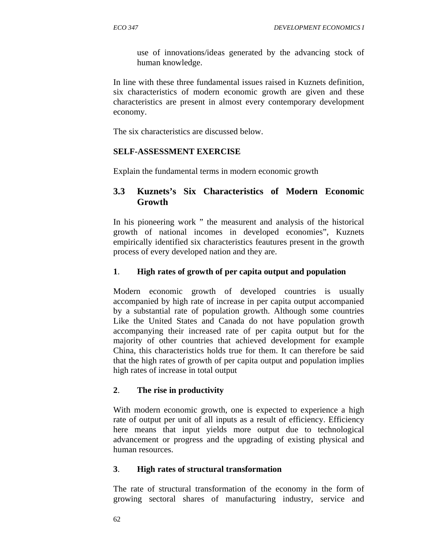use of innovations/ideas generated by the advancing stock of human knowledge.

In line with these three fundamental issues raised in Kuznets definition, six characteristics of modern economic growth are given and these characteristics are present in almost every contemporary development economy.

The six characteristics are discussed below.

#### **SELF-ASSESSMENT EXERCISE**

Explain the fundamental terms in modern economic growth

## **3.3 Kuznets's Six Characteristics of Modern Economic Growth**

In his pioneering work " the measurent and analysis of the historical growth of national incomes in developed economies", Kuznets empirically identified six characteristics feautures present in the growth process of every developed nation and they are.

### **1**. **High rates of growth of per capita output and population**

Modern economic growth of developed countries is usually accompanied by high rate of increase in per capita output accompanied by a substantial rate of population growth. Although some countries Like the United States and Canada do not have population growth accompanying their increased rate of per capita output but for the majority of other countries that achieved development for example China, this characteristics holds true for them. It can therefore be said that the high rates of growth of per capita output and population implies high rates of increase in total output

## **2**. **The rise in productivity**

With modern economic growth, one is expected to experience a high rate of output per unit of all inputs as a result of efficiency. Efficiency here means that input yields more output due to technological advancement or progress and the upgrading of existing physical and human resources.

#### **3**. **High rates of structural transformation**

The rate of structural transformation of the economy in the form of growing sectoral shares of manufacturing industry, service and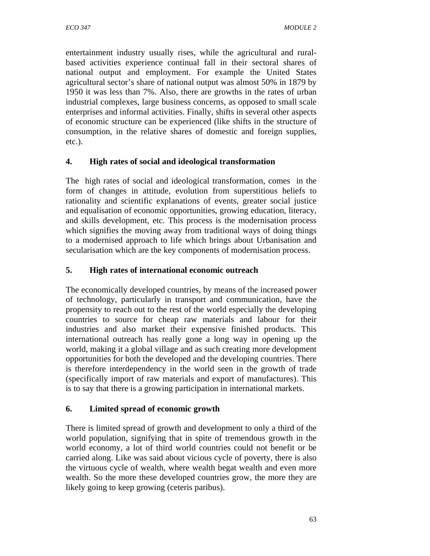entertainment industry usually rises, while the agricultural and ruralbased activities experience continual fall in their sectoral shares of national output and employment. For example the United States agricultural sector's share of national output was almost 50% in 1879 by 1950 it was less than 7%. Also, there are growths in the rates of urban industrial complexes, large business concerns, as opposed to small scale enterprises and informal activities. Finally, shifts in several other aspects of economic structure can be experienced (like shifts in the structure of consumption, in the relative shares of domestic and foreign supplies, etc.).

### **4. High rates of social and ideological transformation**

The high rates of social and ideological transformation, comes in the form of changes in attitude, evolution from superstitious beliefs to rationality and scientific explanations of events, greater social justice and equalisation of economic opportunities, growing education, literacy, and skills development, etc. This process is the modernisation process which signifies the moving away from traditional ways of doing things to a modernised approach to life which brings about Urbanisation and secularisation which are the key components of modernisation process.

### **5. High rates of international economic outreach**

The economically developed countries, by means of the increased power of technology, particularly in transport and communication, have the propensity to reach out to the rest of the world especially the developing countries to source for cheap raw materials and labour for their industries and also market their expensive finished products. This international outreach has really gone a long way in opening up the world, making it a global village and as such creating more development opportunities for both the developed and the developing countries. There is therefore interdependency in the world seen in the growth of trade (specifically import of raw materials and export of manufactures). This is to say that there is a growing participation in international markets.

#### **6. Limited spread of economic growth**

There is limited spread of growth and development to only a third of the world population, signifying that in spite of tremendous growth in the world economy, a lot of third world countries could not benefit or be carried along. Like was said about vicious cycle of poverty, there is also the virtuous cycle of wealth, where wealth begat wealth and even more wealth. So the more these developed countries grow, the more they are likely going to keep growing (ceteris paribus).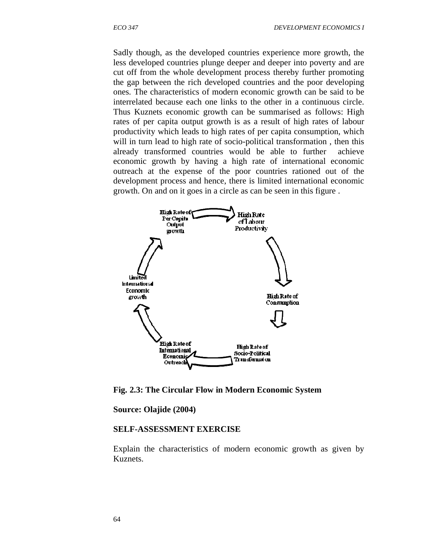Sadly though, as the developed countries experience more growth, the less developed countries plunge deeper and deeper into poverty and are cut off from the whole development process thereby further promoting the gap between the rich developed countries and the poor developing ones. The characteristics of modern economic growth can be said to be interrelated because each one links to the other in a continuous circle. Thus Kuznets economic growth can be summarised as follows: High rates of per capita output growth is as a result of high rates of labour productivity which leads to high rates of per capita consumption, which will in turn lead to high rate of socio-political transformation, then this already transformed countries would be able to further achieve economic growth by having a high rate of international economic outreach at the expense of the poor countries rationed out of the development process and hence, there is limited international economic growth. On and on it goes in a circle as can be seen in this figure .



**Fig. 2.3: The Circular Flow in Modern Economic System**

**Source: Olajide (2004)** 

#### **SELF-ASSESSMENT EXERCISE**

Explain the characteristics of modern economic growth as given by Kuznets.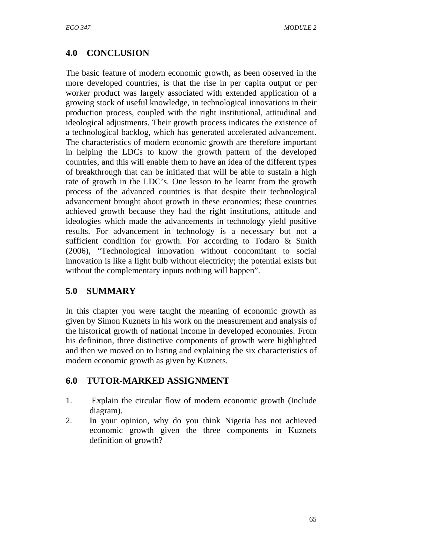# **4.0 CONCLUSION**

The basic feature of modern economic growth, as been observed in the more developed countries, is that the rise in per capita output or per worker product was largely associated with extended application of a growing stock of useful knowledge, in technological innovations in their production process, coupled with the right institutional, attitudinal and ideological adjustments. Their growth process indicates the existence of a technological backlog, which has generated accelerated advancement. The characteristics of modern economic growth are therefore important in helping the LDCs to know the growth pattern of the developed countries, and this will enable them to have an idea of the different types of breakthrough that can be initiated that will be able to sustain a high rate of growth in the LDC's. One lesson to be learnt from the growth process of the advanced countries is that despite their technological advancement brought about growth in these economies; these countries achieved growth because they had the right institutions, attitude and ideologies which made the advancements in technology yield positive results. For advancement in technology is a necessary but not a sufficient condition for growth. For according to Todaro & Smith (2006), "Technological innovation without concomitant to social innovation is like a light bulb without electricity; the potential exists but without the complementary inputs nothing will happen".

## **5.0 SUMMARY**

In this chapter you were taught the meaning of economic growth as given by Simon Kuznets in his work on the measurement and analysis of the historical growth of national income in developed economies. From his definition, three distinctive components of growth were highlighted and then we moved on to listing and explaining the six characteristics of modern economic growth as given by Kuznets.

## **6.0 TUTOR-MARKED ASSIGNMENT**

- 1. Explain the circular flow of modern economic growth (Include diagram).
- 2. In your opinion, why do you think Nigeria has not achieved economic growth given the three components in Kuznets definition of growth?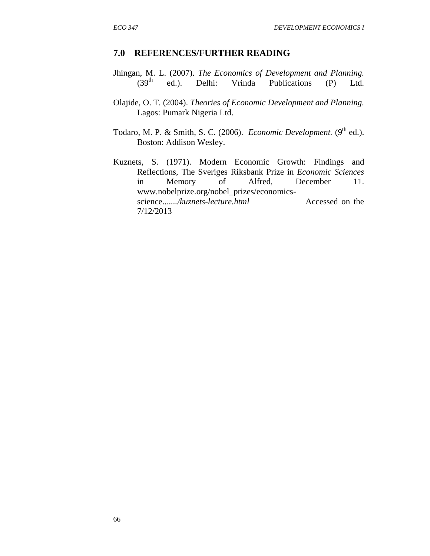#### **7.0 REFERENCES/FURTHER READING**

- Jhingan, M. L. (2007). *The Economics of Development and Planning.*  $(39<sup>th</sup>$  ed.). Delhi: Vrinda Publications (P) Ltd.
- Olajide, O. T. (2004). *Theories of Economic Development and Planning.* Lagos: Pumark Nigeria Ltd.
- Todaro, M. P. & Smith, S. C. (2006). *Economic Development*. (9<sup>th</sup> ed.). Boston: Addison Wesley.
- Kuznets, S. (1971). Modern Economic Growth: Findings and Reflections, The Sveriges Riksbank Prize in *Economic Sciences* in Memory of Alfred, December 11. www.nobelprize.org/nobel\_prizes/economicsscience......./kuznets-lecture.html Accessed on the 7/12/2013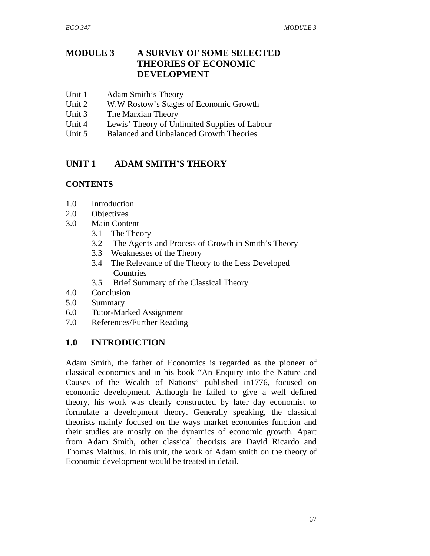## **MODULE 3 A SURVEY OF SOME SELECTED THEORIES OF ECONOMIC DEVELOPMENT**

- Unit 1 Adam Smith's Theory
- Unit 2 W.W Rostow's Stages of Economic Growth
- Unit 3 The Marxian Theory
- Unit 4 Lewis' Theory of Unlimited Supplies of Labour
- Unit 5Balanced and Unbalanced Growth Theories

## **UNIT 1 ADAM SMITH'S THEORY**

#### **CONTENTS**

- 1.0 Introduction
- 2.0 Objectives
- 3.0 Main Content
	- 3.1 The Theory
	- 3.2 The Agents and Process of Growth in Smith's Theory
	- 3.3 Weaknesses of the Theory
	- 3.4 The Relevance of the Theory to the Less Developed **Countries**
	- 3.5 Brief Summary of the Classical Theory
- 4.0 Conclusion
- 5.0 Summary
- 6.0 Tutor-Marked Assignment
- 7.0 References/Further Reading

## **1.0 INTRODUCTION**

Adam Smith, the father of Economics is regarded as the pioneer of classical economics and in his book "An Enquiry into the Nature and Causes of the Wealth of Nations" published in1776, focused on economic development. Although he failed to give a well defined theory, his work was clearly constructed by later day economist to formulate a development theory. Generally speaking, the classical theorists mainly focused on the ways market economies function and their studies are mostly on the dynamics of economic growth. Apart from Adam Smith, other classical theorists are David Ricardo and Thomas Malthus. In this unit, the work of Adam smith on the theory of Economic development would be treated in detail.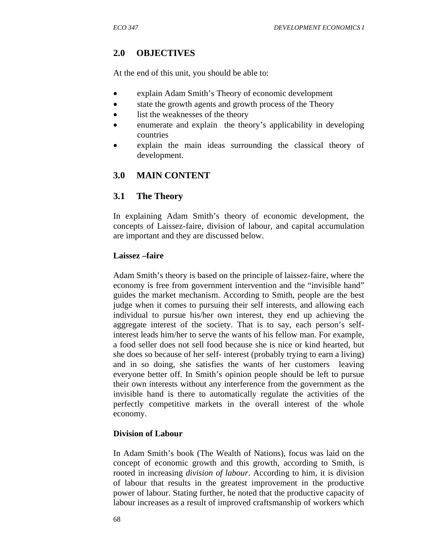# **2.0 OBJECTIVES**

At the end of this unit, you should be able to:

- explain Adam Smith's Theory of economic development
- state the growth agents and growth process of the Theory
- list the weaknesses of the theory
- enumerate and explain the theory's applicability in developing countries
- explain the main ideas surrounding the classical theory of development.

# **3.0 MAIN CONTENT**

### **3.1 The Theory**

In explaining Adam Smith's theory of economic development, the concepts of Laissez-faire, division of labour, and capital accumulation are important and they are discussed below.

#### **Laissez –faire**

Adam Smith's theory is based on the principle of laissez-faire, where the economy is free from government intervention and the "invisible hand" guides the market mechanism. According to Smith, people are the best judge when it comes to pursuing their self interests, and allowing each individual to pursue his/her own interest, they end up achieving the aggregate interest of the society. That is to say, each person's selfinterest leads him/her to serve the wants of his fellow man. For example, a food seller does not sell food because she is nice or kind hearted, but she does so because of her self- interest (probably trying to earn a living) and in so doing, she satisfies the wants of her customers leaving everyone better off. In Smith's opinion people should be left to pursue their own interests without any interference from the government as the invisible hand is there to automatically regulate the activities of the perfectly competitive markets in the overall interest of the whole economy.

#### **Division of Labour**

In Adam Smith's book (The Wealth of Nations), focus was laid on the concept of economic growth and this growth, according to Smith, is rooted in increasing *division of labour*. According to him, it is division of labour that results in the greatest improvement in the productive power of labour. Stating further, he noted that the productive capacity of labour increases as a result of improved craftsmanship of workers which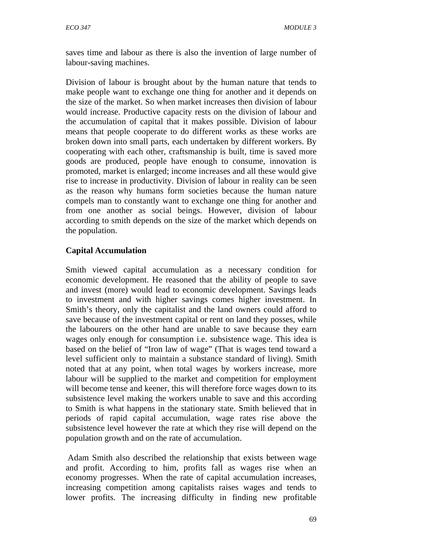saves time and labour as there is also the invention of large number of labour-saving machines.

Division of labour is brought about by the human nature that tends to make people want to exchange one thing for another and it depends on the size of the market. So when market increases then division of labour would increase. Productive capacity rests on the division of labour and the accumulation of capital that it makes possible. Division of labour means that people cooperate to do different works as these works are broken down into small parts, each undertaken by different workers. By cooperating with each other, craftsmanship is built, time is saved more goods are produced, people have enough to consume, innovation is promoted, market is enlarged; income increases and all these would give rise to increase in productivity. Division of labour in reality can be seen as the reason why humans form societies because the human nature compels man to constantly want to exchange one thing for another and from one another as social beings. However, division of labour according to smith depends on the size of the market which depends on the population.

### **Capital Accumulation**

Smith viewed capital accumulation as a necessary condition for economic development. He reasoned that the ability of people to save and invest (more) would lead to economic development. Savings leads to investment and with higher savings comes higher investment. In Smith's theory, only the capitalist and the land owners could afford to save because of the investment capital or rent on land they posses, while the labourers on the other hand are unable to save because they earn wages only enough for consumption i.e. subsistence wage. This idea is based on the belief of "Iron law of wage" (That is wages tend toward a level sufficient only to maintain a substance standard of living). Smith noted that at any point, when total wages by workers increase, more labour will be supplied to the market and competition for employment will become tense and keener, this will therefore force wages down to its subsistence level making the workers unable to save and this according to Smith is what happens in the stationary state. Smith believed that in periods of rapid capital accumulation, wage rates rise above the subsistence level however the rate at which they rise will depend on the population growth and on the rate of accumulation.

 Adam Smith also described the relationship that exists between wage and profit. According to him, profits fall as wages rise when an economy progresses. When the rate of capital accumulation increases, increasing competition among capitalists raises wages and tends to lower profits. The increasing difficulty in finding new profitable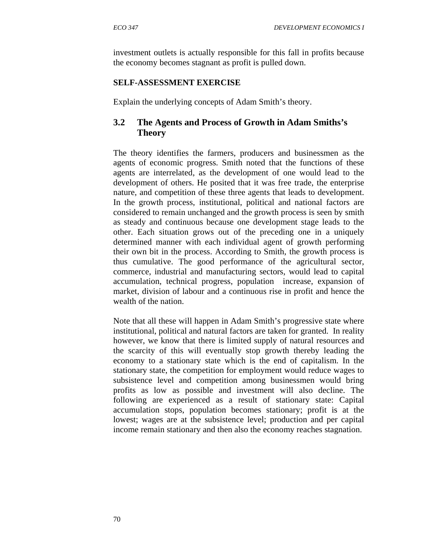investment outlets is actually responsible for this fall in profits because the economy becomes stagnant as profit is pulled down.

#### **SELF-ASSESSMENT EXERCISE**

Explain the underlying concepts of Adam Smith's theory.

## **3.2 The Agents and Process of Growth in Adam Smiths's Theory**

The theory identifies the farmers, producers and businessmen as the agents of economic progress. Smith noted that the functions of these agents are interrelated, as the development of one would lead to the development of others. He posited that it was free trade, the enterprise nature, and competition of these three agents that leads to development. In the growth process, institutional, political and national factors are considered to remain unchanged and the growth process is seen by smith as steady and continuous because one development stage leads to the other. Each situation grows out of the preceding one in a uniquely determined manner with each individual agent of growth performing their own bit in the process. According to Smith, the growth process is thus cumulative. The good performance of the agricultural sector, commerce, industrial and manufacturing sectors, would lead to capital accumulation, technical progress, population increase, expansion of market, division of labour and a continuous rise in profit and hence the wealth of the nation.

Note that all these will happen in Adam Smith's progressive state where institutional, political and natural factors are taken for granted. In reality however, we know that there is limited supply of natural resources and the scarcity of this will eventually stop growth thereby leading the economy to a stationary state which is the end of capitalism. In the stationary state, the competition for employment would reduce wages to subsistence level and competition among businessmen would bring profits as low as possible and investment will also decline. The following are experienced as a result of stationary state: Capital accumulation stops, population becomes stationary; profit is at the lowest; wages are at the subsistence level; production and per capital income remain stationary and then also the economy reaches stagnation.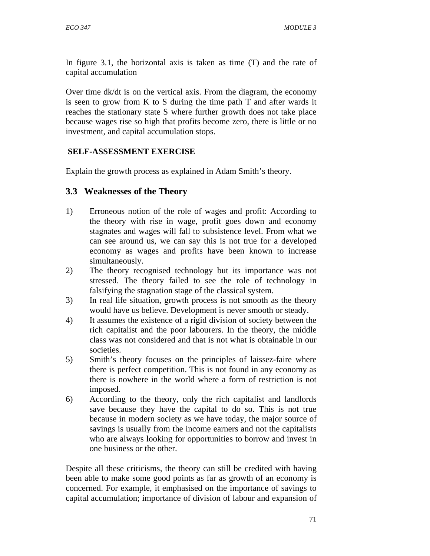In figure 3.1, the horizontal axis is taken as time (T) and the rate of capital accumulation

Over time dk/dt is on the vertical axis. From the diagram, the economy is seen to grow from K to S during the time path T and after wards it reaches the stationary state S where further growth does not take place because wages rise so high that profits become zero, there is little or no investment, and capital accumulation stops.

### **SELF-ASSESSMENT EXERCISE**

Explain the growth process as explained in Adam Smith's theory.

## **3.3 Weaknesses of the Theory**

- 1) Erroneous notion of the role of wages and profit: According to the theory with rise in wage, profit goes down and economy stagnates and wages will fall to subsistence level. From what we can see around us, we can say this is not true for a developed economy as wages and profits have been known to increase simultaneously.
- 2) The theory recognised technology but its importance was not stressed. The theory failed to see the role of technology in falsifying the stagnation stage of the classical system.
- 3) In real life situation, growth process is not smooth as the theory would have us believe. Development is never smooth or steady.
- 4) It assumes the existence of a rigid division of society between the rich capitalist and the poor labourers. In the theory, the middle class was not considered and that is not what is obtainable in our societies.
- 5) Smith's theory focuses on the principles of laissez-faire where there is perfect competition. This is not found in any economy as there is nowhere in the world where a form of restriction is not imposed.
- 6) According to the theory, only the rich capitalist and landlords save because they have the capital to do so. This is not true because in modern society as we have today, the major source of savings is usually from the income earners and not the capitalists who are always looking for opportunities to borrow and invest in one business or the other.

Despite all these criticisms, the theory can still be credited with having been able to make some good points as far as growth of an economy is concerned. For example, it emphasised on the importance of savings to capital accumulation; importance of division of labour and expansion of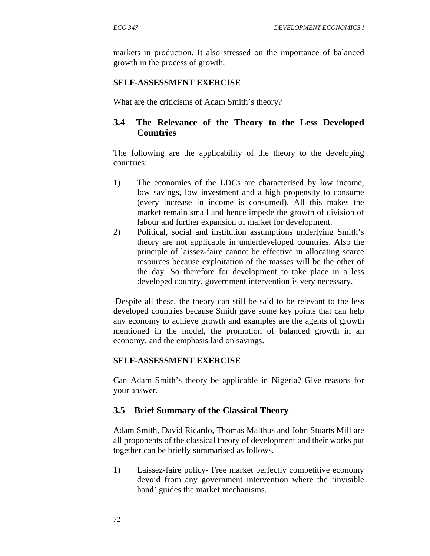markets in production. It also stressed on the importance of balanced growth in the process of growth.

#### **SELF-ASSESSMENT EXERCISE**

What are the criticisms of Adam Smith's theory?

## **3.4 The Relevance of the Theory to the Less Developed Countries**

The following are the applicability of the theory to the developing countries:

- 1) The economies of the LDCs are characterised by low income, low savings, low investment and a high propensity to consume (every increase in income is consumed). All this makes the market remain small and hence impede the growth of division of labour and further expansion of market for development.
- 2) Political, social and institution assumptions underlying Smith's theory are not applicable in underdeveloped countries. Also the principle of laissez-faire cannot be effective in allocating scarce resources because exploitation of the masses will be the other of the day. So therefore for development to take place in a less developed country, government intervention is very necessary.

 Despite all these, the theory can still be said to be relevant to the less developed countries because Smith gave some key points that can help any economy to achieve growth and examples are the agents of growth mentioned in the model, the promotion of balanced growth in an economy, and the emphasis laid on savings.

#### **SELF-ASSESSMENT EXERCISE**

Can Adam Smith's theory be applicable in Nigeria? Give reasons for your answer.

## **3.5 Brief Summary of the Classical Theory**

Adam Smith, David Ricardo, Thomas Malthus and John Stuarts Mill are all proponents of the classical theory of development and their works put together can be briefly summarised as follows.

1) Laissez-faire policy- Free market perfectly competitive economy devoid from any government intervention where the 'invisible hand' guides the market mechanisms.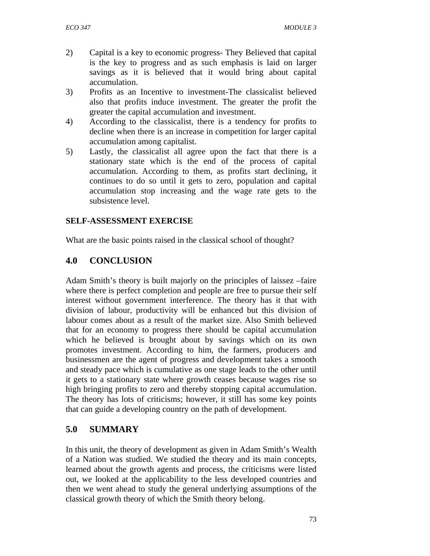- 2) Capital is a key to economic progress- They Believed that capital is the key to progress and as such emphasis is laid on larger savings as it is believed that it would bring about capital accumulation.
- 3) Profits as an Incentive to investment-The classicalist believed also that profits induce investment. The greater the profit the greater the capital accumulation and investment.
- 4) According to the classicalist, there is a tendency for profits to decline when there is an increase in competition for larger capital accumulation among capitalist.
- 5) Lastly, the classicalist all agree upon the fact that there is a stationary state which is the end of the process of capital accumulation. According to them, as profits start declining, it continues to do so until it gets to zero, population and capital accumulation stop increasing and the wage rate gets to the subsistence level.

### **SELF-ASSESSMENT EXERCISE**

What are the basic points raised in the classical school of thought?

## **4.0 CONCLUSION**

Adam Smith's theory is built majorly on the principles of laissez –faire where there is perfect completion and people are free to pursue their self interest without government interference. The theory has it that with division of labour, productivity will be enhanced but this division of labour comes about as a result of the market size. Also Smith believed that for an economy to progress there should be capital accumulation which he believed is brought about by savings which on its own promotes investment. According to him, the farmers, producers and businessmen are the agent of progress and development takes a smooth and steady pace which is cumulative as one stage leads to the other until it gets to a stationary state where growth ceases because wages rise so high bringing profits to zero and thereby stopping capital accumulation. The theory has lots of criticisms; however, it still has some key points that can guide a developing country on the path of development.

## **5.0 SUMMARY**

In this unit, the theory of development as given in Adam Smith's Wealth of a Nation was studied. We studied the theory and its main concepts, learned about the growth agents and process, the criticisms were listed out, we looked at the applicability to the less developed countries and then we went ahead to study the general underlying assumptions of the classical growth theory of which the Smith theory belong.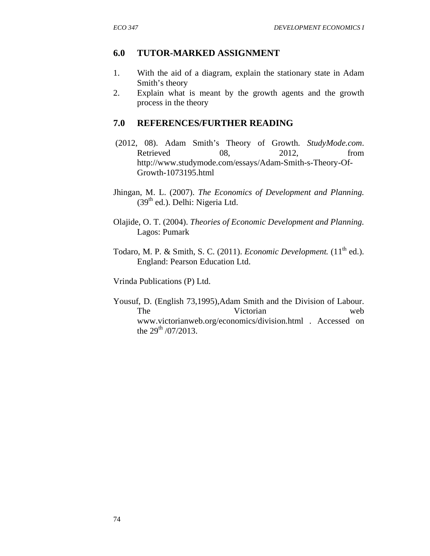#### **6.0 TUTOR-MARKED ASSIGNMENT**

- 1. With the aid of a diagram, explain the stationary state in Adam Smith's theory
- 2. Explain what is meant by the growth agents and the growth process in the theory

#### **7.0 REFERENCES/FURTHER READING**

- (2012, 08). Adam Smith's Theory of Growth. *StudyMode.com*. Retrieved 08, 2012, from http://www.studymode.com/essays/Adam-Smith-s-Theory-Of-Growth-1073195.html
- Jhingan, M. L. (2007). *The Economics of Development and Planning.*  $(39<sup>th</sup>$  ed.). Delhi: Nigeria Ltd.
- Olajide, O. T. (2004). *Theories of Economic Development and Planning.* Lagos: Pumark
- Todaro, M. P. & Smith, S. C. (2011). *Economic Development*. (11<sup>th</sup> ed.). England: Pearson Education Ltd.

Vrinda Publications (P) Ltd.

Yousuf, D. (English 73,1995),Adam Smith and the Division of Labour. The Victorian web www.victorianweb.org/economics/division.html . Accessed on the  $29^{th}$  /07/2013.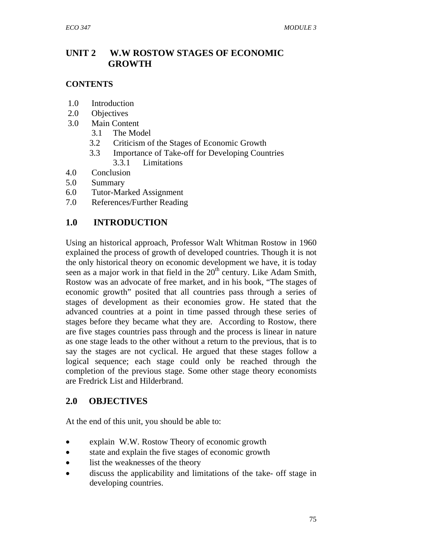# **UNIT 2 W.W ROSTOW STAGES OF ECONOMIC GROWTH**

### **CONTENTS**

- 1.0 Introduction
- 2.0 Objectives
- 3.0 Main Content
	- 3.1 The Model
	- 3.2 Criticism of the Stages of Economic Growth
	- 3.3 Importance of Take-off for Developing Countries 3.3.1 Limitations
- 4.0 Conclusion
- 5.0 Summary
- 6.0 Tutor-Marked Assignment
- 7.0 References/Further Reading

## **1.0 INTRODUCTION**

Using an historical approach, Professor Walt Whitman Rostow in 1960 explained the process of growth of developed countries. Though it is not the only historical theory on economic development we have, it is today seen as a major work in that field in the  $20<sup>th</sup>$  century. Like Adam Smith, Rostow was an advocate of free market, and in his book, "The stages of economic growth" posited that all countries pass through a series of stages of development as their economies grow. He stated that the advanced countries at a point in time passed through these series of stages before they became what they are. According to Rostow, there are five stages countries pass through and the process is linear in nature as one stage leads to the other without a return to the previous, that is to say the stages are not cyclical. He argued that these stages follow a logical sequence; each stage could only be reached through the completion of the previous stage. Some other stage theory economists are Fredrick List and Hilderbrand.

## **2.0 OBJECTIVES**

At the end of this unit, you should be able to:

- explain W.W. Rostow Theory of economic growth
- state and explain the five stages of economic growth
- list the weaknesses of the theory
- discuss the applicability and limitations of the take- off stage in developing countries.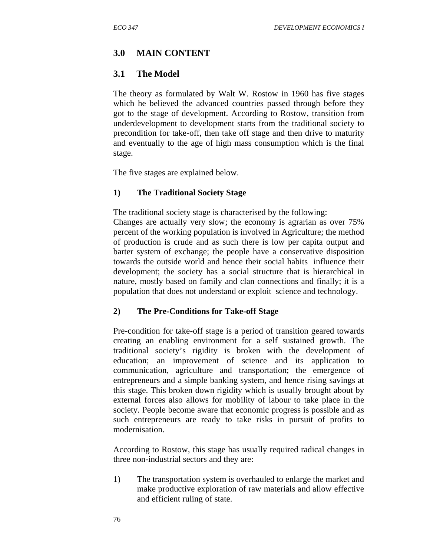### **3.0 MAIN CONTENT**

#### **3.1 The Model**

The theory as formulated by Walt W. Rostow in 1960 has five stages which he believed the advanced countries passed through before they got to the stage of development. According to Rostow, transition from underdevelopment to development starts from the traditional society to precondition for take-off, then take off stage and then drive to maturity and eventually to the age of high mass consumption which is the final stage.

The five stages are explained below.

#### **1) The Traditional Society Stage**

The traditional society stage is characterised by the following:

Changes are actually very slow; the economy is agrarian as over 75% percent of the working population is involved in Agriculture; the method of production is crude and as such there is low per capita output and barter system of exchange; the people have a conservative disposition towards the outside world and hence their social habits influence their development; the society has a social structure that is hierarchical in nature, mostly based on family and clan connections and finally; it is a population that does not understand or exploit science and technology.

#### **2) The Pre-Conditions for Take-off Stage**

Pre-condition for take-off stage is a period of transition geared towards creating an enabling environment for a self sustained growth. The traditional society's rigidity is broken with the development of education; an improvement of science and its application to communication, agriculture and transportation; the emergence of entrepreneurs and a simple banking system, and hence rising savings at this stage. This broken down rigidity which is usually brought about by external forces also allows for mobility of labour to take place in the society. People become aware that economic progress is possible and as such entrepreneurs are ready to take risks in pursuit of profits to modernisation.

According to Rostow, this stage has usually required radical changes in three non-industrial sectors and they are:

1) The transportation system is overhauled to enlarge the market and make productive exploration of raw materials and allow effective and efficient ruling of state.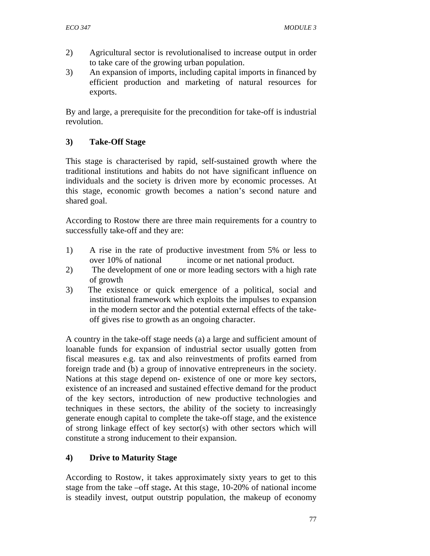- 2) Agricultural sector is revolutionalised to increase output in order to take care of the growing urban population.
- 3) An expansion of imports, including capital imports in financed by efficient production and marketing of natural resources for exports.

By and large, a prerequisite for the precondition for take-off is industrial revolution.

## **3) Take-Off Stage**

This stage is characterised by rapid, self-sustained growth where the traditional institutions and habits do not have significant influence on individuals and the society is driven more by economic processes. At this stage, economic growth becomes a nation's second nature and shared goal.

According to Rostow there are three main requirements for a country to successfully take-off and they are:

- 1) A rise in the rate of productive investment from 5% or less to over 10% of national income or net national product.
- 2) The development of one or more leading sectors with a high rate of growth
- 3) The existence or quick emergence of a political, social and institutional framework which exploits the impulses to expansion in the modern sector and the potential external effects of the takeoff gives rise to growth as an ongoing character.

A country in the take-off stage needs (a) a large and sufficient amount of loanable funds for expansion of industrial sector usually gotten from fiscal measures e.g. tax and also reinvestments of profits earned from foreign trade and (b) a group of innovative entrepreneurs in the society. Nations at this stage depend on- existence of one or more key sectors, existence of an increased and sustained effective demand for the product of the key sectors, introduction of new productive technologies and techniques in these sectors, the ability of the society to increasingly generate enough capital to complete the take-off stage, and the existence of strong linkage effect of key sector(s) with other sectors which will constitute a strong inducement to their expansion.

## **4) Drive to Maturity Stage**

According to Rostow, it takes approximately sixty years to get to this stage from the take –off stage**.** At this stage, 10-20% of national income is steadily invest, output outstrip population, the makeup of economy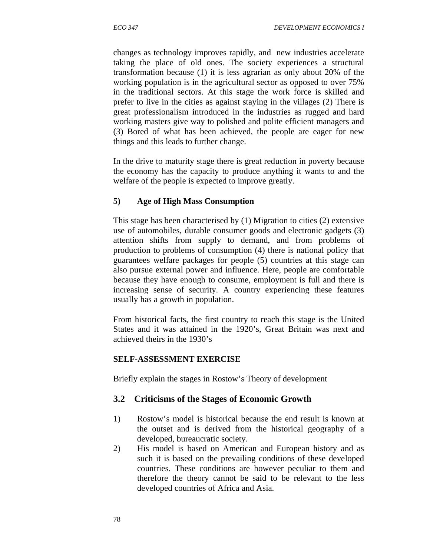changes as technology improves rapidly, and new industries accelerate taking the place of old ones. The society experiences a structural transformation because (1) it is less agrarian as only about 20% of the working population is in the agricultural sector as opposed to over 75% in the traditional sectors. At this stage the work force is skilled and prefer to live in the cities as against staying in the villages (2) There is great professionalism introduced in the industries as rugged and hard working masters give way to polished and polite efficient managers and (3) Bored of what has been achieved, the people are eager for new things and this leads to further change.

In the drive to maturity stage there is great reduction in poverty because the economy has the capacity to produce anything it wants to and the welfare of the people is expected to improve greatly.

#### **5) Age of High Mass Consumption**

This stage has been characterised by (1) Migration to cities (2) extensive use of automobiles, durable consumer goods and electronic gadgets (3) attention shifts from supply to demand, and from problems of production to problems of consumption (4) there is national policy that guarantees welfare packages for people (5) countries at this stage can also pursue external power and influence. Here, people are comfortable because they have enough to consume, employment is full and there is increasing sense of security. A country experiencing these features usually has a growth in population.

From historical facts, the first country to reach this stage is the United States and it was attained in the 1920's, Great Britain was next and achieved theirs in the 1930's

#### **SELF-ASSESSMENT EXERCISE**

Briefly explain the stages in Rostow's Theory of development

#### **3.2 Criticisms of the Stages of Economic Growth**

- 1) Rostow's model is historical because the end result is known at the outset and is derived from the historical geography of a developed, bureaucratic society.
- 2) His model is based on American and European history and as such it is based on the prevailing conditions of these developed countries. These conditions are however peculiar to them and therefore the theory cannot be said to be relevant to the less developed countries of Africa and Asia.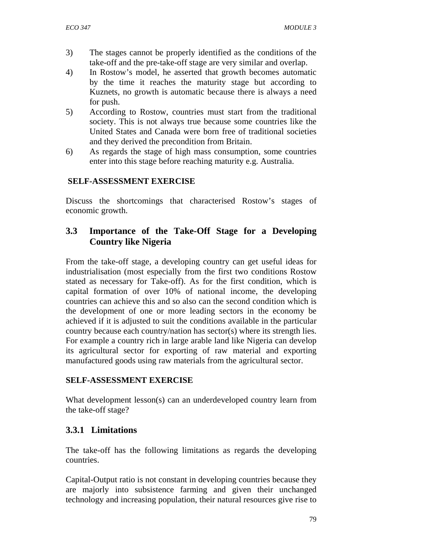- 3) The stages cannot be properly identified as the conditions of the take-off and the pre-take-off stage are very similar and overlap.
- 4) In Rostow's model, he asserted that growth becomes automatic by the time it reaches the maturity stage but according to Kuznets, no growth is automatic because there is always a need for push.
- 5) According to Rostow, countries must start from the traditional society. This is not always true because some countries like the United States and Canada were born free of traditional societies and they derived the precondition from Britain.
- 6) As regards the stage of high mass consumption, some countries enter into this stage before reaching maturity e.g. Australia.

## **SELF-ASSESSMENT EXERCISE**

Discuss the shortcomings that characterised Rostow's stages of economic growth.

# **3.3 Importance of the Take-Off Stage for a Developing Country like Nigeria**

From the take-off stage, a developing country can get useful ideas for industrialisation (most especially from the first two conditions Rostow stated as necessary for Take-off). As for the first condition, which is capital formation of over 10% of national income, the developing countries can achieve this and so also can the second condition which is the development of one or more leading sectors in the economy be achieved if it is adjusted to suit the conditions available in the particular country because each country/nation has sector(s) where its strength lies. For example a country rich in large arable land like Nigeria can develop its agricultural sector for exporting of raw material and exporting manufactured goods using raw materials from the agricultural sector.

## **SELF-ASSESSMENT EXERCISE**

What development lesson(s) can an underdeveloped country learn from the take-off stage?

## **3.3.1 Limitations**

The take-off has the following limitations as regards the developing countries.

Capital-Output ratio is not constant in developing countries because they are majorly into subsistence farming and given their unchanged technology and increasing population, their natural resources give rise to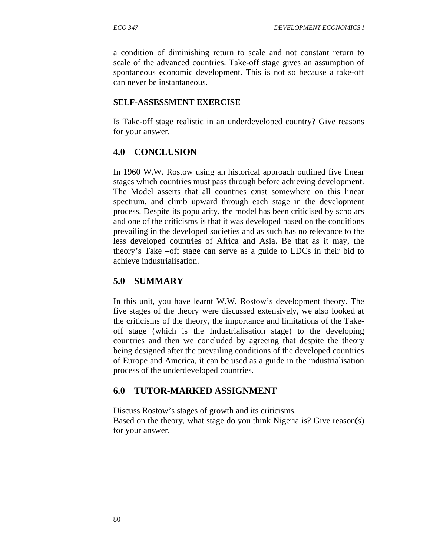a condition of diminishing return to scale and not constant return to scale of the advanced countries. Take-off stage gives an assumption of spontaneous economic development. This is not so because a take-off can never be instantaneous.

#### **SELF-ASSESSMENT EXERCISE**

Is Take-off stage realistic in an underdeveloped country? Give reasons for your answer.

## **4.0 CONCLUSION**

In 1960 W.W. Rostow using an historical approach outlined five linear stages which countries must pass through before achieving development. The Model asserts that all countries exist somewhere on this linear spectrum, and climb upward through each stage in the development process. Despite its popularity, the model has been criticised by scholars and one of the criticisms is that it was developed based on the conditions prevailing in the developed societies and as such has no relevance to the less developed countries of Africa and Asia. Be that as it may, the theory's Take –off stage can serve as a guide to LDCs in their bid to achieve industrialisation.

## **5.0 SUMMARY**

In this unit, you have learnt W.W. Rostow's development theory. The five stages of the theory were discussed extensively, we also looked at the criticisms of the theory, the importance and limitations of the Takeoff stage (which is the Industrialisation stage) to the developing countries and then we concluded by agreeing that despite the theory being designed after the prevailing conditions of the developed countries of Europe and America, it can be used as a guide in the industrialisation process of the underdeveloped countries.

## **6.0 TUTOR-MARKED ASSIGNMENT**

Discuss Rostow's stages of growth and its criticisms. Based on the theory, what stage do you think Nigeria is? Give reason(s) for your answer.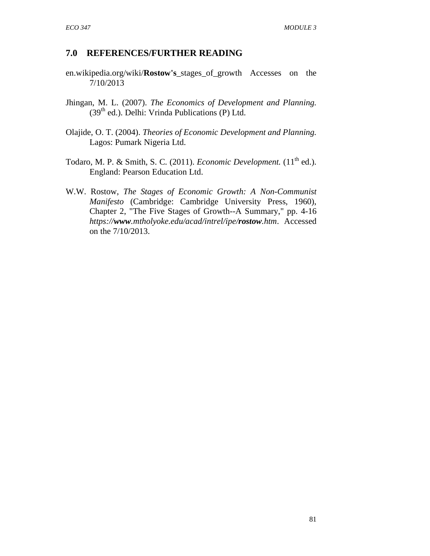### **7.0 REFERENCES/FURTHER READING**

- en.wikipedia.org/wiki/**Rostow's**\_stages\_of\_growth Accesses on the 7/10/2013
- Jhingan, M. L. (2007). *The Economics of Development and Planning.*  $(39<sup>th</sup>$  ed.). Delhi: Vrinda Publications (P) Ltd.
- Olajide, O. T. (2004). *Theories of Economic Development and Planning.* Lagos: Pumark Nigeria Ltd.
- Todaro, M. P. & Smith, S. C. (2011). *Economic Development*. (11<sup>th</sup> ed.). England: Pearson Education Ltd.
- W.W. Rostow, *The Stages of Economic Growth: A Non-Communist Manifesto* (Cambridge: Cambridge University Press, 1960), Chapter 2, "The Five Stages of Growth--A Summary," pp. 4-16 *https://www.mtholyoke.edu/acad/intrel/ipe/rostow.htm* . Accessed on the 7/10/2013.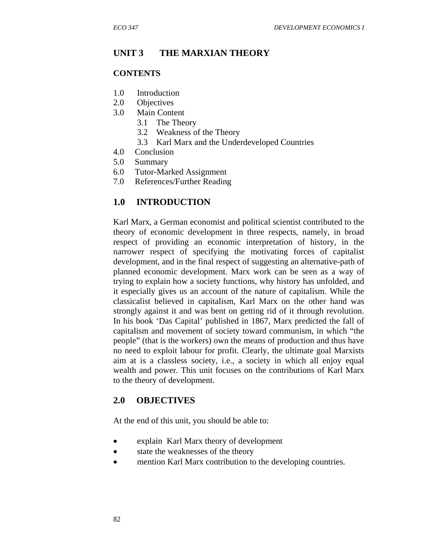### **UNIT 3 THE MARXIAN THEORY**

#### **CONTENTS**

- 1.0 Introduction
- 2.0 Objectives
- 3.0 Main Content
	- 3.1 The Theory
	- 3.2 Weakness of the Theory
	- 3.3 Karl Marx and the Underdeveloped Countries
- 4.0 Conclusion
- 5.0 Summary
- 6.0 Tutor-Marked Assignment
- 7.0 References/Further Reading

#### **1.0 INTRODUCTION**

Karl Marx, a German economist and political scientist contributed to the theory of economic development in three respects, namely, in broad respect of providing an economic interpretation of history, in the narrower respect of specifying the motivating forces of capitalist development, and in the final respect of suggesting an alternative-path of planned economic development. Marx work can be seen as a way of trying to explain how a society functions, why history has unfolded, and it especially gives us an account of the nature of capitalism. While the classicalist believed in capitalism, Karl Marx on the other hand was strongly against it and was bent on getting rid of it through revolution. In his book 'Das Capital' published in 1867, Marx predicted the fall of capitalism and movement of society toward communism, in which "the people" (that is the workers) own the means of production and thus have no need to exploit labour for profit. Clearly, the ultimate goal Marxists aim at is a classless society, i.e., a society in which all enjoy equal wealth and power. This unit focuses on the contributions of Karl Marx to the theory of development.

#### **2.0 OBJECTIVES**

At the end of this unit, you should be able to:

- explain Karl Marx theory of development
- state the weaknesses of the theory
- mention Karl Marx contribution to the developing countries.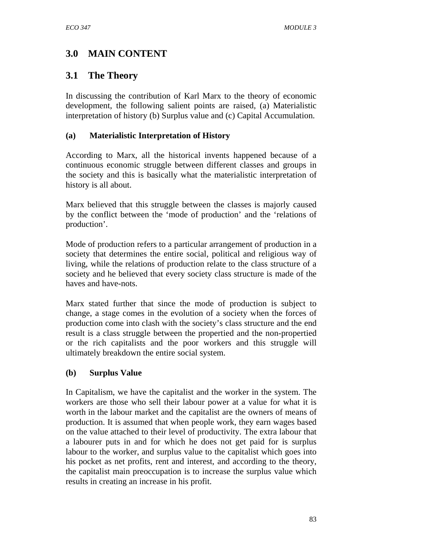# **3.0 MAIN CONTENT**

## **3.1 The Theory**

In discussing the contribution of Karl Marx to the theory of economic development, the following salient points are raised, (a) Materialistic interpretation of history (b) Surplus value and (c) Capital Accumulation.

#### **(a) Materialistic Interpretation of History**

According to Marx, all the historical invents happened because of a continuous economic struggle between different classes and groups in the society and this is basically what the materialistic interpretation of history is all about.

Marx believed that this struggle between the classes is majorly caused by the conflict between the 'mode of production' and the 'relations of production'.

Mode of production refers to a particular arrangement of production in a society that determines the entire social, political and religious way of living, while the relations of production relate to the class structure of a society and he believed that every society class structure is made of the haves and have-nots.

Marx stated further that since the mode of production is subject to change, a stage comes in the evolution of a society when the forces of production come into clash with the society's class structure and the end result is a class struggle between the propertied and the non-propertied or the rich capitalists and the poor workers and this struggle will ultimately breakdown the entire social system.

#### **(b) Surplus Value**

In Capitalism, we have the capitalist and the worker in the system. The workers are those who sell their labour power at a value for what it is worth in the labour market and the capitalist are the owners of means of production. It is assumed that when people work, they earn wages based on the value attached to their level of productivity. The extra labour that a labourer puts in and for which he does not get paid for is surplus labour to the worker, and surplus value to the capitalist which goes into his pocket as net profits, rent and interest, and according to the theory, the capitalist main preoccupation is to increase the surplus value which results in creating an increase in his profit.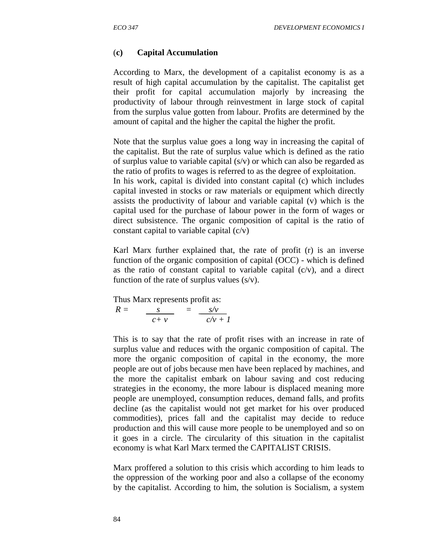#### (**c) Capital Accumulation**

According to Marx, the development of a capitalist economy is as a result of high capital accumulation by the capitalist. The capitalist get their profit for capital accumulation majorly by increasing the productivity of labour through reinvestment in large stock of capital from the surplus value gotten from labour. Profits are determined by the amount of capital and the higher the capital the higher the profit.

Note that the surplus value goes a long way in increasing the capital of the capitalist. But the rate of surplus value which is defined as the ratio of surplus value to variable capital  $(s/v)$  or which can also be regarded as the ratio of profits to wages is referred to as the degree of exploitation. In his work, capital is divided into constant capital (c) which includes capital invested in stocks or raw materials or equipment which directly assists the productivity of labour and variable capital (v) which is the capital used for the purchase of labour power in the form of wages or direct subsistence. The organic composition of capital is the ratio of constant capital to variable capital (c/v)

Karl Marx further explained that, the rate of profit (r) is an inverse function of the organic composition of capital (OCC) - which is defined as the ratio of constant capital to variable capital  $(c/v)$ , and a direct function of the rate of surplus values  $(s/v)$ .

Thus Marx represents profit as:

 $R = s$   $= s/v$  $c + v$   $c/v + 1$ 

This is to say that the rate of profit rises with an increase in rate of surplus value and reduces with the organic composition of capital. The more the organic composition of capital in the economy, the more people are out of jobs because men have been replaced by machines, and the more the capitalist embark on labour saving and cost reducing strategies in the economy, the more labour is displaced meaning more people are unemployed, consumption reduces, demand falls, and profits decline (as the capitalist would not get market for his over produced commodities), prices fall and the capitalist may decide to reduce production and this will cause more people to be unemployed and so on it goes in a circle. The circularity of this situation in the capitalist economy is what Karl Marx termed the CAPITALIST CRISIS.

Marx proffered a solution to this crisis which according to him leads to the oppression of the working poor and also a collapse of the economy by the capitalist. According to him, the solution is Socialism, a system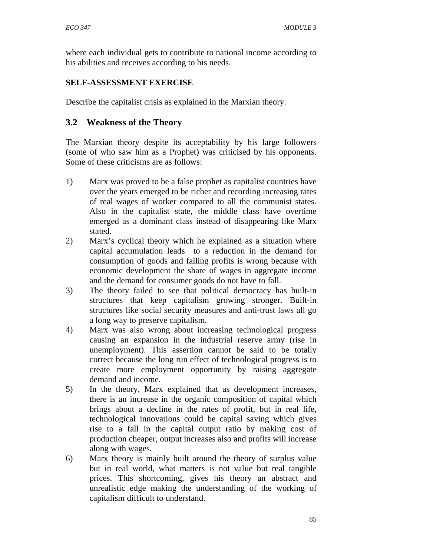where each individual gets to contribute to national income according to his abilities and receives according to his needs.

### **SELF-ASSESSMENT EXERCISE**

Describe the capitalist crisis as explained in the Marxian theory.

## **3.2 Weakness of the Theory**

The Marxian theory despite its acceptability by his large followers (some of who saw him as a Prophet) was criticised by his opponents. Some of these criticisms are as follows:

- 1) Marx was proved to be a false prophet as capitalist countries have over the years emerged to be richer and recording increasing rates of real wages of worker compared to all the communist states. Also in the capitalist state, the middle class have overtime emerged as a dominant class instead of disappearing like Marx stated.
- 2) Marx's cyclical theory which he explained as a situation where capital accumulation leads to a reduction in the demand for consumption of goods and falling profits is wrong because with economic development the share of wages in aggregate income and the demand for consumer goods do not have to fall.
- 3) The theory failed to see that political democracy has built-in structures that keep capitalism growing stronger. Built-in structures like social security measures and anti-trust laws all go a long way to preserve capitalism.
- 4) Marx was also wrong about increasing technological progress causing an expansion in the industrial reserve army (rise in unemployment). This assertion cannot be said to be totally correct because the long run effect of technological progress is to create more employment opportunity by raising aggregate demand and income.
- 5) In the theory, Marx explained that as development increases, there is an increase in the organic composition of capital which brings about a decline in the rates of profit, but in real life, technological innovations could be capital saving which gives rise to a fall in the capital output ratio by making cost of production cheaper, output increases also and profits will increase along with wages.
- 6) Marx theory is mainly built around the theory of surplus value but in real world, what matters is not value but real tangible prices. This shortcoming, gives his theory an abstract and unrealistic edge making the understanding of the working of capitalism difficult to understand.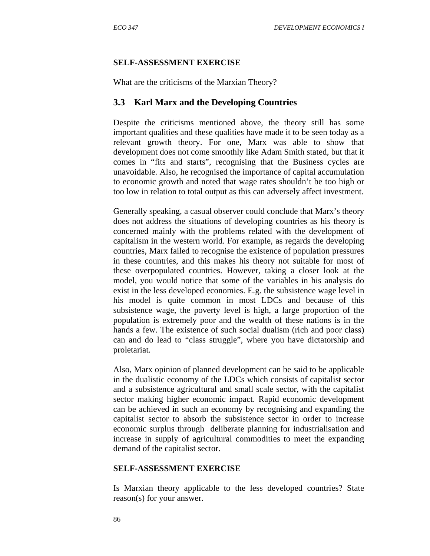#### **SELF-ASSESSMENT EXERCISE**

What are the criticisms of the Marxian Theory?

### **3.3 Karl Marx and the Developing Countries**

Despite the criticisms mentioned above, the theory still has some important qualities and these qualities have made it to be seen today as a relevant growth theory. For one, Marx was able to show that development does not come smoothly like Adam Smith stated, but that it comes in "fits and starts", recognising that the Business cycles are unavoidable. Also, he recognised the importance of capital accumulation to economic growth and noted that wage rates shouldn't be too high or too low in relation to total output as this can adversely affect investment.

Generally speaking, a casual observer could conclude that Marx's theory does not address the situations of developing countries as his theory is concerned mainly with the problems related with the development of capitalism in the western world. For example, as regards the developing countries, Marx failed to recognise the existence of population pressures in these countries, and this makes his theory not suitable for most of these overpopulated countries. However, taking a closer look at the model, you would notice that some of the variables in his analysis do exist in the less developed economies. E.g. the subsistence wage level in his model is quite common in most LDCs and because of this subsistence wage, the poverty level is high, a large proportion of the population is extremely poor and the wealth of these nations is in the hands a few. The existence of such social dualism (rich and poor class) can and do lead to "class struggle", where you have dictatorship and proletariat.

Also, Marx opinion of planned development can be said to be applicable in the dualistic economy of the LDCs which consists of capitalist sector and a subsistence agricultural and small scale sector, with the capitalist sector making higher economic impact. Rapid economic development can be achieved in such an economy by recognising and expanding the capitalist sector to absorb the subsistence sector in order to increase economic surplus through deliberate planning for industrialisation and increase in supply of agricultural commodities to meet the expanding demand of the capitalist sector.

#### **SELF-ASSESSMENT EXERCISE**

Is Marxian theory applicable to the less developed countries? State reason(s) for your answer.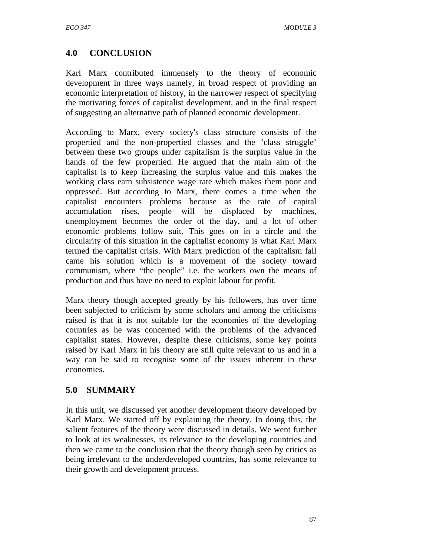# **4.0 CONCLUSION**

Karl Marx contributed immensely to the theory of economic development in three ways namely, in broad respect of providing an economic interpretation of history, in the narrower respect of specifying the motivating forces of capitalist development, and in the final respect of suggesting an alternative path of planned economic development.

According to Marx, every society's class structure consists of the propertied and the non-propertied classes and the 'class struggle' between these two groups under capitalism is the surplus value in the hands of the few propertied. He argued that the main aim of the capitalist is to keep increasing the surplus value and this makes the working class earn subsistence wage rate which makes them poor and oppressed. But according to Marx, there comes a time when the capitalist encounters problems because as the rate of capital accumulation rises, people will be displaced by machines, unemployment becomes the order of the day, and a lot of other economic problems follow suit. This goes on in a circle and the circularity of this situation in the capitalist economy is what Karl Marx termed the capitalist crisis. With Marx prediction of the capitalism fall came his solution which is a movement of the society toward communism, where "the people" i.e. the workers own the means of production and thus have no need to exploit labour for profit.

Marx theory though accepted greatly by his followers, has over time been subjected to criticism by some scholars and among the criticisms raised is that it is not suitable for the economies of the developing countries as he was concerned with the problems of the advanced capitalist states. However, despite these criticisms, some key points raised by Karl Marx in his theory are still quite relevant to us and in a way can be said to recognise some of the issues inherent in these economies.

## **5.0 SUMMARY**

In this unit, we discussed yet another development theory developed by Karl Marx. We started off by explaining the theory. In doing this, the salient features of the theory were discussed in details. We went further to look at its weaknesses, its relevance to the developing countries and then we came to the conclusion that the theory though seen by critics as being irrelevant to the underdeveloped countries, has some relevance to their growth and development process.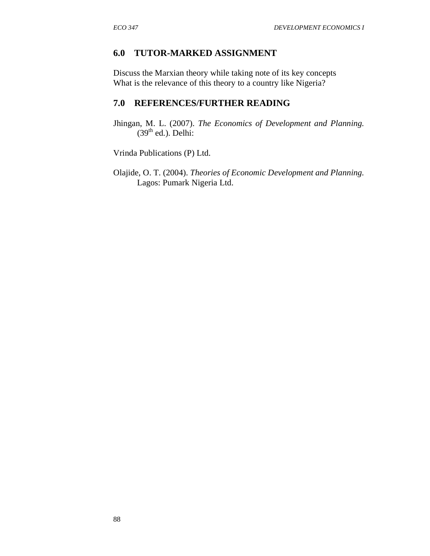### **6.0 TUTOR-MARKED ASSIGNMENT**

Discuss the Marxian theory while taking note of its key concepts What is the relevance of this theory to a country like Nigeria?

# **7.0 REFERENCES/FURTHER READING**

Jhingan, M. L. (2007). *The Economics of Development and Planning.*  $(39<sup>th</sup>$  ed.). Delhi:

Vrinda Publications (P) Ltd.

Olajide, O. T. (2004). *Theories of Economic Development and Planning.* Lagos: Pumark Nigeria Ltd.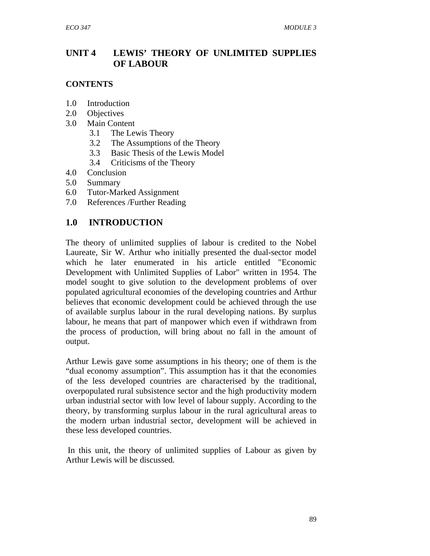## **UNIT 4 LEWIS' THEORY OF UNLIMITED SUPPLIES OF LABOUR**

#### **CONTENTS**

- 1.0 Introduction
- 2.0 Objectives
- 3.0 Main Content
	- 3.1 The Lewis Theory
	- 3.2 The Assumptions of the Theory
	- 3.3 Basic Thesis of the Lewis Model
	- 3.4 Criticisms of the Theory
- 4.0 Conclusion
- 5.0 Summary
- 6.0 Tutor-Marked Assignment
- 7.0 References /Further Reading

## **1.0 INTRODUCTION**

The theory of unlimited supplies of labour is credited to the Nobel Laureate, Sir W. Arthur who initially presented the dual-sector model which he later enumerated in his article entitled "Economic Development with Unlimited Supplies of Labor" written in 1954. The model sought to give solution to the development problems of over populated agricultural economies of the developing countries and Arthur believes that economic development could be achieved through the use of available surplus labour in the rural developing nations. By surplus labour, he means that part of manpower which even if withdrawn from the process of production, will bring about no fall in the amount of output.

Arthur Lewis gave some assumptions in his theory; one of them is the "dual economy assumption". This assumption has it that the economies of the less developed countries are characterised by the traditional, overpopulated rural subsistence sector and the high productivity modern urban industrial sector with low level of labour supply. According to the theory, by transforming surplus labour in the rural agricultural areas to the modern urban industrial sector, development will be achieved in these less developed countries.

 In this unit, the theory of unlimited supplies of Labour as given by Arthur Lewis will be discussed.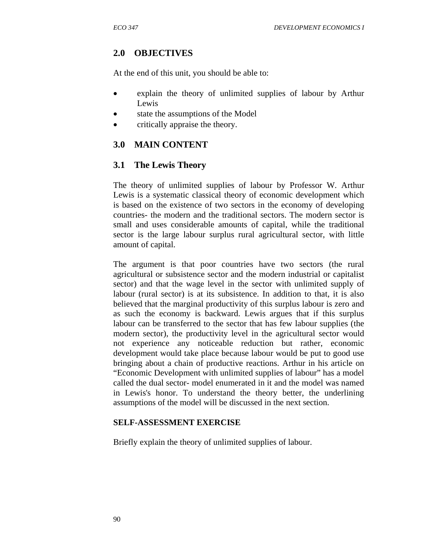### **2.0 OBJECTIVES**

At the end of this unit, you should be able to:

- explain the theory of unlimited supplies of labour by Arthur Lewis
- state the assumptions of the Model
- critically appraise the theory.

### **3.0 MAIN CONTENT**

#### **3.1 The Lewis Theory**

The theory of unlimited supplies of labour by Professor W. Arthur Lewis is a systematic classical theory of economic development which is based on the existence of two sectors in the economy of developing countries- the modern and the traditional sectors. The modern sector is small and uses considerable amounts of capital, while the traditional sector is the large labour surplus rural agricultural sector, with little amount of capital.

The argument is that poor countries have two sectors (the rural agricultural or subsistence sector and the modern industrial or capitalist sector) and that the wage level in the sector with unlimited supply of labour (rural sector) is at its subsistence. In addition to that, it is also believed that the marginal productivity of this surplus labour is zero and as such the economy is backward. Lewis argues that if this surplus labour can be transferred to the sector that has few labour supplies (the modern sector), the productivity level in the agricultural sector would not experience any noticeable reduction but rather, economic development would take place because labour would be put to good use bringing about a chain of productive reactions. Arthur in his article on "Economic Development with unlimited supplies of labour" has a model called the dual sector- model enumerated in it and the model was named in Lewis's honor. To understand the theory better, the underlining assumptions of the model will be discussed in the next section.

#### **SELF-ASSESSMENT EXERCISE**

Briefly explain the theory of unlimited supplies of labour.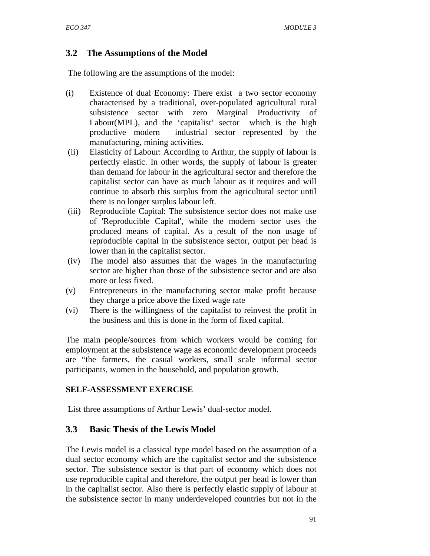## **3.2 The Assumptions of the Model**

The following are the assumptions of the model:

- (i) Existence of dual Economy: There exist a two sector economy characterised by a traditional, over-populated agricultural rural subsistence sector with zero Marginal Productivity of Labour(MPL), and the 'capitalist' sector which is the high productive modern industrial sector represented by the manufacturing, mining activities.
- (ii) Elasticity of Labour: According to Arthur, the supply of labour is perfectly elastic. In other words, the supply of labour is greater than demand for labour in the agricultural sector and therefore the capitalist sector can have as much labour as it requires and will continue to absorb this surplus from the agricultural sector until there is no longer surplus labour left.
- (iii) Reproducible Capital: The subsistence sector does not make use of 'Reproducible Capital', while the modern sector uses the produced means of capital. As a result of the non usage of reproducible capital in the subsistence sector, output per head is lower than in the capitalist sector.
- (iv) The model also assumes that the wages in the manufacturing sector are higher than those of the subsistence sector and are also more or less fixed.
- (v) Entrepreneurs in the manufacturing sector make profit because they charge a price above the fixed wage rate
- (vi) There is the willingness of the capitalist to reinvest the profit in the business and this is done in the form of fixed capital.

The main people/sources from which workers would be coming for employment at the subsistence wage as economic development proceeds are "the farmers, the casual workers, small scale informal sector participants, women in the household, and population growth.

#### **SELF-ASSESSMENT EXERCISE**

List three assumptions of Arthur Lewis' dual-sector model.

## **3.3 Basic Thesis of the Lewis Model**

The Lewis model is a classical type model based on the assumption of a dual sector economy which are the capitalist sector and the subsistence sector. The subsistence sector is that part of economy which does not use reproducible capital and therefore, the output per head is lower than in the capitalist sector. Also there is perfectly elastic supply of labour at the subsistence sector in many underdeveloped countries but not in the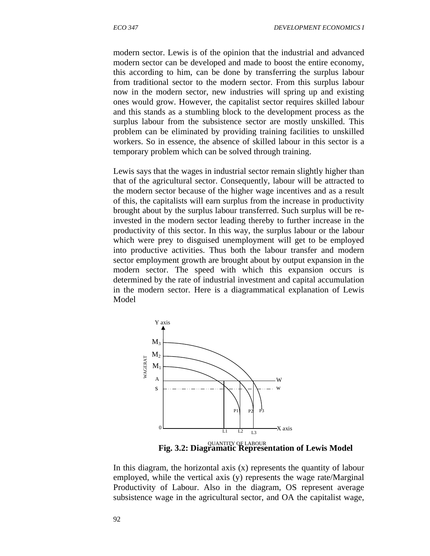modern sector. Lewis is of the opinion that the industrial and advanced modern sector can be developed and made to boost the entire economy, this according to him, can be done by transferring the surplus labour from traditional sector to the modern sector. From this surplus labour now in the modern sector, new industries will spring up and existing ones would grow. However, the capitalist sector requires skilled labour and this stands as a stumbling block to the development process as the surplus labour from the subsistence sector are mostly unskilled. This problem can be eliminated by providing training facilities to unskilled workers. So in essence, the absence of skilled labour in this sector is a temporary problem which can be solved through training.

Lewis says that the wages in industrial sector remain slightly higher than that of the agricultural sector. Consequently, labour will be attracted to the modern sector because of the higher wage incentives and as a result of this, the capitalists will earn surplus from the increase in productivity brought about by the surplus labour transferred. Such surplus will be reinvested in the modern sector leading thereby to further increase in the productivity of this sector. In this way, the surplus labour or the labour which were prey to disguised unemployment will get to be employed into productive activities. Thus both the labour transfer and modern sector employment growth are brought about by output expansion in the modern sector. The speed with which this expansion occurs is determined by the rate of industrial investment and capital accumulation in the modern sector. Here is a diagrammatical explanation of Lewis Model



 **Fig. 3.2: Diagramatic Representation of Lewis Model**  QUANTITY OF LABOUR

In this diagram, the horizontal axis  $(x)$  represents the quantity of labour employed, while the vertical axis (y) represents the wage rate/Marginal Productivity of Labour. Also in the diagram, OS represent average subsistence wage in the agricultural sector, and OA the capitalist wage,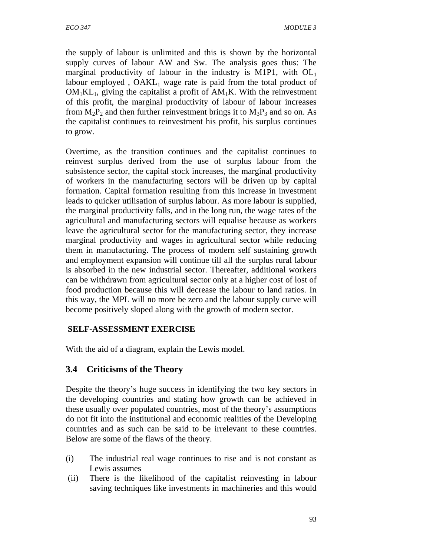the supply of labour is unlimited and this is shown by the horizontal supply curves of labour AW and Sw. The analysis goes thus: The marginal productivity of labour in the industry is M1P1, with  $OL<sub>1</sub>$ labour employed,  $OAKL<sub>1</sub>$  wage rate is paid from the total product of  $OM<sub>1</sub>KL<sub>1</sub>$ , giving the capitalist a profit of  $AM<sub>1</sub>K$ . With the reinvestment of this profit, the marginal productivity of labour of labour increases from  $M_2P_2$  and then further reinvestment brings it to  $M_3P_3$  and so on. As the capitalist continues to reinvestment his profit, his surplus continues to grow.

Overtime, as the transition continues and the capitalist continues to reinvest surplus derived from the use of surplus labour from the subsistence sector, the capital stock increases, the marginal productivity of workers in the manufacturing sectors will be driven up by capital formation. Capital formation resulting from this increase in investment leads to quicker utilisation of surplus labour. As more labour is supplied, the marginal productivity falls, and in the long run, the wage rates of the agricultural and manufacturing sectors will equalise because as workers leave the agricultural sector for the manufacturing sector, they increase marginal productivity and wages in agricultural sector while reducing them in manufacturing. The process of modern self sustaining growth and employment expansion will continue till all the surplus rural labour is absorbed in the new industrial sector. Thereafter, additional workers can be withdrawn from agricultural sector only at a higher cost of lost of food production because this will decrease the labour to land ratios. In this way, the MPL will no more be zero and the labour supply curve will become positively sloped along with the growth of modern sector.

### **SELF-ASSESSMENT EXERCISE**

With the aid of a diagram, explain the Lewis model.

## **3.4 Criticisms of the Theory**

Despite the theory's huge success in identifying the two key sectors in the developing countries and stating how growth can be achieved in these usually over populated countries, most of the theory's assumptions do not fit into the institutional and economic realities of the Developing countries and as such can be said to be irrelevant to these countries. Below are some of the flaws of the theory.

- (i) The industrial real wage continues to rise and is not constant as Lewis assumes
- (ii) There is the likelihood of the capitalist reinvesting in labour saving techniques like investments in machineries and this would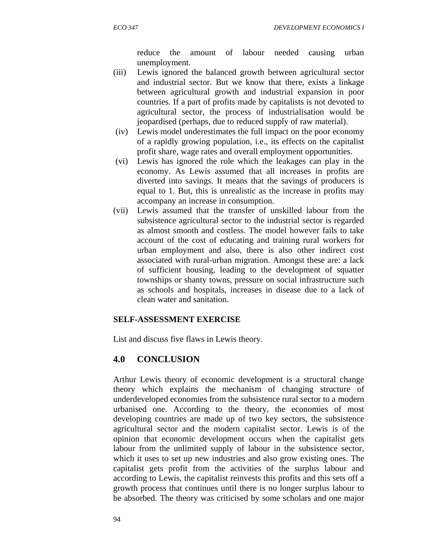reduce the amount of labour needed causing urban unemployment.

- (iii) Lewis ignored the balanced growth between agricultural sector and industrial sector. But we know that there, exists a linkage between agricultural growth and industrial expansion in poor countries. If a part of profits made by capitalists is not devoted to agricultural sector, the process of industrialisation would be jeopardised (perhaps, due to reduced supply of raw material).
- (iv) Lewis model underestimates the full impact on the poor economy of a rapidly growing population, i.e., its effects on the capitalist profit share, wage rates and overall employment opportunities.
- (vi)Lewis has ignored the role which the leakages can play in the economy. As Lewis assumed that all increases in profits are diverted into savings. It means that the savings of producers is equal to 1. But, this is unrealistic as the increase in profits may accompany an increase in consumption.
- (vii)Lewis assumed that the transfer of unskilled labour from the subsistence agricultural sector to the industrial sector is regarded as almost smooth and costless. The model however fails to take account of the cost of educating and training rural workers for urban employment and also, there is also other indirect cost associated with rural-urban migration. Amongst these are: a lack of sufficient housing, leading to the development of squatter townships or shanty towns, pressure on social infrastructure such as schools and hospitals, increases in disease due to a lack of clean water and sanitation.

### **SELF-ASSESSMENT EXERCISE**

List and discuss five flaws in Lewis theory.

## **4.0 CONCLUSION**

Arthur Lewis theory of economic development is a structural change theory which explains the mechanism of changing structure of underdeveloped economies from the subsistence rural sector to a modern urbanised one. According to the theory, the economies of most developing countries are made up of two key sectors, the subsistence agricultural sector and the modern capitalist sector. Lewis is of the opinion that economic development occurs when the capitalist gets labour from the unlimited supply of labour in the subsistence sector, which it uses to set up new industries and also grow existing ones. The capitalist gets profit from the activities of the surplus labour and according to Lewis, the capitalist reinvests this profits and this sets off a growth process that continues until there is no longer surplus labour to be absorbed. The theory was criticised by some scholars and one major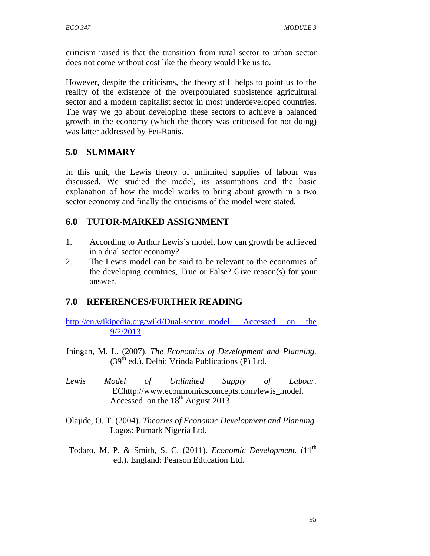criticism raised is that the transition from rural sector to urban sector does not come without cost like the theory would like us to.

However, despite the criticisms, the theory still helps to point us to the reality of the existence of the overpopulated subsistence agricultural sector and a modern capitalist sector in most underdeveloped countries. The way we go about developing these sectors to achieve a balanced growth in the economy (which the theory was criticised for not doing) was latter addressed by Fei-Ranis.

# **5.0 SUMMARY**

In this unit, the Lewis theory of unlimited supplies of labour was discussed. We studied the model, its assumptions and the basic explanation of how the model works to bring about growth in a two sector economy and finally the criticisms of the model were stated.

# **6.0 TUTOR-MARKED ASSIGNMENT**

- 1. According to Arthur Lewis's model, how can growth be achieved in a dual sector economy?
- 2. The Lewis model can be said to be relevant to the economies of the developing countries, True or False? Give reason(s) for your answer.

# **7.0 REFERENCES/FURTHER READING**

http://en.wikipedia.org/wiki/Dual-sector\_model. Accessed on the 9/2/2013

- Jhingan, M. L. (2007). *The Economics of Development and Planning.*  $(39<sup>th</sup>$  ed.). Delhi: Vrinda Publications (P) Ltd.
- *Lewis Model of Unlimited Supply of Labour.* EChttp://www.econmomicsconcepts.com/lewis\_model. Accessed on the  $18<sup>th</sup>$  August 2013.
- Olajide, O. T. (2004). *Theories of Economic Development and Planning.* Lagos: Pumark Nigeria Ltd.
- Todaro, M. P. & Smith, S. C. (2011). *Economic Development*. (11<sup>th</sup> ed.). England: Pearson Education Ltd.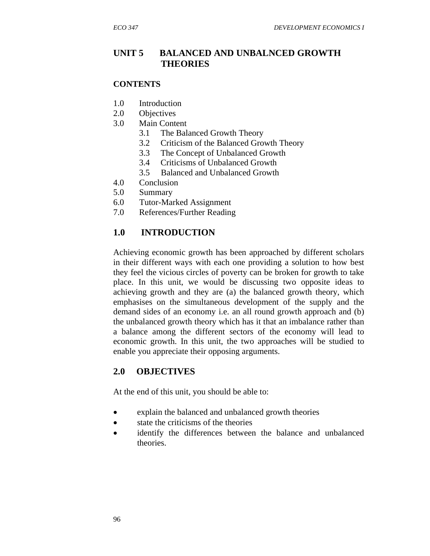### **UNIT 5 BALANCED AND UNBALNCED GROWTH THEORIES**

#### **CONTENTS**

- 1.0 Introduction
- 2.0 Objectives
- 3.0 Main Content
	- 3.1 The Balanced Growth Theory
	- 3.2 Criticism of the Balanced Growth Theory
	- 3.3 The Concept of Unbalanced Growth
	- 3.4 Criticisms of Unbalanced Growth
	- 3.5 Balanced and Unbalanced Growth
- 4.0 Conclusion
- 5.0 Summary
- 6.0 Tutor-Marked Assignment
- 7.0 References/Further Reading

### **1.0 INTRODUCTION**

Achieving economic growth has been approached by different scholars in their different ways with each one providing a solution to how best they feel the vicious circles of poverty can be broken for growth to take place. In this unit, we would be discussing two opposite ideas to achieving growth and they are (a) the balanced growth theory, which emphasises on the simultaneous development of the supply and the demand sides of an economy i.e. an all round growth approach and (b) the unbalanced growth theory which has it that an imbalance rather than a balance among the different sectors of the economy will lead to economic growth. In this unit, the two approaches will be studied to enable you appreciate their opposing arguments.

### **2.0 OBJECTIVES**

At the end of this unit, you should be able to:

- explain the balanced and unbalanced growth theories
- state the criticisms of the theories
- identify the differences between the balance and unbalanced theories.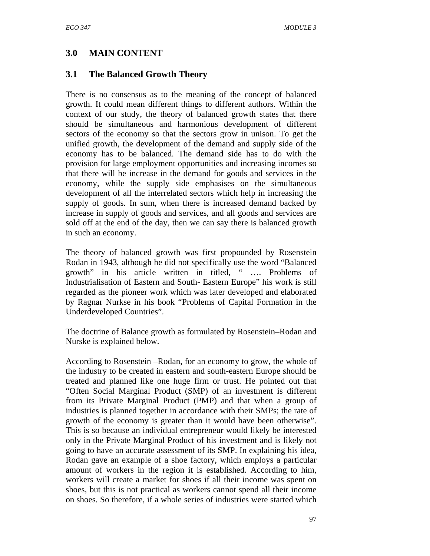## **3.0 MAIN CONTENT**

## **3.1 The Balanced Growth Theory**

There is no consensus as to the meaning of the concept of balanced growth. It could mean different things to different authors. Within the context of our study, the theory of balanced growth states that there should be simultaneous and harmonious development of different sectors of the economy so that the sectors grow in unison. To get the unified growth, the development of the demand and supply side of the economy has to be balanced. The demand side has to do with the provision for large employment opportunities and increasing incomes so that there will be increase in the demand for goods and services in the economy, while the supply side emphasises on the simultaneous development of all the interrelated sectors which help in increasing the supply of goods. In sum, when there is increased demand backed by increase in supply of goods and services, and all goods and services are sold off at the end of the day, then we can say there is balanced growth in such an economy.

The theory of balanced growth was first propounded by Rosenstein Rodan in 1943, although he did not specifically use the word "Balanced growth" in his article written in titled, " …. Problems of Industrialisation of Eastern and South- Eastern Europe" his work is still regarded as the pioneer work which was later developed and elaborated by Ragnar Nurkse in his book "Problems of Capital Formation in the Underdeveloped Countries".

The doctrine of Balance growth as formulated by Rosenstein–Rodan and Nurske is explained below.

According to Rosenstein –Rodan, for an economy to grow, the whole of the industry to be created in eastern and south-eastern Europe should be treated and planned like one huge firm or trust. He pointed out that "Often Social Marginal Product (SMP) of an investment is different from its Private Marginal Product (PMP) and that when a group of industries is planned together in accordance with their SMPs; the rate of growth of the economy is greater than it would have been otherwise". This is so because an individual entrepreneur would likely be interested only in the Private Marginal Product of his investment and is likely not going to have an accurate assessment of its SMP. In explaining his idea, Rodan gave an example of a shoe factory, which employs a particular amount of workers in the region it is established. According to him, workers will create a market for shoes if all their income was spent on shoes, but this is not practical as workers cannot spend all their income on shoes. So therefore, if a whole series of industries were started which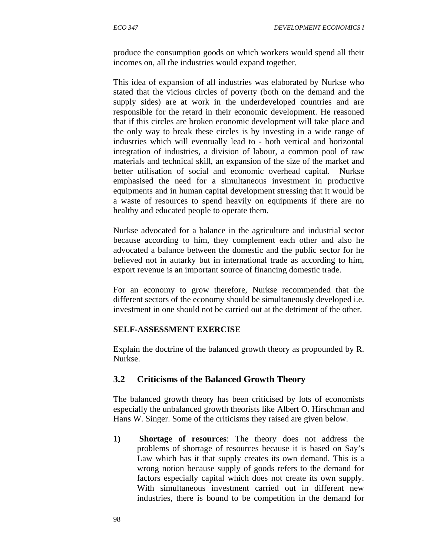produce the consumption goods on which workers would spend all their incomes on, all the industries would expand together.

This idea of expansion of all industries was elaborated by Nurkse who stated that the vicious circles of poverty (both on the demand and the supply sides) are at work in the underdeveloped countries and are responsible for the retard in their economic development. He reasoned that if this circles are broken economic development will take place and the only way to break these circles is by investing in a wide range of industries which will eventually lead to - both vertical and horizontal integration of industries, a division of labour, a common pool of raw materials and technical skill, an expansion of the size of the market and better utilisation of social and economic overhead capital. Nurkse emphasised the need for a simultaneous investment in productive equipments and in human capital development stressing that it would be a waste of resources to spend heavily on equipments if there are no healthy and educated people to operate them.

Nurkse advocated for a balance in the agriculture and industrial sector because according to him, they complement each other and also he advocated a balance between the domestic and the public sector for he believed not in autarky but in international trade as according to him, export revenue is an important source of financing domestic trade.

For an economy to grow therefore, Nurkse recommended that the different sectors of the economy should be simultaneously developed i.e. investment in one should not be carried out at the detriment of the other.

#### **SELF-ASSESSMENT EXERCISE**

Explain the doctrine of the balanced growth theory as propounded by R. Nurkse.

### **3.2 Criticisms of the Balanced Growth Theory**

The balanced growth theory has been criticised by lots of economists especially the unbalanced growth theorists like Albert O. Hirschman and Hans W. Singer. Some of the criticisms they raised are given below.

**1) Shortage of resources**: The theory does not address the problems of shortage of resources because it is based on Say's Law which has it that supply creates its own demand. This is a wrong notion because supply of goods refers to the demand for factors especially capital which does not create its own supply. With simultaneous investment carried out in different new industries, there is bound to be competition in the demand for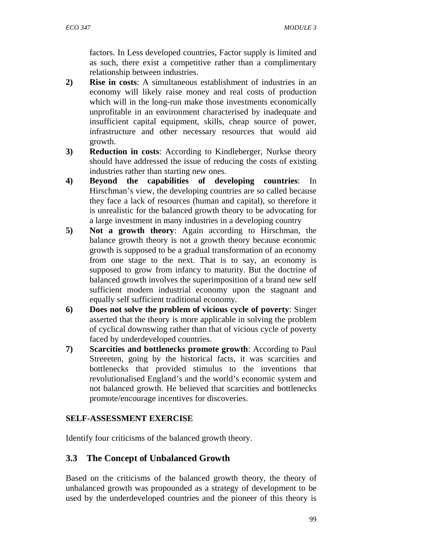factors. In Less developed countries, Factor supply is limited and as such, there exist a competitive rather than a complimentary relationship between industries.

- **2) Rise in costs**: A simultaneous establishment of industries in an economy will likely raise money and real costs of production which will in the long-run make those investments economically unprofitable in an environment characterised by inadequate and insufficient capital equipment, skills, cheap source of power, infrastructure and other necessary resources that would aid growth.
- **3) Reduction in costs**: According to Kindleberger, Nurkse theory should have addressed the issue of reducing the costs of existing industries rather than starting new ones.
- **4) Beyond the capabilities of developing countries**: In Hirschman's view, the developing countries are so called because they face a lack of resources (human and capital), so therefore it is unrealistic for the balanced growth theory to be advocating for a large investment in many industries in a developing country
- **5) Not a growth theory**: Again according to Hirschman, the balance growth theory is not a growth theory because economic growth is supposed to be a gradual transformation of an economy from one stage to the next. That is to say, an economy is supposed to grow from infancy to maturity. But the doctrine of balanced growth involves the superimposition of a brand new self sufficient modern industrial economy upon the stagnant and equally self sufficient traditional economy.
- **6) Does not solve the problem of vicious cycle of poverty**: Singer asserted that the theory is more applicable in solving the problem of cyclical downswing rather than that of vicious cycle of poverty faced by underdeveloped countries.
- **7) Scarcities and bottlenecks promote growth**: According to Paul Streeeten, going by the historical facts, it was scarcities and bottlenecks that provided stimulus to the inventions that revolutionalised England's and the world's economic system and not balanced growth. He believed that scarcities and bottlenecks promote/encourage incentives for discoveries.

## **SELF-ASSESSMENT EXERCISE**

Identify four criticisms of the balanced growth theory.

# **3.3 The Concept of Unbalanced Growth**

Based on the criticisms of the balanced growth theory, the theory of unbalanced growth was propounded as a strategy of development to be used by the underdeveloped countries and the pioneer of this theory is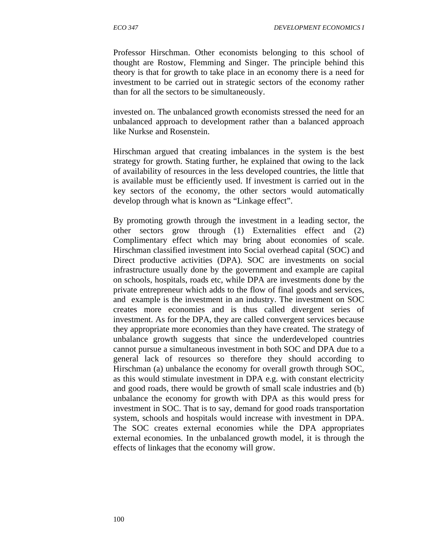Professor Hirschman. Other economists belonging to this school of thought are Rostow, Flemming and Singer. The principle behind this theory is that for growth to take place in an economy there is a need for investment to be carried out in strategic sectors of the economy rather than for all the sectors to be simultaneously.

invested on. The unbalanced growth economists stressed the need for an unbalanced approach to development rather than a balanced approach like Nurkse and Rosenstein.

Hirschman argued that creating imbalances in the system is the best strategy for growth. Stating further, he explained that owing to the lack of availability of resources in the less developed countries, the little that is available must be efficiently used. If investment is carried out in the key sectors of the economy, the other sectors would automatically develop through what is known as "Linkage effect".

By promoting growth through the investment in a leading sector, the other sectors grow through (1) Externalities effect and (2) Complimentary effect which may bring about economies of scale. Hirschman classified investment into Social overhead capital (SOC) and Direct productive activities (DPA). SOC are investments on social infrastructure usually done by the government and example are capital on schools, hospitals, roads etc, while DPA are investments done by the private entrepreneur which adds to the flow of final goods and services, and example is the investment in an industry. The investment on SOC creates more economies and is thus called divergent series of investment. As for the DPA, they are called convergent services because they appropriate more economies than they have created. The strategy of unbalance growth suggests that since the underdeveloped countries cannot pursue a simultaneous investment in both SOC and DPA due to a general lack of resources so therefore they should according to Hirschman (a) unbalance the economy for overall growth through SOC, as this would stimulate investment in DPA e.g. with constant electricity and good roads, there would be growth of small scale industries and (b) unbalance the economy for growth with DPA as this would press for investment in SOC. That is to say, demand for good roads transportation system, schools and hospitals would increase with investment in DPA. The SOC creates external economies while the DPA appropriates external economies. In the unbalanced growth model, it is through the effects of linkages that the economy will grow.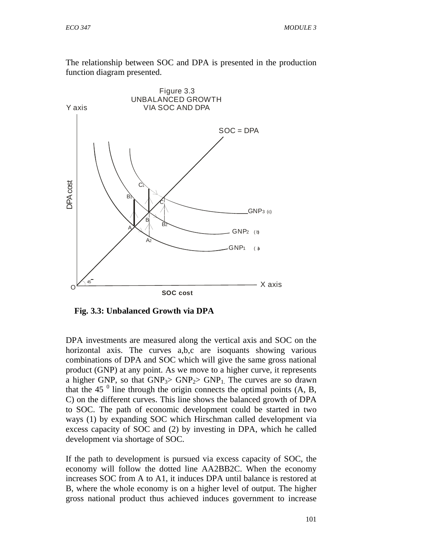The relationship between SOC and DPA is presented in the production function diagram presented.



 **Fig. 3.3: Unbalanced Growth via DPA** 

DPA investments are measured along the vertical axis and SOC on the horizontal axis. The curves a,b,c are isoquants showing various combinations of DPA and SOC which will give the same gross national product (GNP) at any point. As we move to a higher curve, it represents a higher GNP, so that  $GNP_3 > GNP_2 > GNP_1$ . The curves are so drawn that the 45 $<sup>0</sup>$  line through the origin connects the optimal points (A, B,</sup> C) on the different curves. This line shows the balanced growth of DPA to SOC. The path of economic development could be started in two ways (1) by expanding SOC which Hirschman called development via excess capacity of SOC and (2) by investing in DPA, which he called development via shortage of SOC.

If the path to development is pursued via excess capacity of SOC, the economy will follow the dotted line AA2BB2C. When the economy increases SOC from A to A1, it induces DPA until balance is restored at B, where the whole economy is on a higher level of output. The higher gross national product thus achieved induces government to increase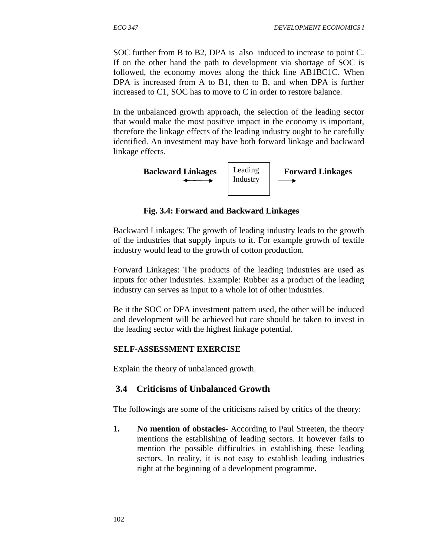SOC further from B to B2, DPA is also induced to increase to point C. If on the other hand the path to development via shortage of SOC is followed, the economy moves along the thick line AB1BC1C. When DPA is increased from A to B1, then to B, and when DPA is further increased to C1, SOC has to move to C in order to restore balance.

In the unbalanced growth approach, the selection of the leading sector that would make the most positive impact in the economy is important, therefore the linkage effects of the leading industry ought to be carefully identified. An investment may have both forward linkage and backward linkage effects.



 **Fig. 3.4: Forward and Backward Linkages** 

Backward Linkages: The growth of leading industry leads to the growth of the industries that supply inputs to it. For example growth of textile industry would lead to the growth of cotton production.

Forward Linkages: The products of the leading industries are used as inputs for other industries. Example: Rubber as a product of the leading industry can serves as input to a whole lot of other industries.

Be it the SOC or DPA investment pattern used, the other will be induced and development will be achieved but care should be taken to invest in the leading sector with the highest linkage potential.

## **SELF-ASSESSMENT EXERCISE**

Explain the theory of unbalanced growth.

# **3.4 Criticisms of Unbalanced Growth**

The followings are some of the criticisms raised by critics of the theory:

**1.** No mention of obstacles-According to Paul Streeten, the theory mentions the establishing of leading sectors. It however fails to mention the possible difficulties in establishing these leading sectors. In reality, it is not easy to establish leading industries right at the beginning of a development programme.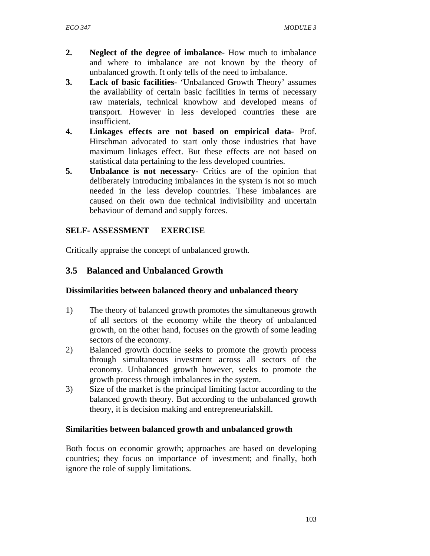- **2. Neglect of the degree of imbalance** How much to imbalance and where to imbalance are not known by the theory of unbalanced growth. It only tells of the need to imbalance.
- **3. Lack of basic facilities** 'Unbalanced Growth Theory' assumes the availability of certain basic facilities in terms of necessary raw materials, technical knowhow and developed means of transport. However in less developed countries these are insufficient.
- **4. Linkages effects are not based on empirical data** Prof. Hirschman advocated to start only those industries that have maximum linkages effect. But these effects are not based on statistical data pertaining to the less developed countries.
- **5. Unbalance is not necessary** Critics are of the opinion that deliberately introducing imbalances in the system is not so much needed in the less develop countries. These imbalances are caused on their own due technical indivisibility and uncertain behaviour of demand and supply forces.

### **SELF- ASSESSMENT EXERCISE**

Critically appraise the concept of unbalanced growth.

### **3.5 Balanced and Unbalanced Growth**

#### **Dissimilarities between balanced theory and unbalanced theory**

- 1) The theory of balanced growth promotes the simultaneous growth of all sectors of the economy while the theory of unbalanced growth, on the other hand, focuses on the growth of some leading sectors of the economy.
- 2) Balanced growth doctrine seeks to promote the growth process through simultaneous investment across all sectors of the economy. Unbalanced growth however, seeks to promote the growth process through imbalances in the system.
- 3) Size of the market is the principal limiting factor according to the balanced growth theory. But according to the unbalanced growth theory, it is decision making and entrepreneurial skill.

#### **Similarities between balanced growth and unbalanced growth**

Both focus on economic growth; approaches are based on developing countries; they focus on importance of investment; and finally, both ignore the role of supply limitations.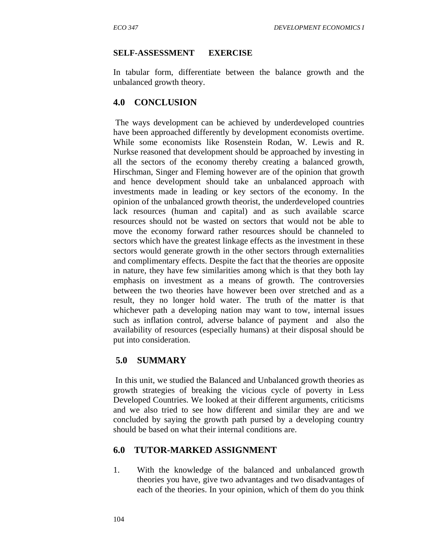#### **SELF-ASSESSMENT EXERCISE**

In tabular form, differentiate between the balance growth and the unbalanced growth theory.

#### **4.0 CONCLUSION**

The ways development can be achieved by underdeveloped countries have been approached differently by development economists overtime. While some economists like Rosenstein Rodan, W. Lewis and R. Nurkse reasoned that development should be approached by investing in all the sectors of the economy thereby creating a balanced growth, Hirschman, Singer and Fleming however are of the opinion that growth and hence development should take an unbalanced approach with investments made in leading or key sectors of the economy. In the opinion of the unbalanced growth theorist, the underdeveloped countries lack resources (human and capital) and as such available scarce resources should not be wasted on sectors that would not be able to move the economy forward rather resources should be channeled to sectors which have the greatest linkage effects as the investment in these sectors would generate growth in the other sectors through externalities and complimentary effects. Despite the fact that the theories are opposite in nature, they have few similarities among which is that they both lay emphasis on investment as a means of growth. The controversies between the two theories have however been over stretched and as a result, they no longer hold water. The truth of the matter is that whichever path a developing nation may want to tow, internal issues such as inflation control, adverse balance of payment and also the availability of resources (especially humans) at their disposal should be put into consideration.

### **5.0 SUMMARY**

In this unit, we studied the Balanced and Unbalanced growth theories as growth strategies of breaking the vicious cycle of poverty in Less Developed Countries. We looked at their different arguments, criticisms and we also tried to see how different and similar they are and we concluded by saying the growth path pursed by a developing country should be based on what their internal conditions are.

#### **6.0 TUTOR-MARKED ASSIGNMENT**

1.With the knowledge of the balanced and unbalanced growth theories you have, give two advantages and two disadvantages of each of the theories. In your opinion, which of them do you think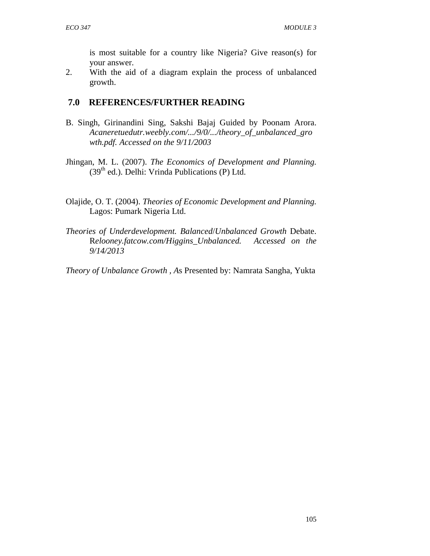is most suitable for a country like Nigeria? Give reason(s) for your answer.

2. With the aid of a diagram explain the process of unbalanced growth.

### **7.0 REFERENCES/FURTHER READING**

- B. Singh, Girinandini Sing, Sakshi Bajaj Guided by Poonam Arora. *Acaneretuedutr.weebly.com/.../9/0/.../theory\_of\_unbalanced\_gro wth.pdf. Accessed on the 9/11/2003*
- Jhingan, M. L. (2007). *The Economics of Development and Planning.*  $(39<sup>th</sup>$  ed.). Delhi: Vrinda Publications (P) Ltd.
- Olajide, O. T. (2004). *Theories of Economic Development and Planning.* Lagos: Pumark Nigeria Ltd.
- *Theories of Underdevelopment. Balanced*/*Unbalanced Growth* Debate. R*elooney.fatcow.com/Higgins\_Unbalanced. Accessed on the 9/14/2013*

*Theory of Unbalance Growth , A*s Presented by: Namrata Sangha, Yukta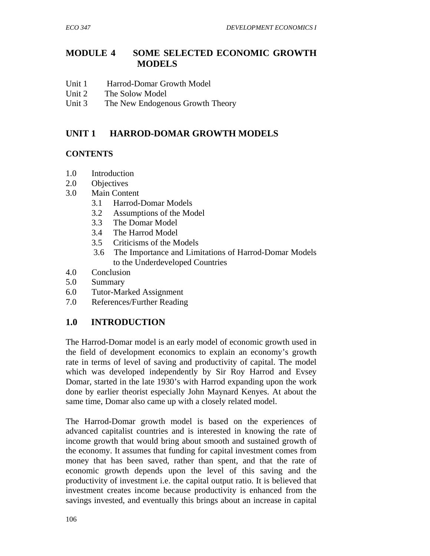## **MODULE 4 SOME SELECTED ECONOMIC GROWTH MODELS**

- Unit 1 Harrod-Domar Growth Model
- Unit 2 The Solow Model
- Unit 3 The New Endogenous Growth Theory

## **UNIT 1 HARROD-DOMAR GROWTH MODELS**

### **CONTENTS**

- 1.0 Introduction
- 2.0 Objectives
- 3.0 Main Content
	- 3.1 Harrod-Domar Models
	- 3.2 Assumptions of the Model
	- 3.3 The Domar Model
	- 3.4 The Harrod Model
	- 3.5 Criticisms of the Models
	- 3.6 The Importance and Limitations of Harrod-Domar Models to the Underdeveloped Countries
- 4.0 Conclusion
- 5.0 Summary
- 6.0 Tutor-Marked Assignment
- 7.0 References/Further Reading

## **1.0 INTRODUCTION**

The Harrod-Domar model is an early model of economic growth used in the field of development economics to explain an economy's growth rate in terms of level of saving and productivity of capital. The model which was developed independently by Sir Roy Harrod and Evsey Domar, started in the late 1930's with Harrod expanding upon the work done by earlier theorist especially John Maynard Kenyes. At about the same time, Domar also came up with a closely related model.

The Harrod-Domar growth model is based on the experiences of advanced capitalist countries and is interested in knowing the rate of income growth that would bring about smooth and sustained growth of the economy. It assumes that funding for capital investment comes from money that has been saved, rather than spent, and that the rate of economic growth depends upon the level of this saving and the productivity of investment i.e. the capital output ratio. It is believed that investment creates income because productivity is enhanced from the savings invested, and eventually this brings about an increase in capital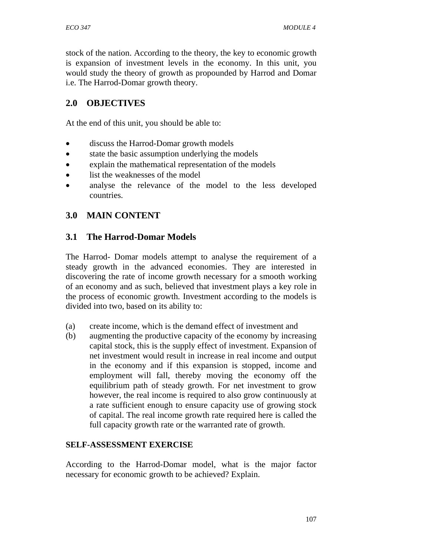stock of the nation. According to the theory, the key to economic growth is expansion of investment levels in the economy. In this unit, you would study the theory of growth as propounded by Harrod and Domar i.e. The Harrod-Domar growth theory.

## **2.0 OBJECTIVES**

At the end of this unit, you should be able to:

- discuss the Harrod-Domar growth models
- state the basic assumption underlying the models
- explain the mathematical representation of the models
- list the weaknesses of the model
- analyse the relevance of the model to the less developed countries.

## **3.0 MAIN CONTENT**

### **3.1 The Harrod-Domar Models**

The Harrod- Domar models attempt to analyse the requirement of a steady growth in the advanced economies. They are interested in discovering the rate of income growth necessary for a smooth working of an economy and as such, believed that investment plays a key role in the process of economic growth. Investment according to the models is divided into two, based on its ability to:

- (a) create income, which is the demand effect of investment and
- (b) augmenting the productive capacity of the economy by increasing capital stock, this is the supply effect of investment. Expansion of net investment would result in increase in real income and output in the economy and if this expansion is stopped, income and employment will fall, thereby moving the economy off the equilibrium path of steady growth. For net investment to grow however, the real income is required to also grow continuously at a rate sufficient enough to ensure capacity use of growing stock of capital. The real income growth rate required here is called the full capacity growth rate or the warranted rate of growth.

#### **SELF-ASSESSMENT EXERCISE**

According to the Harrod-Domar model, what is the major factor necessary for economic growth to be achieved? Explain.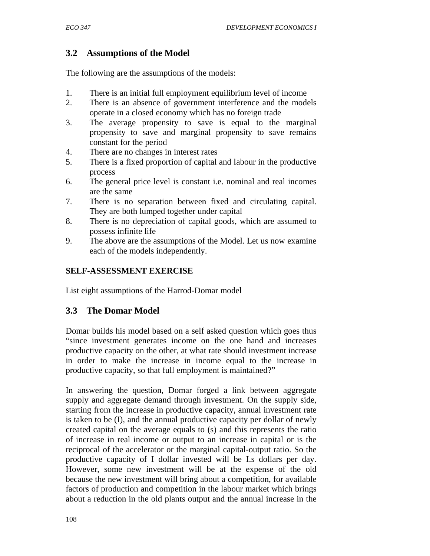# **3.2 Assumptions of the Model**

The following are the assumptions of the models:

- 1. There is an initial full employment equilibrium level of income
- 2. There is an absence of government interference and the models operate in a closed economy which has no foreign trade
- 3. The average propensity to save is equal to the marginal propensity to save and marginal propensity to save remains constant for the period
- 4. There are no changes in interest rates
- 5. There is a fixed proportion of capital and labour in the productive process
- 6. The general price level is constant i.e. nominal and real incomes are the same
- 7. There is no separation between fixed and circulating capital. They are both lumped together under capital
- 8. There is no depreciation of capital goods, which are assumed to possess infinite life
- 9. The above are the assumptions of the Model. Let us now examine each of the models independently.

### **SELF-ASSESSMENT EXERCISE**

List eight assumptions of the Harrod-Domar model

## **3.3 The Domar Model**

Domar builds his model based on a self asked question which goes thus "since investment generates income on the one hand and increases productive capacity on the other, at what rate should investment increase in order to make the increase in income equal to the increase in productive capacity, so that full employment is maintained?"

In answering the question, Domar forged a link between aggregate supply and aggregate demand through investment. On the supply side, starting from the increase in productive capacity, annual investment rate is taken to be (I), and the annual productive capacity per dollar of newly created capital on the average equals to (s) and this represents the ratio of increase in real income or output to an increase in capital or is the reciprocal of the accelerator or the marginal capital-output ratio. So the productive capacity of I dollar invested will be I.s dollars per day. However, some new investment will be at the expense of the old because the new investment will bring about a competition, for available factors of production and competition in the labour market which brings about a reduction in the old plants output and the annual increase in the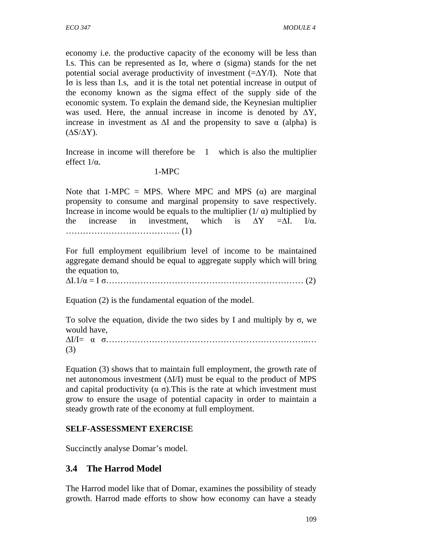economy i.e. the productive capacity of the economy will be less than I.s. This can be represented as Iσ, where σ (sigma) stands for the net potential social average productivity of investment  $(=\Delta Y/I)$ . Note that Iσ is less than I.s, and it is the total net potential increase in output of the economy known as the sigma effect of the supply side of the economic system. To explain the demand side, the Keynesian multiplier was used. Here, the annual increase in income is denoted by  $\Delta Y$ , increase in investment as  $\Delta I$  and the propensity to save  $\alpha$  (alpha) is  $(\Delta S/\Delta Y)$ .

Increase in income will therefore be 1 which is also the multiplier effect  $1/\alpha$ .

#### 1-MPC

Note that 1-MPC = MPS. Where MPC and MPS  $(\alpha)$  are marginal propensity to consume and marginal propensity to save respectively. Increase in income would be equals to the multiplier  $(1/\alpha)$  multiplied by the increase in investment, which is  $\Delta Y = \Delta I$ . I/ $\alpha$ . …………………………………. (1)

For full employment equilibrium level of income to be maintained aggregate demand should be equal to aggregate supply which will bring the equation to,

∆I.1/α = I σ…………………………………………………………… (2)

Equation (2) is the fundamental equation of the model.

To solve the equation, divide the two sides by I and multiply by σ, we would have, ∆I/I= α σ……………………………………………………………..…

(3)

Equation (3) shows that to maintain full employment, the growth rate of net autonomous investment  $(\Delta I/I)$  must be equal to the product of MPS and capital productivity  $(\alpha \sigma)$ . This is the rate at which investment must grow to ensure the usage of potential capacity in order to maintain a steady growth rate of the economy at full employment.

### **SELF-ASSESSMENT EXERCISE**

Succinctly analyse Domar's model.

## **3.4 The Harrod Model**

The Harrod model like that of Domar, examines the possibility of steady growth. Harrod made efforts to show how economy can have a steady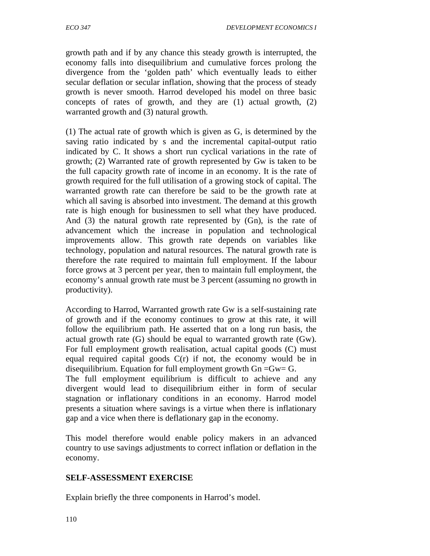growth path and if by any chance this steady growth is interrupted, the economy falls into disequilibrium and cumulative forces prolong the divergence from the 'golden path' which eventually leads to either secular deflation or secular inflation, showing that the process of steady growth is never smooth. Harrod developed his model on three basic concepts of rates of growth, and they are (1) actual growth, (2) warranted growth and (3) natural growth.

(1) The actual rate of growth which is given as G, is determined by the saving ratio indicated by s and the incremental capital-output ratio indicated by C. It shows a short run cyclical variations in the rate of growth; (2) Warranted rate of growth represented by Gw is taken to be the full capacity growth rate of income in an economy. It is the rate of growth required for the full utilisation of a growing stock of capital. The warranted growth rate can therefore be said to be the growth rate at which all saving is absorbed into investment. The demand at this growth rate is high enough for businessmen to sell what they have produced. And (3) the natural growth rate represented by (Gn), is the rate of advancement which the increase in population and technological improvements allow. This growth rate depends on variables like technology, population and natural resources. The natural growth rate is therefore the rate required to maintain full employment. If the labour force grows at 3 percent per year, then to maintain full employment, the economy's annual growth rate must be 3 percent (assuming no growth in productivity).

According to Harrod, Warranted growth rate Gw is a self-sustaining rate of growth and if the economy continues to grow at this rate, it will follow the equilibrium path. He asserted that on a long run basis, the actual growth rate (G) should be equal to warranted growth rate (Gw). For full employment growth realisation, actual capital goods (C) must equal required capital goods  $C(r)$  if not, the economy would be in disequilibrium. Equation for full employment growth  $G_n = G_w = G$ . The full employment equilibrium is difficult to achieve and any divergent would lead to disequilibrium either in form of secular stagnation or inflationary conditions in an economy. Harrod model presents a situation where savings is a virtue when there is inflationary gap and a vice when there is deflationary gap in the economy.

This model therefore would enable policy makers in an advanced country to use savings adjustments to correct inflation or deflation in the economy.

### **SELF-ASSESSMENT EXERCISE**

Explain briefly the three components in Harrod's model.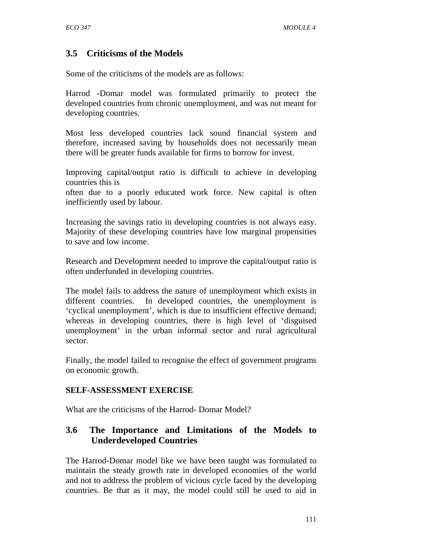## **3.5 Criticisms of the Models**

Some of the criticisms of the models are as follows:

Harrod -Domar model was formulated primarily to protect the developed countries from chronic unemployment, and was not meant for developing countries.

Most less developed countries lack sound financial system and therefore, increased saving by households does not necessarily mean there will be greater funds available for firms to borrow for invest.

Improving capital/output ratio is difficult to achieve in developing countries this is

often due to a poorly educated work force. New capital is often inefficiently used by labour.

Increasing the savings ratio in developing countries is not always easy. Majority of these developing countries have low marginal propensities to save and low income.

Research and Development needed to improve the capital/output ratio is often underfunded in developing countries.

The model fails to address the nature of unemployment which exists in different countries. In developed countries, the unemployment is 'cyclical unemployment', which is due to insufficient effective demand; whereas in developing countries, there is high level of 'disguised unemployment' in the urban informal sector and rural agricultural sector.

Finally, the model failed to recognise the effect of government programs on economic growth.

### **SELF-ASSESSMENT EXERCISE**

What are the criticisms of the Harrod- Domar Model?

## **3.6 The Importance and Limitations of the Models to Underdeveloped Countries**

The Harrod-Domar model like we have been taught was formulated to maintain the steady growth rate in developed economies of the world and not to address the problem of vicious cycle faced by the developing countries. Be that as it may, the model could still be used to aid in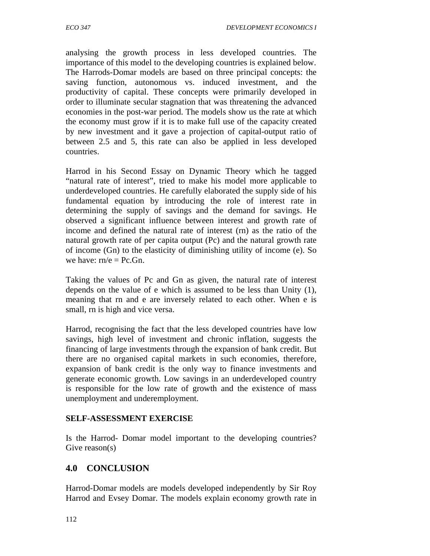analysing the growth process in less developed countries. The importance of this model to the developing countries is explained below. The Harrods-Domar models are based on three principal concepts: the saving function, autonomous vs. induced investment, and the productivity of capital. These concepts were primarily developed in order to illuminate secular stagnation that was threatening the advanced economies in the post-war period. The models show us the rate at which the economy must grow if it is to make full use of the capacity created by new investment and it gave a projection of capital-output ratio of between 2.5 and 5, this rate can also be applied in less developed countries.

Harrod in his Second Essay on Dynamic Theory which he tagged "natural rate of interest", tried to make his model more applicable to underdeveloped countries. He carefully elaborated the supply side of his fundamental equation by introducing the role of interest rate in determining the supply of savings and the demand for savings. He observed a significant influence between interest and growth rate of income and defined the natural rate of interest (rn) as the ratio of the natural growth rate of per capita output (Pc) and the natural growth rate of income (Gn) to the elasticity of diminishing utility of income (e). So we have:  $rn/e = Pc.Gn$ .

Taking the values of Pc and Gn as given, the natural rate of interest depends on the value of e which is assumed to be less than Unity (1), meaning that rn and e are inversely related to each other. When e is small, rn is high and vice versa.

Harrod, recognising the fact that the less developed countries have low savings, high level of investment and chronic inflation, suggests the financing of large investments through the expansion of bank credit. But there are no organised capital markets in such economies, therefore, expansion of bank credit is the only way to finance investments and generate economic growth. Low savings in an underdeveloped country is responsible for the low rate of growth and the existence of mass unemployment and underemployment.

### **SELF-ASSESSMENT EXERCISE**

Is the Harrod- Domar model important to the developing countries? Give reason(s)

# **4.0 CONCLUSION**

Harrod-Domar models are models developed independently by Sir Roy Harrod and Evsey Domar. The models explain economy growth rate in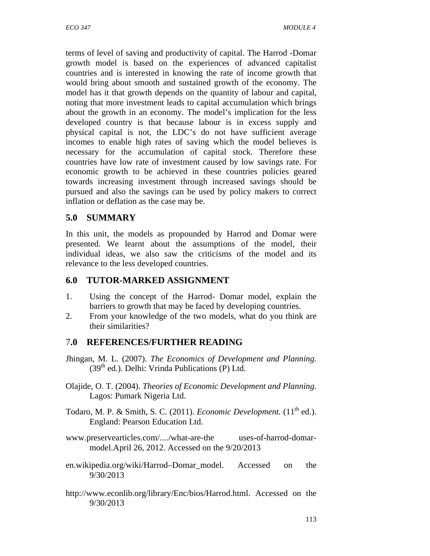terms of level of saving and productivity of capital. The Harrod -Domar growth model is based on the experiences of advanced capitalist countries and is interested in knowing the rate of income growth that would bring about smooth and sustained growth of the economy. The model has it that growth depends on the quantity of labour and capital, noting that more investment leads to capital accumulation which brings about the growth in an economy. The model's implication for the less developed country is that because labour is in excess supply and physical capital is not, the LDC's do not have sufficient average incomes to enable high rates of saving which the model believes is necessary for the accumulation of capital stock. Therefore these countries have low rate of investment caused by low savings rate. For economic growth to be achieved in these countries policies geared towards increasing investment through increased savings should be pursued and also the savings can be used by policy makers to correct inflation or deflation as the case may be.

## **5.0 SUMMARY**

In this unit, the models as propounded by Harrod and Domar were presented. We learnt about the assumptions of the model, their individual ideas, we also saw the criticisms of the model and its relevance to the less developed countries.

## **6.0 TUTOR-MARKED ASSIGNMENT**

- 1. Using the concept of the Harrod- Domar model, explain the barriers to growth that may be faced by developing countries.
- 2. From your knowledge of the two models, what do you think are their similarities?

# 7**.0 REFERENCES/FURTHER READING**

- Jhingan, M. L. (2007). *The Economics of Development and Planning.*  $(39<sup>th</sup>$  ed.). Delhi: Vrinda Publications (P) Ltd.
- Olajide, O. T. (2004). *Theories of Economic Development and Planning.* Lagos: Pumark Nigeria Ltd.
- Todaro, M. P. & Smith, S. C. (2011). *Economic Development*. (11<sup>th</sup> ed.). England: Pearson Education Ltd.
- www.preservearticles.com/..../what-are-the uses-of-harrod-domarmodel.April 26, 2012. Accessed on the 9/20/2013
- en.wikipedia.org/wiki/Harrod–Domar\_model . Accessed on the 9/30/2013
- http://www.econlib.org/library/Enc/bios/Harrod.html. Accessed on the 9/30/2013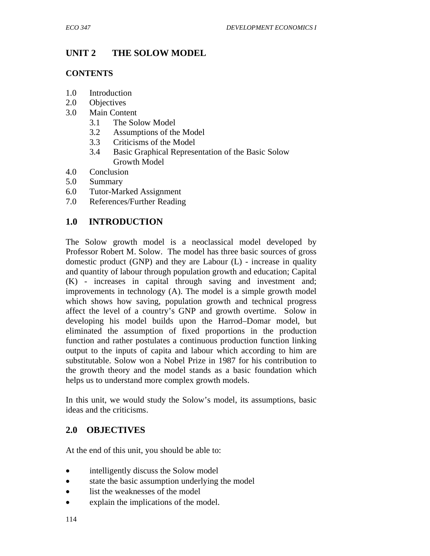# **UNIT 2 THE SOLOW MODEL**

### **CONTENTS**

- 1.0 Introduction
- 2.0 Objectives
- 3.0 Main Content
	- 3.1 The Solow Model
	- 3.2 Assumptions of the Model
	- 3.3 Criticisms of the Model
	- 3.4 Basic Graphical Representation of the Basic Solow Growth Model
- 4.0 Conclusion
- 5.0 Summary
- 6.0 Tutor-Marked Assignment
- 7.0 References/Further Reading

# **1.0 INTRODUCTION**

The Solow growth model is a neoclassical model developed by Professor Robert M. Solow. The model has three basic sources of gross domestic product (GNP) and they are Labour (L) - increase in quality and quantity of labour through population growth and education; Capital (K) - increases in capital through saving and investment and; improvements in technology (A). The model is a simple growth model which shows how saving, population growth and technical progress affect the level of a country's GNP and growth overtime. Solow in developing his model builds upon the Harrod–Domar model, but eliminated the assumption of fixed proportions in the production function and rather postulates a continuous production function linking output to the inputs of capita and labour which according to him are substitutable. Solow won a Nobel Prize in 1987 for his contribution to the growth theory and the model stands as a basic foundation which helps us to understand more complex growth models.

In this unit, we would study the Solow's model, its assumptions, basic ideas and the criticisms.

# **2.0 OBJECTIVES**

At the end of this unit, you should be able to:

- intelligently discuss the Solow model
- state the basic assumption underlying the model
- list the weaknesses of the model
- explain the implications of the model.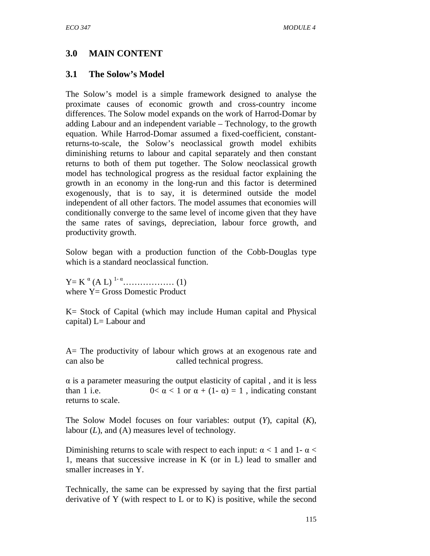# **3.0 MAIN CONTENT**

## **3.1 The Solow's Model**

The Solow's model is a simple framework designed to analyse the proximate causes of economic growth and cross-country income differences. The Solow model expands on the work of Harrod-Domar by adding Labour and an independent variable – Technology, to the growth equation. While Harrod-Domar assumed a fixed-coefficient, constantreturns-to-scale, the Solow's neoclassical growth model exhibits diminishing returns to labour and capital separately and then constant returns to both of them put together. The Solow neoclassical growth model has technological progress as the residual factor explaining the growth in an economy in the long-run and this factor is determined exogenously, that is to say, it is determined outside the model independent of all other factors. The model assumes that economies will conditionally converge to the same level of income given that they have the same rates of savings, depreciation, labour force growth, and productivity growth.

Solow began with a production function of the Cobb-Douglas type which is a standard neoclassical function.

Y= K <sup>α</sup> (A L) 1- <sup>α</sup>……………… (1) where  $Y = Gross$  Domestic Product

K= Stock of Capital (which may include Human capital and Physical capital)  $L=$  Labour and

A= The productivity of labour which grows at an exogenous rate and can also be called technical progress.

 $\alpha$  is a parameter measuring the output elasticity of capital, and it is less than 1 i.e.  $0 < \alpha < 1$  or  $\alpha + (1 - \alpha) = 1$ , indicating constant returns to scale.

The Solow Model focuses on four variables: output (*Y*), capital (*K*), labour (*L*), and (A) measures level of technology.

Diminishing returns to scale with respect to each input:  $\alpha$  < 1 and 1- α < 1, means that successive increase in K (or in L) lead to smaller and smaller increases in Y.

Technically, the same can be expressed by saying that the first partial derivative of Y (with respect to L or to K) is positive, while the second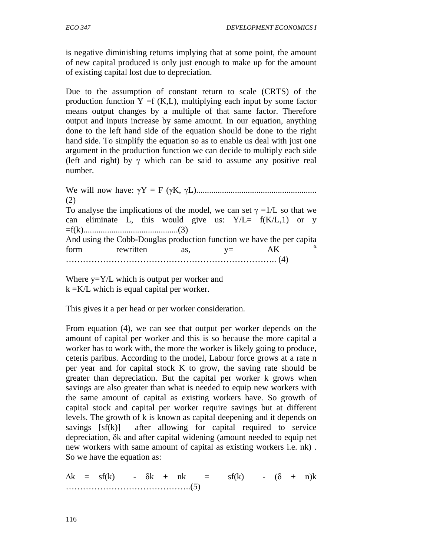is negative diminishing returns implying that at some point, the amount of new capital produced is only just enough to make up for the amount of existing capital lost due to depreciation.

Due to the assumption of constant return to scale (CRTS) of the production function  $Y = f(K,L)$ , multiplying each input by some factor means output changes by a multiple of that same factor. Therefore output and inputs increase by same amount. In our equation, anything done to the left hand side of the equation should be done to the right hand side. To simplify the equation so as to enable us deal with just one argument in the production function we can decide to multiply each side (left and right) by  $\gamma$  which can be said to assume any positive real number.

We will now have: γY = F (γK, γL)........................................................ (2) To analyse the implications of the model, we can set  $\gamma = 1/L$  so that we can eliminate L, this would give us:  $Y/L = f(K/L, 1)$  or y =f(k)............................................(3) And using the Cobb-Douglas production function we have the per capita form rewritten as,  $y= AK$   $\alpha$ ……………………………………………………………….. (4)

Where  $y = Y/L$  which is output per worker and  $k = K/L$  which is equal capital per worker.

This gives it a per head or per worker consideration.

From equation (4), we can see that output per worker depends on the amount of capital per worker and this is so because the more capital a worker has to work with, the more the worker is likely going to produce, ceteris paribus. According to the model, Labour force grows at a rate n per year and for capital stock K to grow, the saving rate should be greater than depreciation. But the capital per worker k grows when savings are also greater than what is needed to equip new workers with the same amount of capital as existing workers have. So growth of capital stock and capital per worker require savings but at different levels. The growth of k is known as capital deepening and it depends on savings  $[sf(k)]$  after allowing for capital required to service depreciation, δk and after capital widening (amount needed to equip net new workers with same amount of capital as existing workers i.e. nk) . So we have the equation as:

 $\Delta k = s f(k)$  -  $\delta k + n k = s f(k)$  -  $(\delta + n) k$ ……………………………………..(5)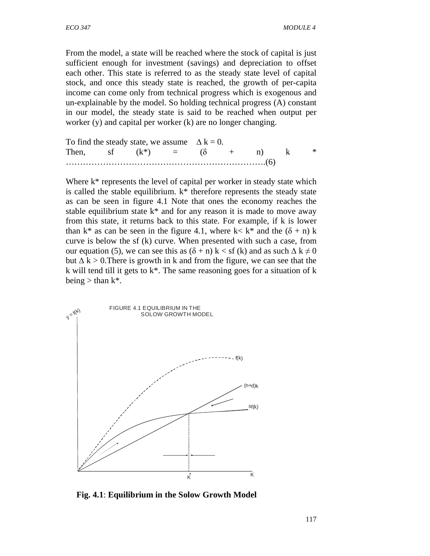From the model, a state will be reached where the stock of capital is just sufficient enough for investment (savings) and depreciation to offset each other. This state is referred to as the steady state level of capital stock, and once this steady state is reached, the growth of per-capita income can come only from technical progress which is exogenous and un-explainable by the model. So holding technical progress (A) constant in our model, the steady state is said to be reached when output per worker (y) and capital per worker (k) are no longer changing.

To find the steady state, we assume  $\Delta k = 0$ . Then, sf  $(k^*)$  =  $(\delta + n)$  k \* …………………………………………………………….(6)

Where  $k^*$  represents the level of capital per worker in steady state which is called the stable equilibrium.  $k^*$  therefore represents the steady state as can be seen in figure 4.1 Note that ones the economy reaches the stable equilibrium state  $k^*$  and for any reason it is made to move away from this state, it returns back to this state. For example, if k is lower than k<sup>\*</sup> as can be seen in the figure 4.1, where k< k<sup>\*</sup> and the  $(\delta + n)$  k curve is below the sf (k) curve. When presented with such a case, from our equation (5), we can see this as  $(\delta + n) k <$  sf (k) and as such  $\Delta k \neq 0$ but  $\Delta k > 0$ . There is growth in k and from the figure, we can see that the k will tend till it gets to k\*. The same reasoning goes for a situation of k being  $>$  than k<sup>\*</sup>.



 **Fig. 4.1**: **Equilibrium in the Solow Growth Model**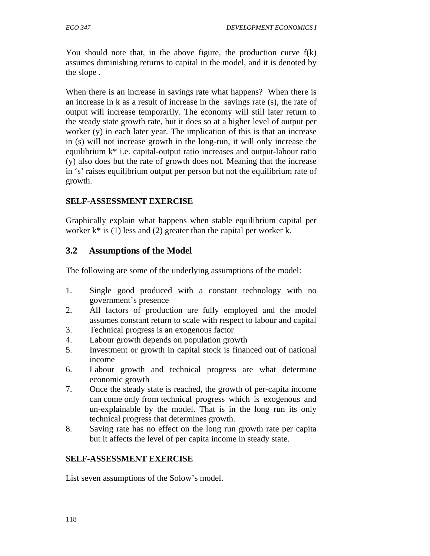You should note that, in the above figure, the production curve f(k) assumes diminishing returns to capital in the model, and it is denoted by the slope .

When there is an increase in savings rate what happens? When there is an increase in k as a result of increase in the savings rate (s), the rate of output will increase temporarily. The economy will still later return to the steady state growth rate, but it does so at a higher level of output per worker (y) in each later year. The implication of this is that an increase in (s) will not increase growth in the long-run, it will only increase the equilibrium k\* i.e. capital-output ratio increases and output-labour ratio (y) also does but the rate of growth does not. Meaning that the increase in 's' raises equilibrium output per person but not the equilibrium rate of growth.

## **SELF-ASSESSMENT EXERCISE**

Graphically explain what happens when stable equilibrium capital per worker  $k^*$  is (1) less and (2) greater than the capital per worker k.

## **3.2 Assumptions of the Model**

The following are some of the underlying assumptions of the model:

- 1. Single good produced with a constant technology with no government's presence
- 2. All factors of production are fully employed and the model assumes constant return to scale with respect to labour and capital
- 3. Technical progress is an exogenous factor
- 4. Labour growth depends on population growth
- 5. Investment or growth in capital stock is financed out of national income
- 6. Labour growth and technical progress are what determine economic growth
- 7. Once the steady state is reached, the growth of per-capita income can come only from technical progress which is exogenous and un-explainable by the model. That is in the long run its only technical progress that determines growth.
- 8. Saving rate has no effect on the long run growth rate per capita but it affects the level of per capita income in steady state.

### **SELF-ASSESSMENT EXERCISE**

List seven assumptions of the Solow's model.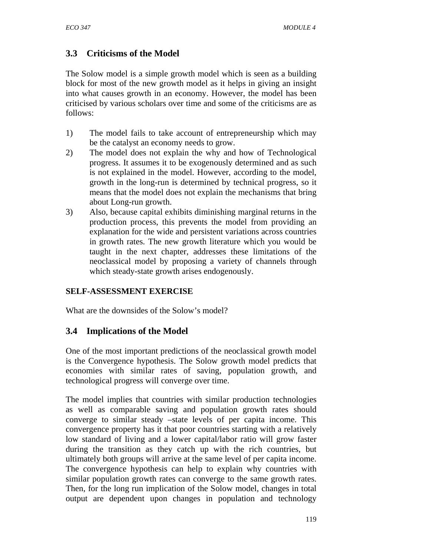## **3.3 Criticisms of the Model**

The Solow model is a simple growth model which is seen as a building block for most of the new growth model as it helps in giving an insight into what causes growth in an economy. However, the model has been criticised by various scholars over time and some of the criticisms are as follows:

- 1) The model fails to take account of entrepreneurship which may be the catalyst an economy needs to grow.
- 2) The model does not explain the why and how of Technological progress. It assumes it to be exogenously determined and as such is not explained in the model. However, according to the model, growth in the long-run is determined by technical progress, so it means that the model does not explain the mechanisms that bring about Long-run growth.
- 3) Also, because capital exhibits diminishing marginal returns in the production process, this prevents the model from providing an explanation for the wide and persistent variations across countries in growth rates. The new growth literature which you would be taught in the next chapter, addresses these limitations of the neoclassical model by proposing a variety of channels through which steady-state growth arises endogenously.

## **SELF-ASSESSMENT EXERCISE**

What are the downsides of the Solow's model?

## **3.4 Implications of the Model**

One of the most important predictions of the neoclassical growth model is the Convergence hypothesis. The Solow growth model predicts that economies with similar rates of saving, population growth, and technological progress will converge over time.

The model implies that countries with similar production technologies as well as comparable saving and population growth rates should converge to similar steady –state levels of per capita income. This convergence property has it that poor countries starting with a relatively low standard of living and a lower capital/labor ratio will grow faster during the transition as they catch up with the rich countries, but ultimately both groups will arrive at the same level of per capita income. The convergence hypothesis can help to explain why countries with similar population growth rates can converge to the same growth rates. Then, for the long run implication of the Solow model, changes in total output are dependent upon changes in population and technology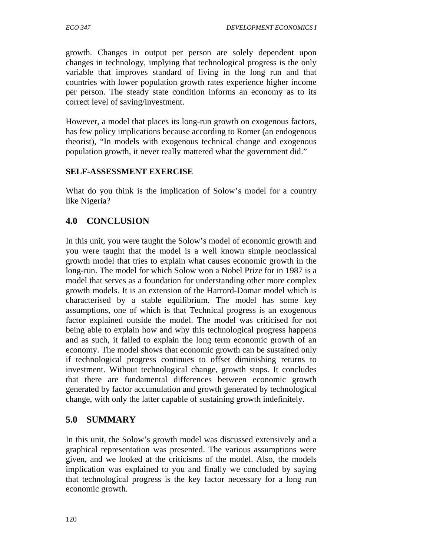growth. Changes in output per person are solely dependent upon changes in technology, implying that technological progress is the only variable that improves standard of living in the long run and that countries with lower population growth rates experience higher income per person. The steady state condition informs an economy as to its correct level of saving/investment.

However, a model that places its long-run growth on exogenous factors, has few policy implications because according to Romer (an endogenous theorist), "In models with exogenous technical change and exogenous population growth, it never really mattered what the government did."

#### **SELF-ASSESSMENT EXERCISE**

What do you think is the implication of Solow's model for a country like Nigeria?

### **4.0 CONCLUSION**

In this unit, you were taught the Solow's model of economic growth and you were taught that the model is a well known simple neoclassical growth model that tries to explain what causes economic growth in the long-run. The model for which Solow won a Nobel Prize for in 1987 is a model that serves as a foundation for understanding other more complex growth models. It is an extension of the Harrord-Domar model which is characterised by a stable equilibrium. The model has some key assumptions, one of which is that Technical progress is an exogenous factor explained outside the model. The model was criticised for not being able to explain how and why this technological progress happens and as such, it failed to explain the long term economic growth of an economy. The model shows that economic growth can be sustained only if technological progress continues to offset diminishing returns to investment. Without technological change, growth stops. It concludes that there are fundamental differences between economic growth generated by factor accumulation and growth generated by technological change, with only the latter capable of sustaining growth indefinitely.

### **5.0 SUMMARY**

In this unit, the Solow's growth model was discussed extensively and a graphical representation was presented. The various assumptions were given, and we looked at the criticisms of the model. Also, the models implication was explained to you and finally we concluded by saying that technological progress is the key factor necessary for a long run economic growth.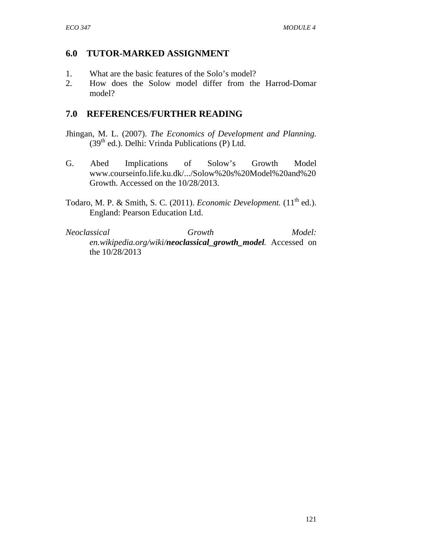## **6.0 TUTOR-MARKED ASSIGNMENT**

- 1. What are the basic features of the Solo's model?
- 2. How does the Solow model differ from the Harrod-Domar model?

## **7.0 REFERENCES/FURTHER READING**

- Jhingan, M. L. (2007). *The Economics of Development and Planning.*  $(39<sup>th</sup>$  ed.). Delhi: Vrinda Publications (P) Ltd.
- G. Abed Implications of Solow's Growth Model www.courseinfo.life.ku.dk/.../Solow%20s%20Model%20and%20 Growth. Accessed on the 10/28/2013.
- Todaro, M. P. & Smith, S. C. (2011). *Economic Development*. (11<sup>th</sup> ed.). England: Pearson Education Ltd.

*Neoclassical Growth Model: en.wikipedia.org/wiki/neoclassical\_growth\_model .* Accessed on the 10/28/2013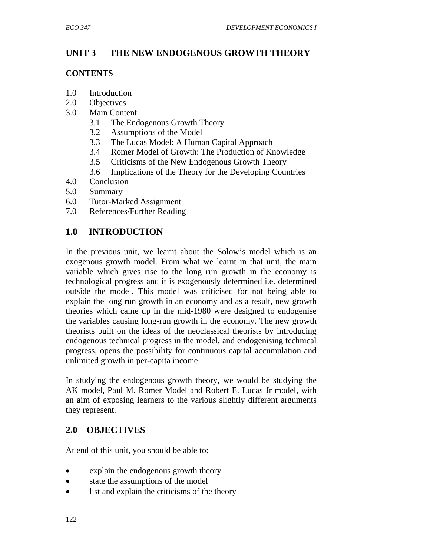# **UNIT 3 THE NEW ENDOGENOUS GROWTH THEORY**

### **CONTENTS**

- 1.0 Introduction
- 2.0 Objectives
- 3.0 Main Content
	- 3.1 The Endogenous Growth Theory
	- 3.2 Assumptions of the Model
	- 3.3 The Lucas Model: A Human Capital Approach
	- 3.4 Romer Model of Growth: The Production of Knowledge
	- 3.5 Criticisms of the New Endogenous Growth Theory
	- 3.6 Implications of the Theory for the Developing Countries
- 4.0 Conclusion
- 5.0 Summary
- 6.0 Tutor-Marked Assignment
- 7.0 References/Further Reading

# **1.0 INTRODUCTION**

In the previous unit, we learnt about the Solow's model which is an exogenous growth model. From what we learnt in that unit, the main variable which gives rise to the long run growth in the economy is technological progress and it is exogenously determined i.e. determined outside the model. This model was criticised for not being able to explain the long run growth in an economy and as a result, new growth theories which came up in the mid-1980 were designed to endogenise the variables causing long-run growth in the economy. The new growth theorists built on the ideas of the neoclassical theorists by introducing endogenous technical progress in the model, and endogenising technical progress, opens the possibility for continuous capital accumulation and unlimited growth in per-capita income.

In studying the endogenous growth theory, we would be studying the AK model, Paul M. Romer Model and Robert E. Lucas Jr model, with an aim of exposing learners to the various slightly different arguments they represent.

## **2.0 OBJECTIVES**

At end of this unit, you should be able to:

- explain the endogenous growth theory
- state the assumptions of the model
- list and explain the criticisms of the theory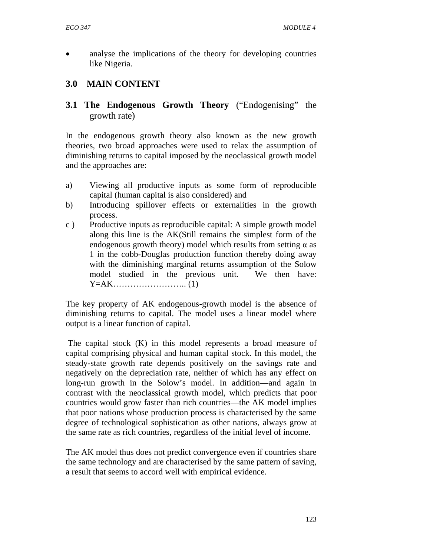• analyse the implications of the theory for developing countries like Nigeria.

## **3.0 MAIN CONTENT**

**3.1 The Endogenous Growth Theory** ("Endogenising" the growth rate)

In the endogenous growth theory also known as the new growth theories, two broad approaches were used to relax the assumption of diminishing returns to capital imposed by the neoclassical growth model and the approaches are:

- a) Viewing all productive inputs as some form of reproducible capital (human capital is also considered) and
- b) Introducing spillover effects or externalities in the growth process.
- c ) Productive inputs as reproducible capital: A simple growth model along this line is the AK(Still remains the simplest form of the endogenous growth theory) model which results from setting  $\alpha$  as 1 in the cobb-Douglas production function thereby doing away with the diminishing marginal returns assumption of the Solow model studied in the previous unit. We then have: Y=AK…………………….. (1)

The key property of AK endogenous-growth model is the absence of diminishing returns to capital. The model uses a linear model where output is a linear function of capital.

 The capital stock (K) in this model represents a broad measure of capital comprising physical and human capital stock. In this model, the steady-state growth rate depends positively on the savings rate and negatively on the depreciation rate, neither of which has any effect on long-run growth in the Solow's model. In addition—and again in contrast with the neoclassical growth model, which predicts that poor countries would grow faster than rich countries—the AK model implies that poor nations whose production process is characterised by the same degree of technological sophistication as other nations, always grow at the same rate as rich countries, regardless of the initial level of income.

The AK model thus does not predict convergence even if countries share the same technology and are characterised by the same pattern of saving, a result that seems to accord well with empirical evidence.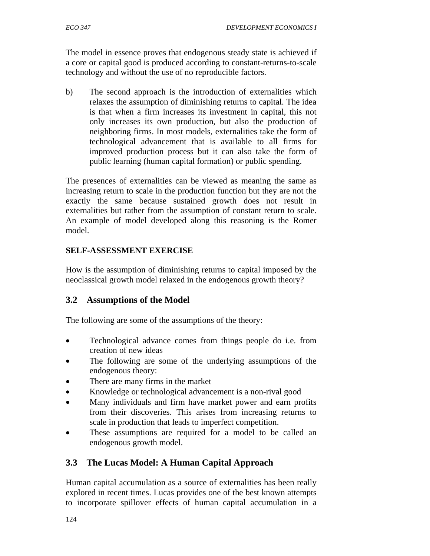The model in essence proves that endogenous steady state is achieved if a core or capital good is produced according to constant-returns-to-scale technology and without the use of no reproducible factors.

b) The second approach is the introduction of externalities which relaxes the assumption of diminishing returns to capital. The idea is that when a firm increases its investment in capital, this not only increases its own production, but also the production of neighboring firms. In most models, externalities take the form of technological advancement that is available to all firms for improved production process but it can also take the form of public learning (human capital formation) or public spending.

The presences of externalities can be viewed as meaning the same as increasing return to scale in the production function but they are not the exactly the same because sustained growth does not result in externalities but rather from the assumption of constant return to scale. An example of model developed along this reasoning is the Romer model.

## **SELF-ASSESSMENT EXERCISE**

How is the assumption of diminishing returns to capital imposed by the neoclassical growth model relaxed in the endogenous growth theory?

## **3.2 Assumptions of the Model**

The following are some of the assumptions of the theory:

- Technological advance comes from things people do i.e. from creation of new ideas
- The following are some of the underlying assumptions of the endogenous theory:
- There are many firms in the market
- Knowledge or technological advancement is a non-rival good
- Many individuals and firm have market power and earn profits from their discoveries. This arises from increasing returns to scale in production that leads to imperfect competition.
- These assumptions are required for a model to be called an endogenous growth model.

# **3.3 The Lucas Model: A Human Capital Approach**

Human capital accumulation as a source of externalities has been really explored in recent times. Lucas provides one of the best known attempts to incorporate spillover effects of human capital accumulation in a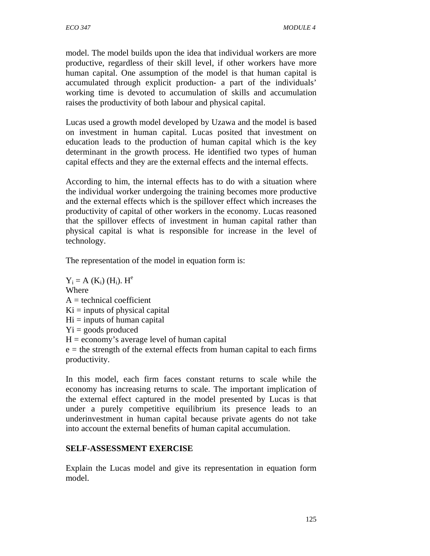model. The model builds upon the idea that individual workers are more productive, regardless of their skill level, if other workers have more human capital. One assumption of the model is that human capital is accumulated through explicit production- a part of the individuals' working time is devoted to accumulation of skills and accumulation raises the productivity of both labour and physical capital.

Lucas used a growth model developed by Uzawa and the model is based on investment in human capital. Lucas posited that investment on education leads to the production of human capital which is the key determinant in the growth process. He identified two types of human capital effects and they are the external effects and the internal effects.

According to him, the internal effects has to do with a situation where the individual worker undergoing the training becomes more productive and the external effects which is the spillover effect which increases the productivity of capital of other workers in the economy. Lucas reasoned that the spillover effects of investment in human capital rather than physical capital is what is responsible for increase in the level of technology.

The representation of the model in equation form is:

 $Y_i = A(K_i) (H_i)$ .  $H^e$ Where  $A =$  technical coefficient  $Ki = inputs of physical capital$  $Hi = inputs of human capital$  $Y_i$  = goods produced  $H =$  economy's average level of human capital  $e =$  the strength of the external effects from human capital to each firms productivity.

In this model, each firm faces constant returns to scale while the economy has increasing returns to scale. The important implication of the external effect captured in the model presented by Lucas is that under a purely competitive equilibrium its presence leads to an underinvestment in human capital because private agents do not take into account the external benefits of human capital accumulation.

## **SELF-ASSESSMENT EXERCISE**

Explain the Lucas model and give its representation in equation form model.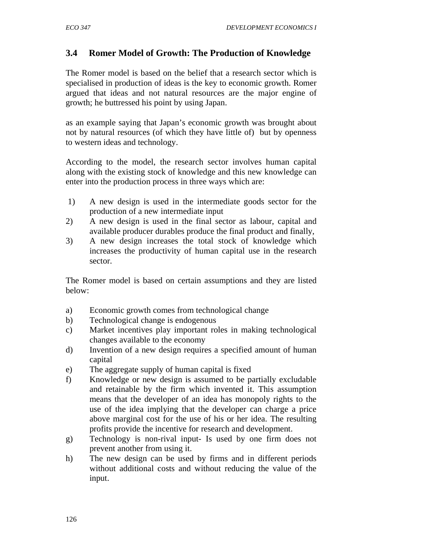## **3.4 Romer Model of Growth: The Production of Knowledge**

The Romer model is based on the belief that a research sector which is specialised in production of ideas is the key to economic growth. Romer argued that ideas and not natural resources are the major engine of growth; he buttressed his point by using Japan.

as an example saying that Japan's economic growth was brought about not by natural resources (of which they have little of) but by openness to western ideas and technology.

According to the model, the research sector involves human capital along with the existing stock of knowledge and this new knowledge can enter into the production process in three ways which are:

- 1) A new design is used in the intermediate goods sector for the production of a new intermediate input
- 2) A new design is used in the final sector as labour, capital and available producer durables produce the final product and finally,
- 3) A new design increases the total stock of knowledge which increases the productivity of human capital use in the research sector.

The Romer model is based on certain assumptions and they are listed below:

- a) Economic growth comes from technological change
- b) Technological change is endogenous
- c) Market incentives play important roles in making technological changes available to the economy
- d) Invention of a new design requires a specified amount of human capital
- e) The aggregate supply of human capital is fixed
- f) Knowledge or new design is assumed to be partially excludable and retainable by the firm which invented it. This assumption means that the developer of an idea has monopoly rights to the use of the idea implying that the developer can charge a price above marginal cost for the use of his or her idea. The resulting profits provide the incentive for research and development.
- g) Technology is non-rival input- Is used by one firm does not prevent another from using it.
- h) The new design can be used by firms and in different periods without additional costs and without reducing the value of the input.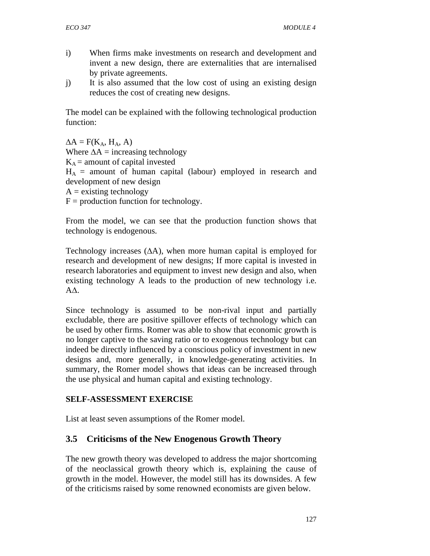- i) When firms make investments on research and development and invent a new design, there are externalities that are internalised by private agreements.
- j) It is also assumed that the low cost of using an existing design reduces the cost of creating new designs.

The model can be explained with the following technological production function:

 $\Delta A = F(K_A, H_A, A)$ Where  $\Delta A$  = increasing technology  $K_A$  = amount of capital invested  $H_A$  = amount of human capital (labour) employed in research and development of new design  $A =$  existing technology  $F =$  production function for technology.

From the model, we can see that the production function shows that technology is endogenous.

Technology increases (∆A), when more human capital is employed for research and development of new designs; If more capital is invested in research laboratories and equipment to invest new design and also, when existing technology A leads to the production of new technology i.e. A∆.

Since technology is assumed to be non-rival input and partially excludable, there are positive spillover effects of technology which can be used by other firms. Romer was able to show that economic growth is no longer captive to the saving ratio or to exogenous technology but can indeed be directly influenced by a conscious policy of investment in new designs and, more generally, in knowledge-generating activities. In summary, the Romer model shows that ideas can be increased through the use physical and human capital and existing technology.

## **SELF-ASSESSMENT EXERCISE**

List at least seven assumptions of the Romer model.

# **3.5 Criticisms of the New Enogenous Growth Theory**

The new growth theory was developed to address the major shortcoming of the neoclassical growth theory which is, explaining the cause of growth in the model. However, the model still has its downsides. A few of the criticisms raised by some renowned economists are given below.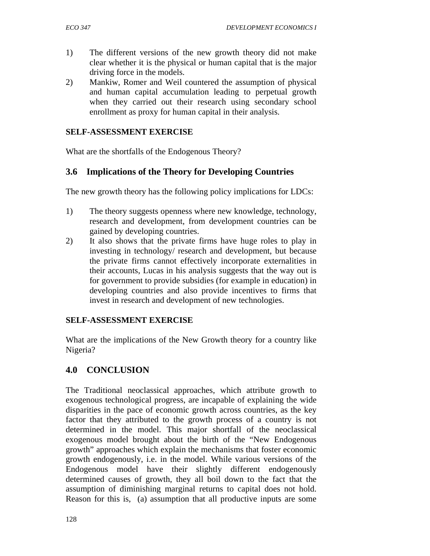- 1) The different versions of the new growth theory did not make clear whether it is the physical or human capital that is the major driving force in the models.
- 2) Mankiw, Romer and Weil countered the assumption of physical and human capital accumulation leading to perpetual growth when they carried out their research using secondary school enrollment as proxy for human capital in their analysis.

### **SELF-ASSESSMENT EXERCISE**

What are the shortfalls of the Endogenous Theory?

## **3.6 Implications of the Theory for Developing Countries**

The new growth theory has the following policy implications for LDCs:

- 1) The theory suggests openness where new knowledge, technology, research and development, from development countries can be gained by developing countries.
- 2) It also shows that the private firms have huge roles to play in investing in technology/ research and development, but because the private firms cannot effectively incorporate externalities in their accounts, Lucas in his analysis suggests that the way out is for government to provide subsidies (for example in education) in developing countries and also provide incentives to firms that invest in research and development of new technologies.

### **SELF-ASSESSMENT EXERCISE**

What are the implications of the New Growth theory for a country like Nigeria?

## **4.0 CONCLUSION**

The Traditional neoclassical approaches, which attribute growth to exogenous technological progress, are incapable of explaining the wide disparities in the pace of economic growth across countries, as the key factor that they attributed to the growth process of a country is not determined in the model. This major shortfall of the neoclassical exogenous model brought about the birth of the "New Endogenous growth" approaches which explain the mechanisms that foster economic growth endogenously, i.e. in the model. While various versions of the Endogenous model have their slightly different endogenously determined causes of growth, they all boil down to the fact that the assumption of diminishing marginal returns to capital does not hold. Reason for this is, (a) assumption that all productive inputs are some